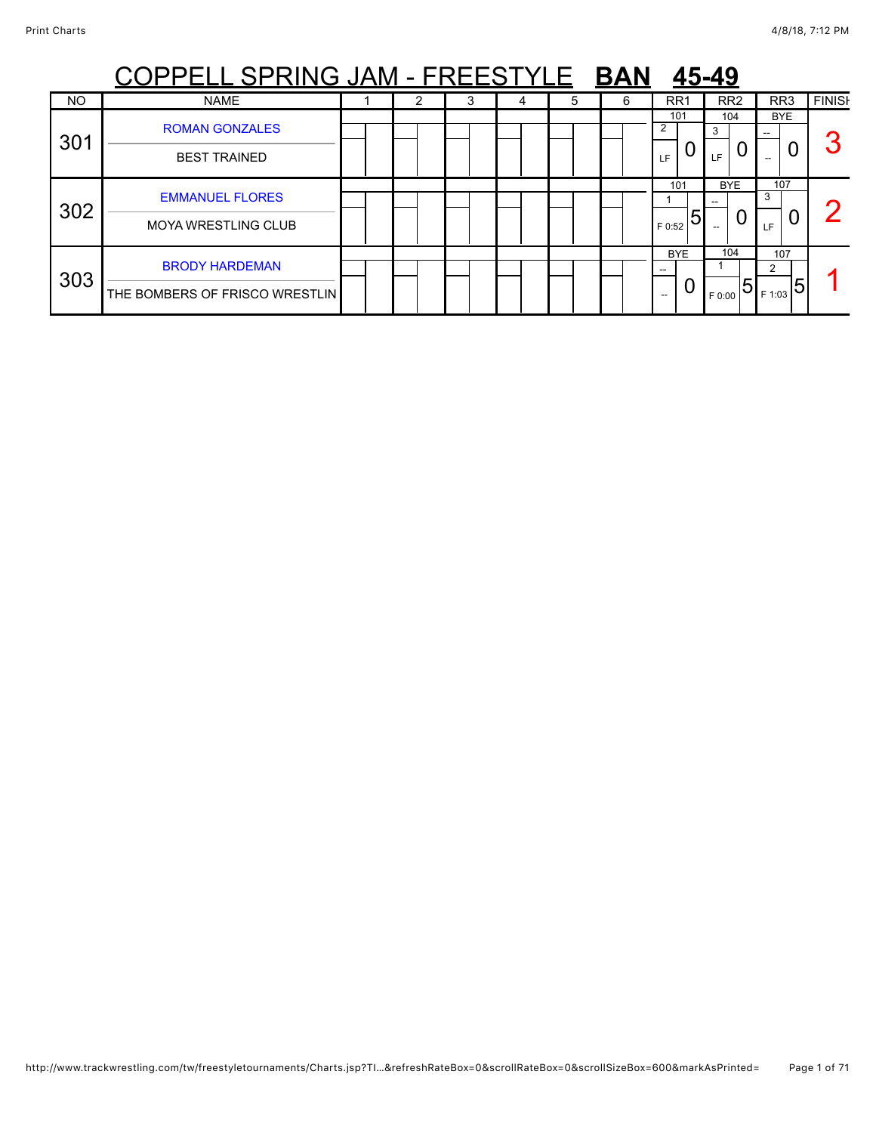|     | PPELL SPRING JAM - FREESTYLE BAN                        |  |   |   | 45-49 |   |                    |                      |                                  |               |
|-----|---------------------------------------------------------|--|---|---|-------|---|--------------------|----------------------|----------------------------------|---------------|
| NO  | <b>NAME</b>                                             |  | Ĵ | 4 | 5     | 6 | RR <sub>1</sub>    | RR <sub>2</sub>      | RR <sub>3</sub>                  | <b>FINISH</b> |
| 301 | <b>ROMAN GONZALES</b><br><b>BEST TRAINED</b>            |  |   |   |       |   | 101<br>LF          | 104<br>3<br>0<br>LF. | <b>BYE</b>                       | n             |
| 302 | <b>EMMANUEL FLORES</b><br><b>MOYA WRESTLING CLUB</b>    |  |   |   |       |   | 101<br>5<br>F 0:52 | <b>BYE</b><br>0      | 107<br>3<br>U<br>LF.             | C             |
| 303 | <b>BRODY HARDEMAN</b><br>THE BOMBERS OF FRISCO WRESTLIN |  |   |   |       |   | <b>BYE</b><br>$-$  | 104<br>5<br>F 0:00   | 107<br>2<br>$_{\rm 1F\,1:03}$ 51 |               |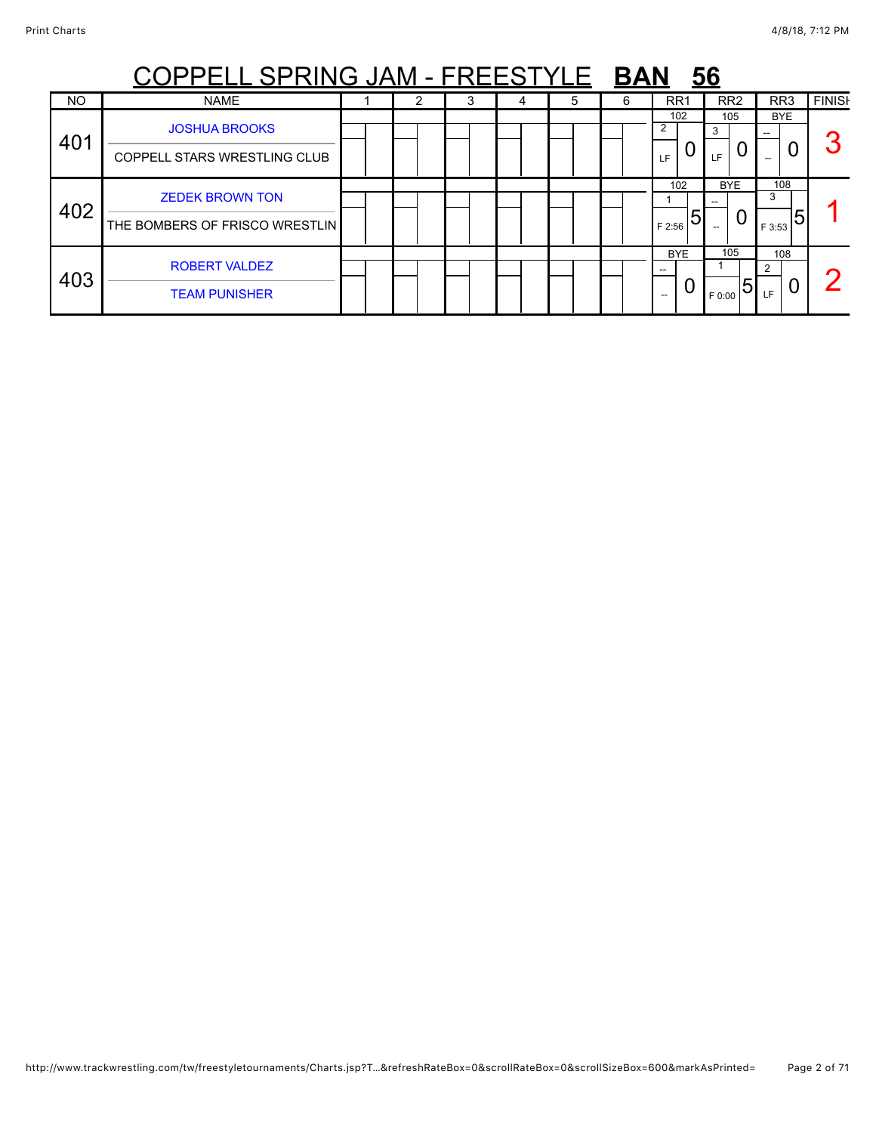|     | PPELL SPRING JAM - FREESTYLE                             |  | <b>BAN</b> |   | <u>56</u> |   |                    |                      |                         |               |
|-----|----------------------------------------------------------|--|------------|---|-----------|---|--------------------|----------------------|-------------------------|---------------|
| NO  | <b>NAME</b>                                              |  | J.         | 4 | 5         | 6 | RR <sub>1</sub>    | RR <sub>2</sub>      | RR <sub>3</sub>         | <b>FINISH</b> |
| 401 | <b>JOSHUA BROOKS</b><br>COPPELL STARS WRESTLING CLUB     |  |            |   |           |   | 102<br>LF          | 105<br>3<br>0<br>LF. | <b>BYE</b>              | ◠             |
| 402 | <b>ZEDEK BROWN TON</b><br>THE BOMBERS OF FRISCO WRESTLIN |  |            |   |           |   | 102<br>5<br>F 2:56 | <b>BYE</b><br>U      | 108<br>3<br>5<br>F 3:53 |               |
| 403 | <b>ROBERT VALDEZ</b><br><b>TEAM PUNISHER</b>             |  |            |   |           |   | <b>BYE</b><br>$-$  | 105<br>h<br>F 0:00   | 108<br>2<br>O<br>LF.    |               |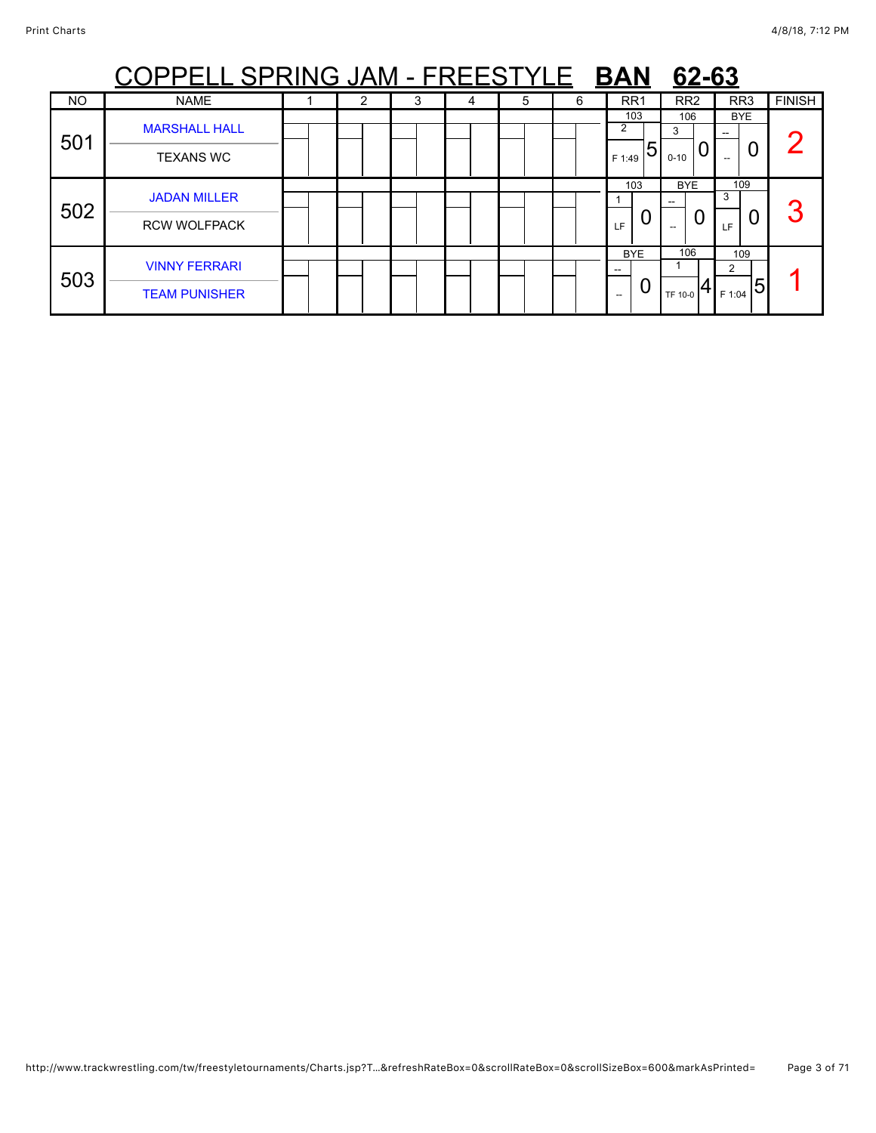|           | <u>PPELL SPRING JAM - FREESTYLE</u>          |   | <b>BAN</b> | 62-63 |   |                                |                           |                                        |               |
|-----------|----------------------------------------------|---|------------|-------|---|--------------------------------|---------------------------|----------------------------------------|---------------|
| <b>NO</b> | <b>NAME</b>                                  | 2 | 3          | 5     | 6 | RR <sub>1</sub>                | RR <sub>2</sub>           | RR <sub>3</sub>                        | <b>FINISH</b> |
| 501       | <b>MARSHALL HALL</b><br><b>TEXANS WC</b>     |   |            |       |   | 103<br>2<br>5<br>F 1:49        | 106<br>3<br>U<br>$0 - 10$ | <b>BYE</b><br>0<br>$\hspace{0.05cm} -$ |               |
| 502       | <b>JADAN MILLER</b><br><b>RCW WOLFPACK</b>   |   |            |       |   | 103<br>O<br>LF                 | <b>BYE</b>                | 109<br>3<br>U<br>LF                    | 3             |
| 503       | <b>VINNY FERRARI</b><br><b>TEAM PUNISHER</b> |   |            |       |   | <b>BYE</b><br>--<br>U<br>$- -$ | 106<br>TF 10-0            | 109<br>2<br>5<br>F 1:04                |               |

## http://www.trackwrestling.com/tw/freestyletournaments/Charts.jsp?T…&refreshRateBox=0&scrollRateBox=0&scrollSizeBox=600&markAsPrinted= Page 3 of 71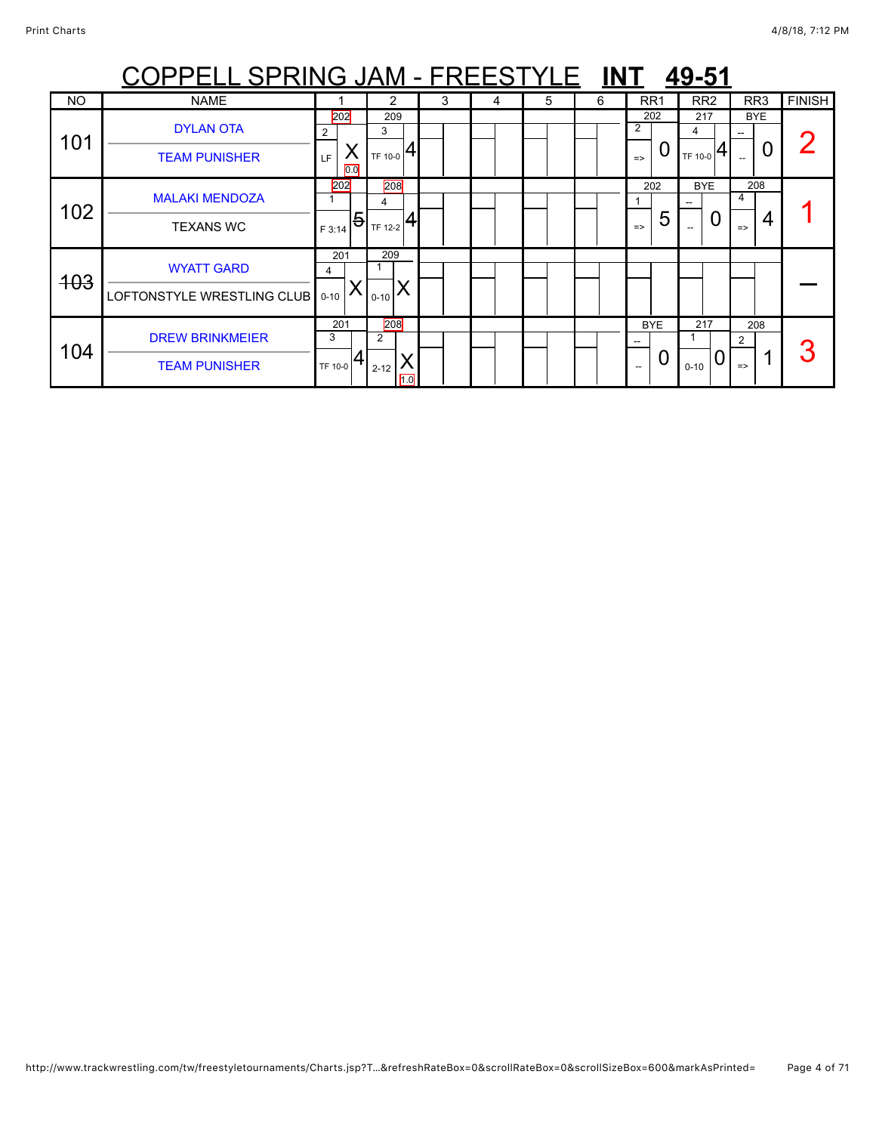|            | OPPELL SPRING JAM - FREESTYLE INT                    |                                 |                                                |   |   |   |   |                                                      | 49-51               |                                |               |
|------------|------------------------------------------------------|---------------------------------|------------------------------------------------|---|---|---|---|------------------------------------------------------|---------------------|--------------------------------|---------------|
| <b>NO</b>  | <b>NAME</b>                                          |                                 |                                                | 3 | 4 | 5 | 6 | RR <sub>1</sub>                                      | RR <sub>2</sub>     | RR3                            | <b>FINISH</b> |
| 101        | <b>DYLAN OTA</b><br><b>TEAM PUNISHER</b>             | 202<br>2<br>LF.<br>0.0          | 209<br>3<br>$T_{\text{TF 10-0}} 4$             |   |   |   |   | 202<br>2<br>0<br>$\Rightarrow$                       | 217<br>4<br>TF 10-0 | <b>BYE</b>                     |               |
| 102        | <b>MALAKI MENDOZA</b><br><b>TEXANS WC</b>            | 202<br>$\overline{5}$<br>F 3:14 | 208<br>4<br>$\frac{1}{1}$ <sub>TF 12-2</sub> 4 |   |   |   |   | 202<br>5<br>$\Rightarrow$                            | <b>BYE</b><br>O     | 208<br>4<br>4<br>$\Rightarrow$ |               |
| <b>403</b> | <b>WYATT GARD</b><br>LOFTONSTYLE WRESTLING CLUB 0-10 | 201<br>4                        | 209<br>$0 - 10$                                |   |   |   |   |                                                      |                     |                                |               |
| 104        | <b>DREW BRINKMEIER</b><br><b>TEAM PUNISHER</b>       | 201<br>3<br>TF 10-0             | 208<br>2<br>$2 - 12$<br>1.0                    |   |   |   |   | <b>BYE</b><br>$- -$<br>0<br>$\overline{\phantom{a}}$ | 217<br>$0 - 10$     | 208<br>2<br>$\Rightarrow$      |               |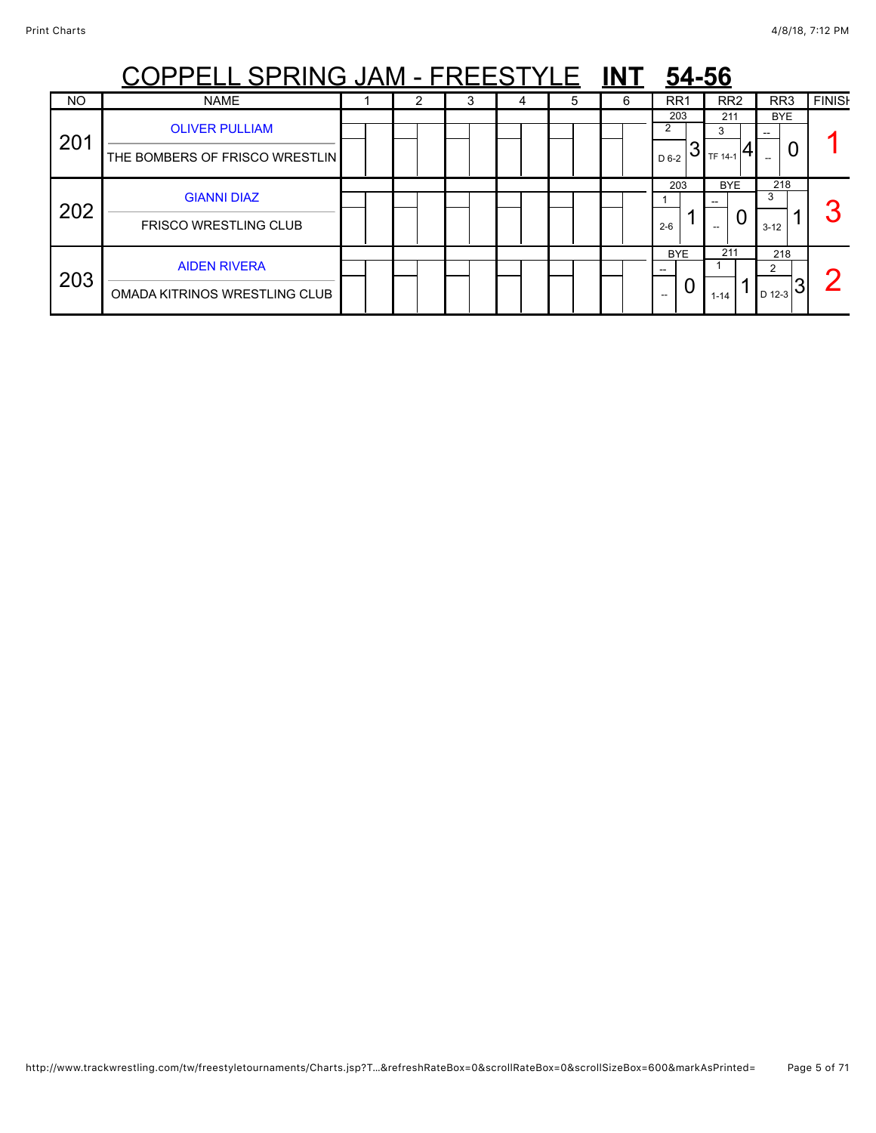|     | <u> PPELL SPRING JAM - FREESTYLE</u>                    |  | <b>INT</b> | 54-56 |   |   |                   |                     |                                   |               |
|-----|---------------------------------------------------------|--|------------|-------|---|---|-------------------|---------------------|-----------------------------------|---------------|
| NO  | <b>NAME</b>                                             |  | Ĵ          | 4     | 5 | 6 | RR <sub>1</sub>   | RR <sub>2</sub>     | RR <sub>3</sub>                   | <b>FINISH</b> |
| 201 | <b>OLIVER PULLIAM</b><br>THE BOMBERS OF FRISCO WRESTLIN |  |            |       |   |   | 203<br>2<br>D 6-2 | 211<br>3<br>TF 14-1 | <b>BYE</b><br>U                   |               |
| 202 | <b>GIANNI DIAZ</b><br><b>FRISCO WRESTLING CLUB</b>      |  |            |       |   |   | 203<br>$2 - 6$    | <b>BYE</b><br>U     | 218<br>3<br>$3 - 12$              | n             |
| 203 | <b>AIDEN RIVERA</b><br>OMADA KITRINOS WRESTLING CLUB    |  |            |       |   |   | <b>BYE</b><br>U   | 211<br>$1 - 14$     | 218<br>2<br>$\frac{1}{2}$ 12-3 31 |               |

### http://www.trackwrestling.com/tw/freestyletournaments/Charts.jsp?T…&refreshRateBox=0&scrollRateBox=0&scrollSizeBox=600&markAsPrinted= Page 5 of 71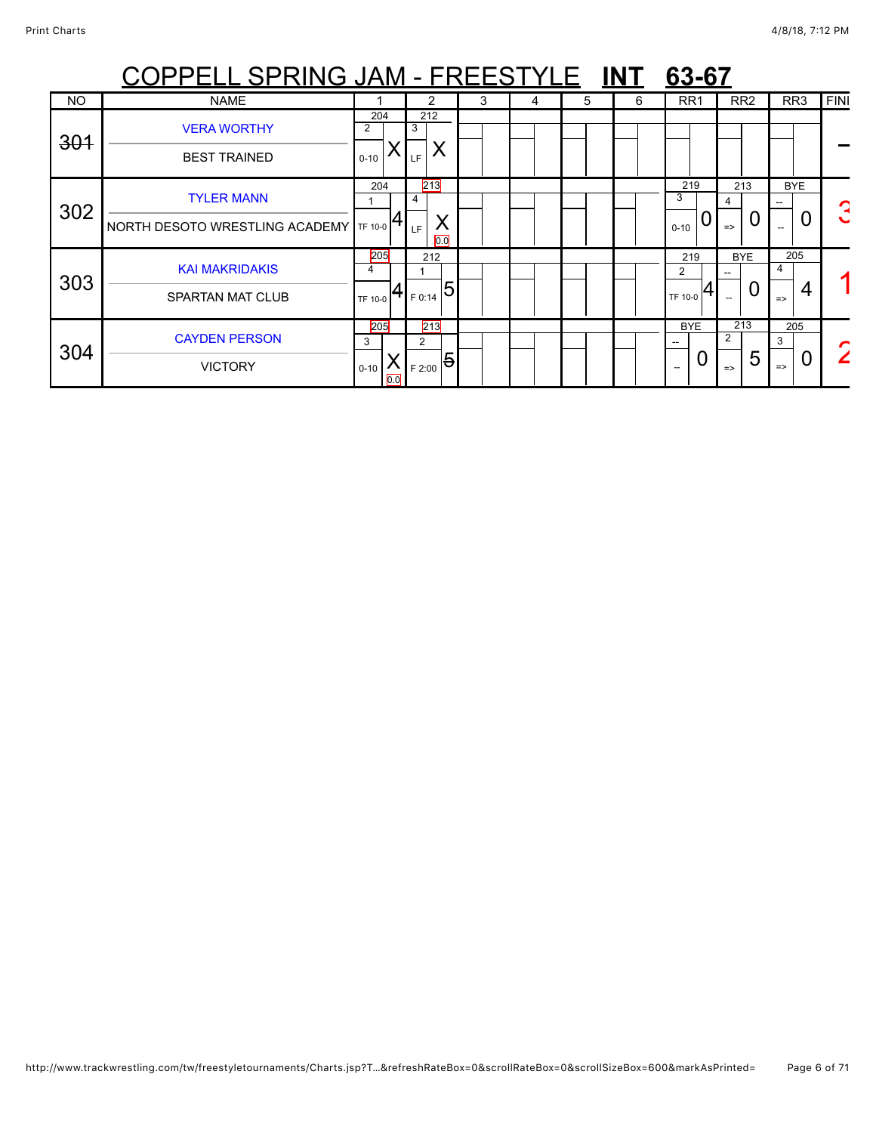|           | OPPELL SPRING JAM - FREESTYLE INT                   |                             |                                                                                              |          |   |   |   |   | 63-67                                       |                           |                                |      |
|-----------|-----------------------------------------------------|-----------------------------|----------------------------------------------------------------------------------------------|----------|---|---|---|---|---------------------------------------------|---------------------------|--------------------------------|------|
| <b>NO</b> | <b>NAME</b>                                         |                             | 2                                                                                            |          | 3 | 4 | 5 | 6 | RR <sub>1</sub>                             | RR <sub>2</sub>           | RR <sub>3</sub>                | FINI |
| 301       | <b>VERA WORTHY</b><br><b>BEST TRAINED</b>           | 204<br>2<br>$0 - 10$        | 212<br>3<br>X<br>LF                                                                          |          |   |   |   |   |                                             |                           |                                |      |
| 302       | <b>TYLER MANN</b><br>NORTH DESOTO WRESTLING ACADEMY | 204<br>TF 10-0              | 213<br>4<br>LF                                                                               | X<br>0.0 |   |   |   |   | 219<br>3<br>0<br>$0 - 10$                   | 213<br>0<br>$\Rightarrow$ | <b>BYE</b><br>0                | ┍    |
| 303       | <b>KAI MAKRIDAKIS</b><br><b>SPARTAN MAT CLUB</b>    | 205<br>4<br>TF 10-0         | 212<br>$\frac{1}{2}$ ( $\frac{1}{2}$ $\frac{1}{2}$ $\frac{1}{2}$ $\frac{1}{2}$ $\frac{1}{2}$ |          |   |   |   |   | 219<br>$\overline{2}$<br>TF 10-0            | <b>BYE</b><br>0           | 205<br>4<br>$\Rightarrow$      |      |
| 304       | <b>CAYDEN PERSON</b><br><b>VICTORY</b>              | 205<br>3<br>$0 - 10$<br>0.0 | 213<br>2<br>$\frac{1}{1}$ $\mathsf{E}_{2:00}$ $\boxed{5}$ $\mathsf{E}_{2:00}$                |          |   |   |   |   | <b>BYE</b><br>0<br>$\overline{\phantom{a}}$ | 213<br>5<br>$\Rightarrow$ | 205<br>3<br>0<br>$\Rightarrow$ |      |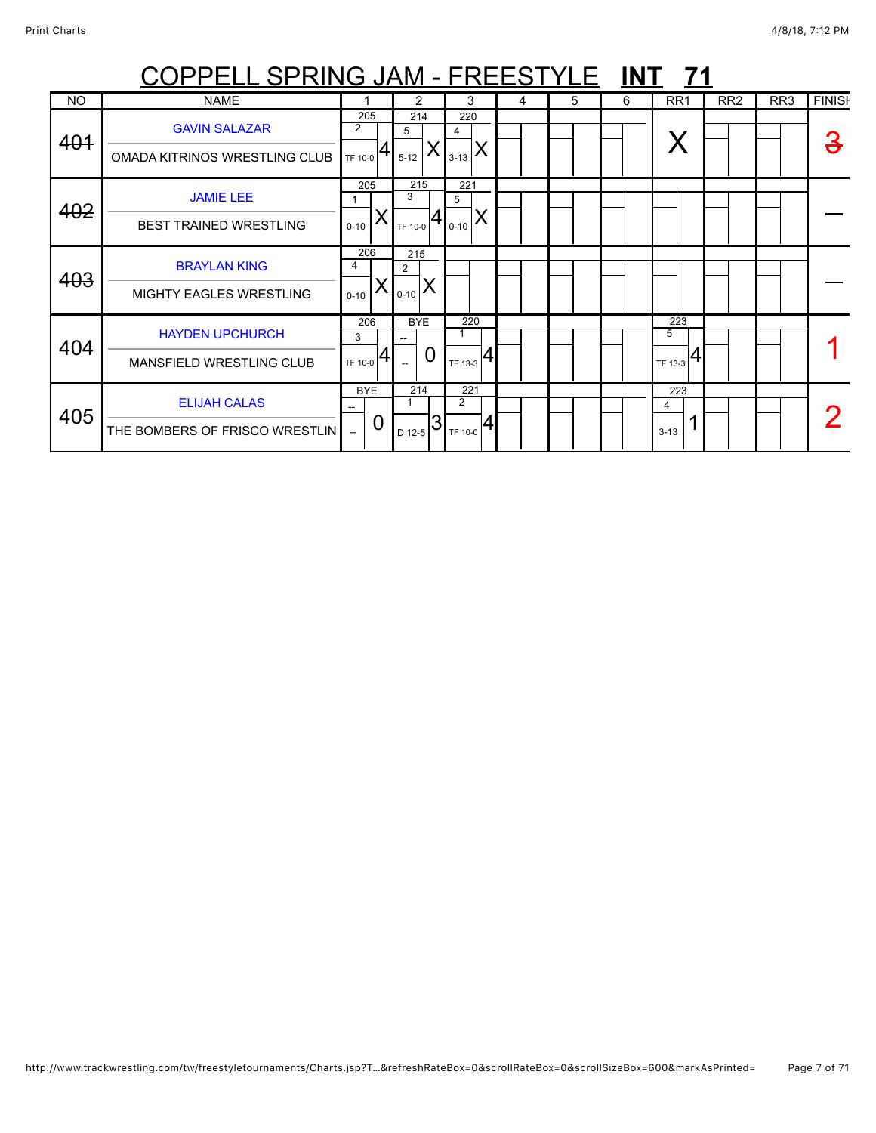| <u>COPPELL SPRING JAM - FREESTYLE INT</u><br>- 71 |                                                           |                                                   |                           |    |                                  |   |   |   |                          |                 |                 |               |
|---------------------------------------------------|-----------------------------------------------------------|---------------------------------------------------|---------------------------|----|----------------------------------|---|---|---|--------------------------|-----------------|-----------------|---------------|
| <b>NO</b>                                         | <b>NAME</b>                                               |                                                   | 2                         |    | 3                                | 4 | 5 | 6 | RR <sub>1</sub>          | RR <sub>2</sub> | RR <sub>3</sub> | <b>FINISH</b> |
| 401                                               | <b>GAVIN SALAZAR</b><br>OMADA KITRINOS WRESTLING CLUB     | 205<br>$\overline{2}$<br>TF 10-0                  | 214<br>5<br>$5 - 12$      |    | 220<br>4<br>X<br>$3 - 13$        |   |   |   |                          |                 |                 |               |
| 402                                               | <b>JAMIE LEE</b><br>BEST TRAINED WRESTLING                | 205<br>$0 - 10$                                   | 215<br>3<br>TF 10-0       | 41 | 221<br>5<br>Χ<br>$0 - 10$        |   |   |   |                          |                 |                 |               |
| 403                                               | <b>BRAYLAN KING</b><br><b>MIGHTY EAGLES WRESTLING</b>     | 206<br>4<br>$0 - 10$                              | 215<br>2<br>$ I_{0-10} X$ |    |                                  |   |   |   |                          |                 |                 |               |
| 404                                               | <b>HAYDEN UPCHURCH</b><br><b>MANSFIELD WRESTLING CLUB</b> | 206<br>3<br>TF 10-0                               | <b>BYE</b>                | 0  | 220<br>TF 13-3                   |   |   |   | 223<br>5<br>4<br>TF 13-3 |                 |                 |               |
| 405                                               | <b>ELIJAH CALAS</b><br>THE BOMBERS OF FRISCO WRESTLIN     | <b>BYE</b><br>۰.<br>0<br>$\overline{\phantom{a}}$ | 214<br>D 12-5             | 3  | 221<br>$\overline{2}$<br>TF 10-0 |   |   |   | 223<br>4<br>$3-13$       |                 |                 |               |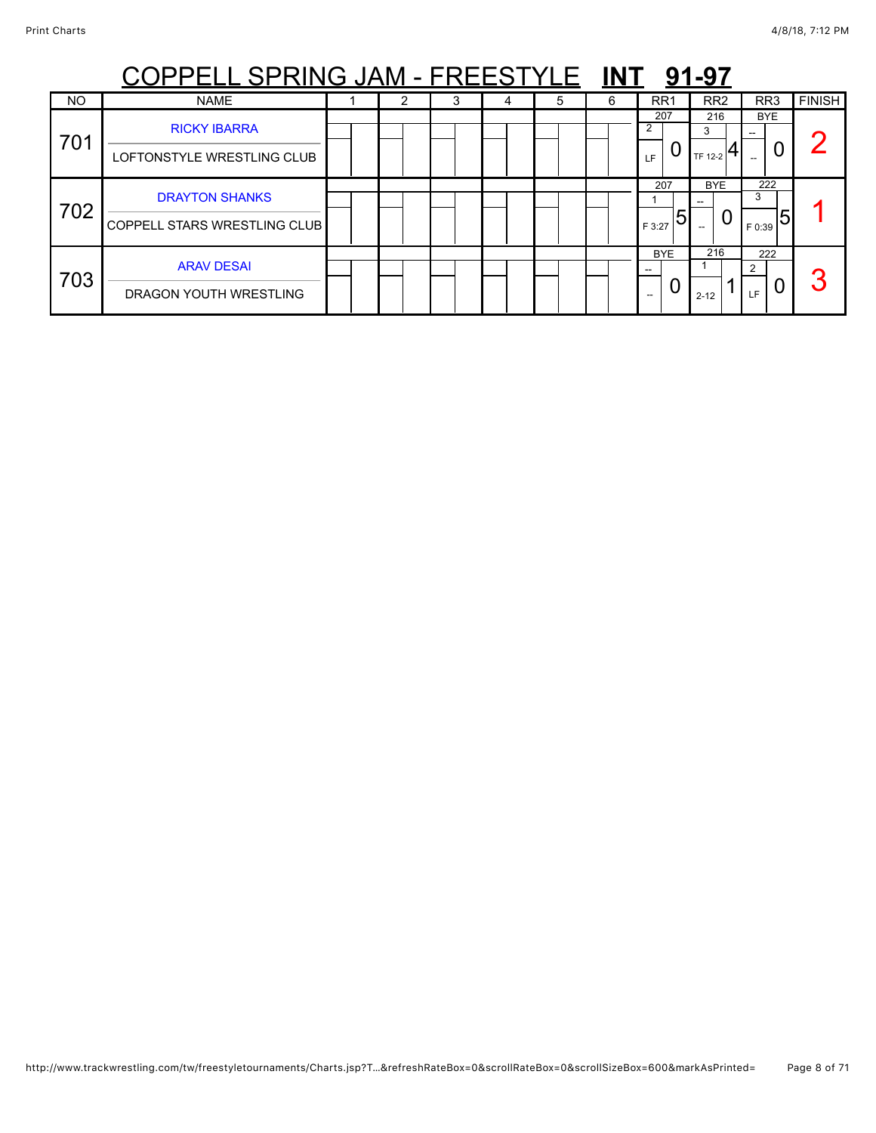|     | <u> PPELL SPRING JAM - FREESTYLE</u>                         |   |   |   | 91-97 |   |                                      |                     |                         |               |
|-----|--------------------------------------------------------------|---|---|---|-------|---|--------------------------------------|---------------------|-------------------------|---------------|
| NO  | <b>NAME</b>                                                  | 2 | 3 | 4 | 5     | 6 | RR <sub>1</sub>                      | RR <sub>2</sub>     | RR <sub>3</sub>         | <b>FINISH</b> |
| 701 | <b>RICKY IBARRA</b><br>LOFTONSTYLE WRESTLING CLUB            |   |   |   |       |   | 207<br>2<br>LF                       | 216<br>3<br>TF 12-2 | <b>BYE</b><br>U         |               |
| 702 | <b>DRAYTON SHANKS</b><br><b>COPPELL STARS WRESTLING CLUB</b> |   |   |   |       |   | 207<br>5<br>F 3:27                   | <b>BYE</b><br>U     | 222<br>3<br>5<br>F 0:39 |               |
| 703 | <b>ARAV DESAI</b><br>DRAGON YOUTH WRESTLING                  |   |   |   |       |   | <b>BYE</b><br>$\overline{a}$<br>$--$ | 216<br>$2 - 12$     | 222<br>ົ<br>LF.         | σ             |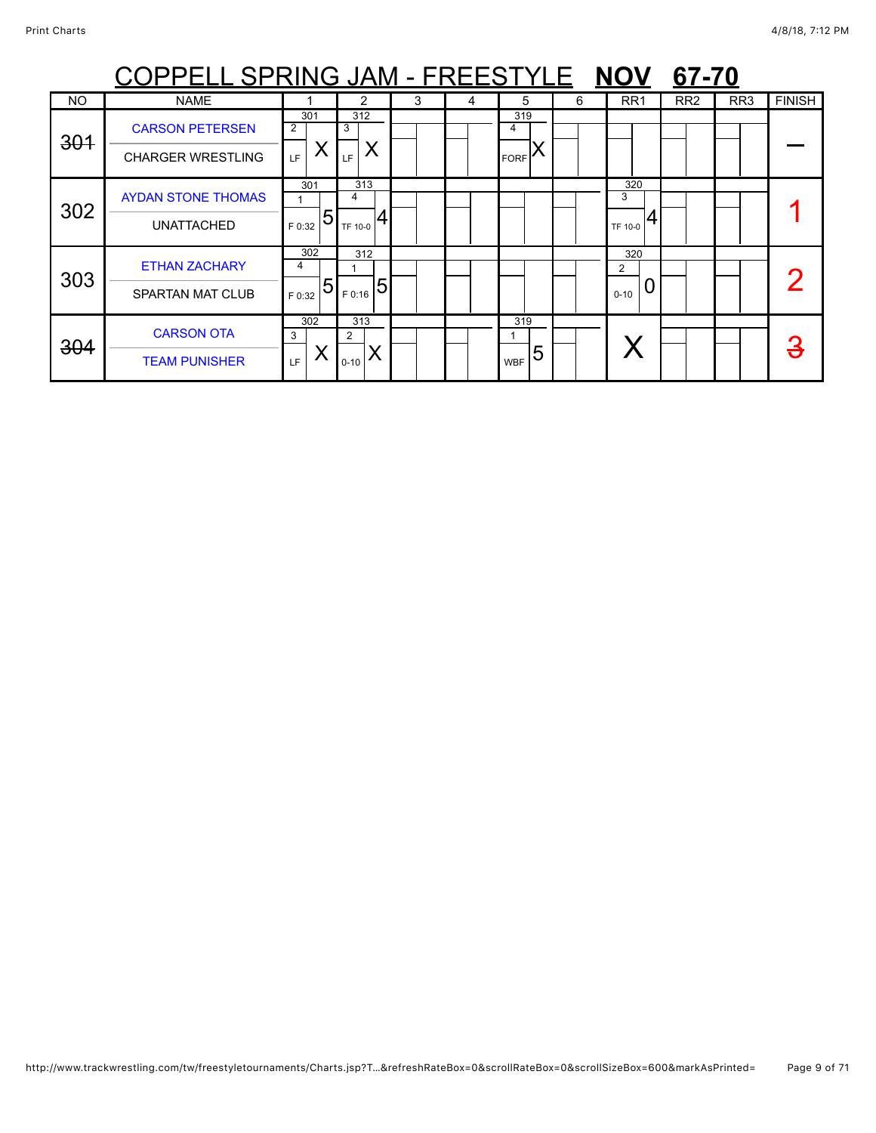| <u> OPPELL SPRING JAM - FREESTYLE</u><br><b>NOV</b><br>67-70 |                           |             |             |   |   |                 |   |                 |                 |                 |               |  |  |  |
|--------------------------------------------------------------|---------------------------|-------------|-------------|---|---|-----------------|---|-----------------|-----------------|-----------------|---------------|--|--|--|
| <b>NO</b>                                                    | <b>NAME</b>               |             | 2           | 3 | 4 | 5               | 6 | RR <sub>1</sub> | RR <sub>2</sub> | RR <sub>3</sub> | <b>FINISH</b> |  |  |  |
| 301                                                          | <b>CARSON PETERSEN</b>    | 301<br>2    | 312<br>3    |   |   | 319<br>4        |   |                 |                 |                 |               |  |  |  |
|                                                              | <b>CHARGER WRESTLING</b>  | Χ<br>LF.    | LF.         |   |   | <b>FORF</b>     |   |                 |                 |                 |               |  |  |  |
|                                                              | <b>AYDAN STONE THOMAS</b> | 301         | 313<br>4    |   |   |                 |   | 320<br>3        |                 |                 |               |  |  |  |
| 302                                                          | <b>UNATTACHED</b>         | 5<br>F 0:32 | TF 10-0     |   |   |                 |   | TF 10-0         |                 |                 |               |  |  |  |
|                                                              | <b>ETHAN ZACHARY</b>      | 302<br>4    | 312         |   |   |                 |   | 320<br>2        |                 |                 |               |  |  |  |
| 303                                                          | <b>SPARTAN MAT CLUB</b>   | 5<br>F 0:32 | 5<br>F 0:16 |   |   |                 |   | $0 - 10$        |                 |                 |               |  |  |  |
| 304                                                          | <b>CARSON OTA</b>         | 302<br>3    | 313<br>2    |   |   | 319             |   |                 |                 |                 |               |  |  |  |
|                                                              | <b>TEAM PUNISHER</b>      | LF.         | $0 - 10$    |   |   | 5<br><b>WBF</b> |   |                 |                 |                 |               |  |  |  |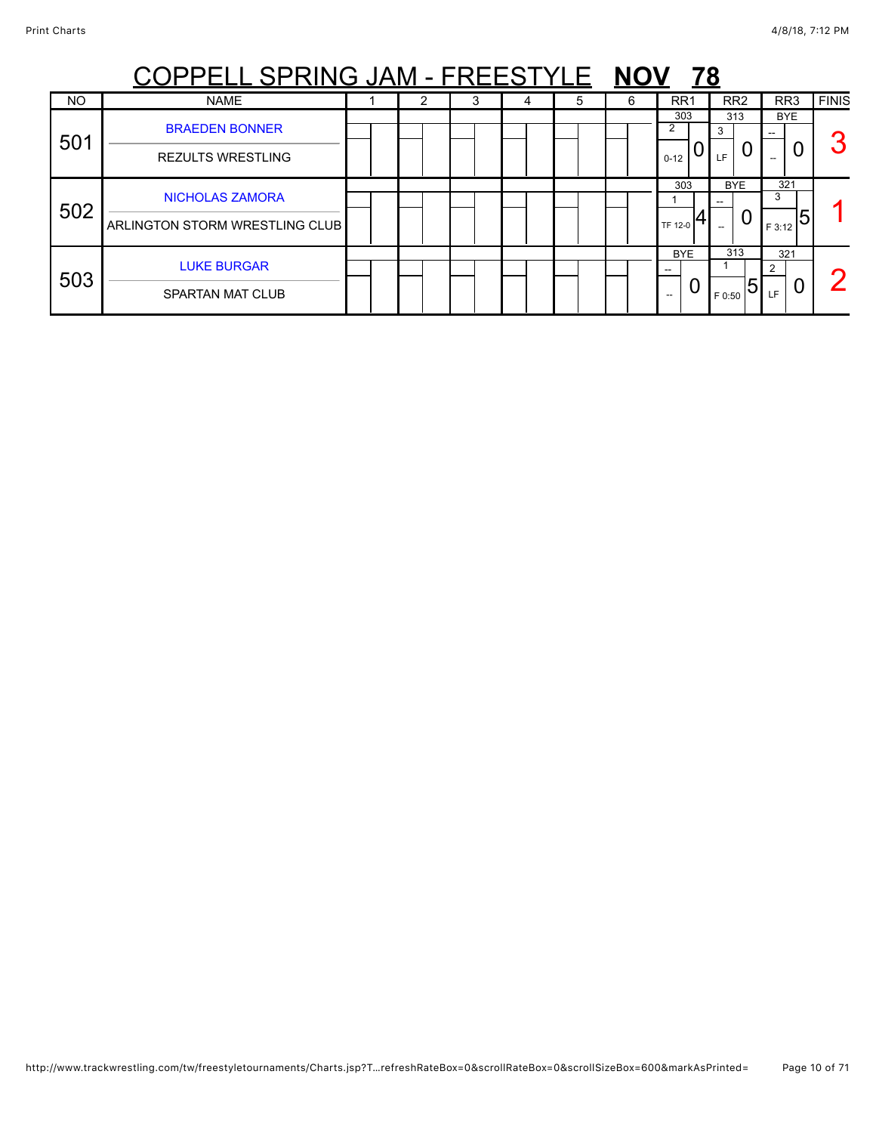|           | PPELL SPRING JAM - FREESTYLE                                    |  | <b>NOV</b> | 78 |   |   |                       |                     |                          |              |
|-----------|-----------------------------------------------------------------|--|------------|----|---|---|-----------------------|---------------------|--------------------------|--------------|
| <b>NO</b> | <b>NAME</b>                                                     |  | 3          | 4  | 5 | 6 | RR <sub>1</sub>       | RR <sub>2</sub>     | RR <sub>3</sub>          | <b>FINIS</b> |
| 501       | <b>BRAEDEN BONNER</b><br><b>REZULTS WRESTLING</b>               |  |            |    |   |   | 303<br>2<br>$0 - 12$  | 313<br>3<br>U<br>LF | <b>BYE</b>               | c            |
| 502       | <b>NICHOLAS ZAMORA</b><br><b>ARLINGTON STORM WRESTLING CLUB</b> |  |            |    |   |   | 303<br>TF 12-0        | <b>BYE</b><br>0     | 321<br>3<br>15<br>F 3:12 |              |
| 503       | <b>LUKE BURGAR</b><br><b>SPARTAN MAT CLUB</b>                   |  |            |    |   |   | <b>BYE</b><br>U<br>-- | 313<br>5<br>F 0:50  | 321<br>っ<br>U<br>LF      |              |

http://www.trackwrestling.com/tw/freestyletournaments/Charts.jsp?T…refreshRateBox=0&scrollRateBox=0&scrollSizeBox=600&markAsPrinted= Page 10 of 71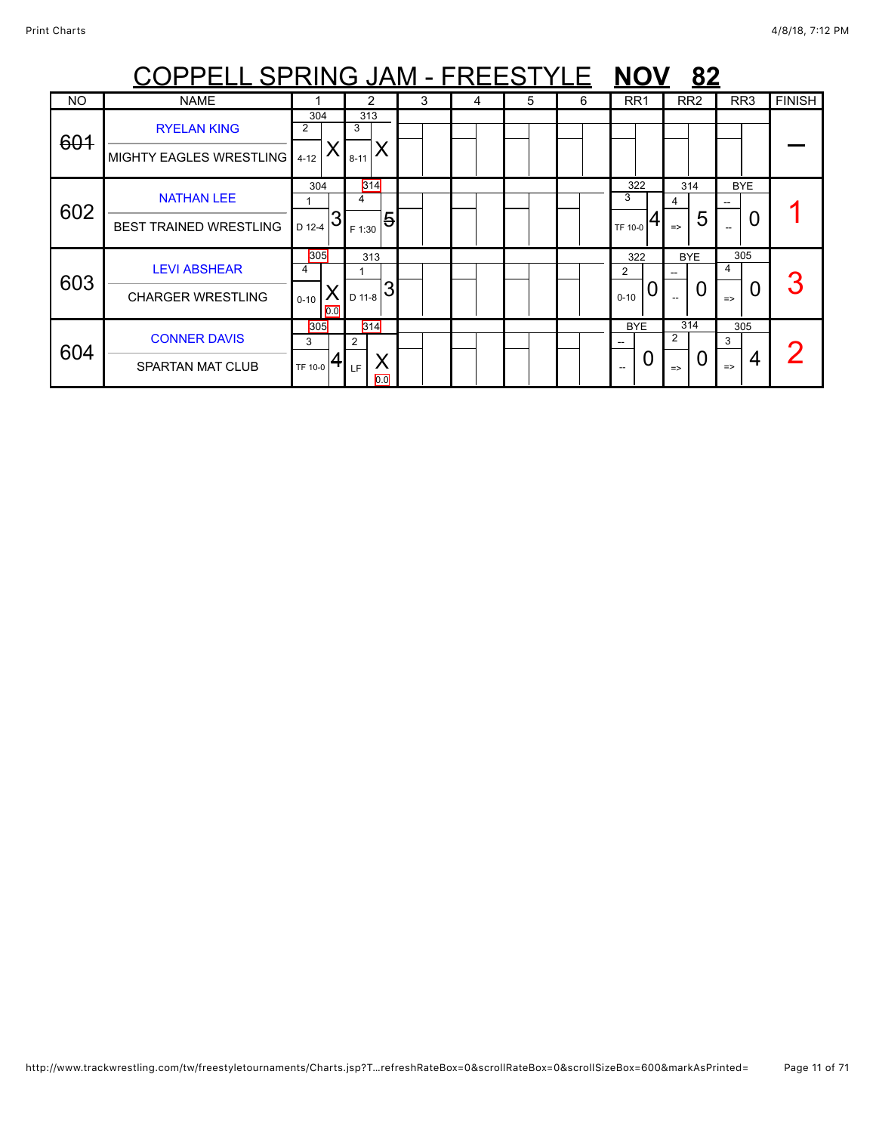|           | <u> OPPELL SPRING JAM - FREESTYLE</u>                |                                  |                            |   |   |   |   | <b>NOV</b>                | 82                                                                      |                                |               |
|-----------|------------------------------------------------------|----------------------------------|----------------------------|---|---|---|---|---------------------------|-------------------------------------------------------------------------|--------------------------------|---------------|
| <b>NO</b> | <b>NAME</b>                                          |                                  | 2                          | 3 | 4 | 5 | 6 | RR <sub>1</sub>           | RR <sub>2</sub>                                                         | RR <sub>3</sub>                | <b>FINISH</b> |
| 601       | <b>RYELAN KING</b><br>MIGHTY EAGLES WRESTLING   4-12 | 304<br>$\overline{2}$            | 313<br>3<br>X<br>$8 - 11$  |   |   |   |   |                           |                                                                         |                                |               |
| 602       | <b>NATHAN LEE</b><br><b>BEST TRAINED WRESTLING</b>   | 304<br>D 12-4                    | 314<br>4<br>5<br>F 1:30    |   |   |   |   | 322<br>TF 10-0            | 314<br>4<br>5<br>$\Rightarrow$                                          | <b>BYE</b><br>0<br>$-$         |               |
| 603       | <b>LEVI ABSHEAR</b><br><b>CHARGER WRESTLING</b>      | 305<br>4<br>Х<br>$0 - 10$<br>0.0 | 313<br>3<br>D 11-8         |   |   |   |   | 322<br>2<br>O<br>$0 - 10$ | <b>BYE</b><br>$\overline{a}$<br>U<br>$\hspace{0.05cm} -\hspace{0.05cm}$ | 305<br>4<br>O<br>$\Rightarrow$ |               |
| 604       | <b>CONNER DAVIS</b><br><b>SPARTAN MAT CLUB</b>       | 305<br>3<br>TF 10-0              | 314<br>2<br>Χ<br>LF<br>0.0 |   |   |   |   | <b>BYE</b>                | 314<br>2<br>U<br>$\Rightarrow$                                          | 305<br>3<br>4<br>$\Rightarrow$ |               |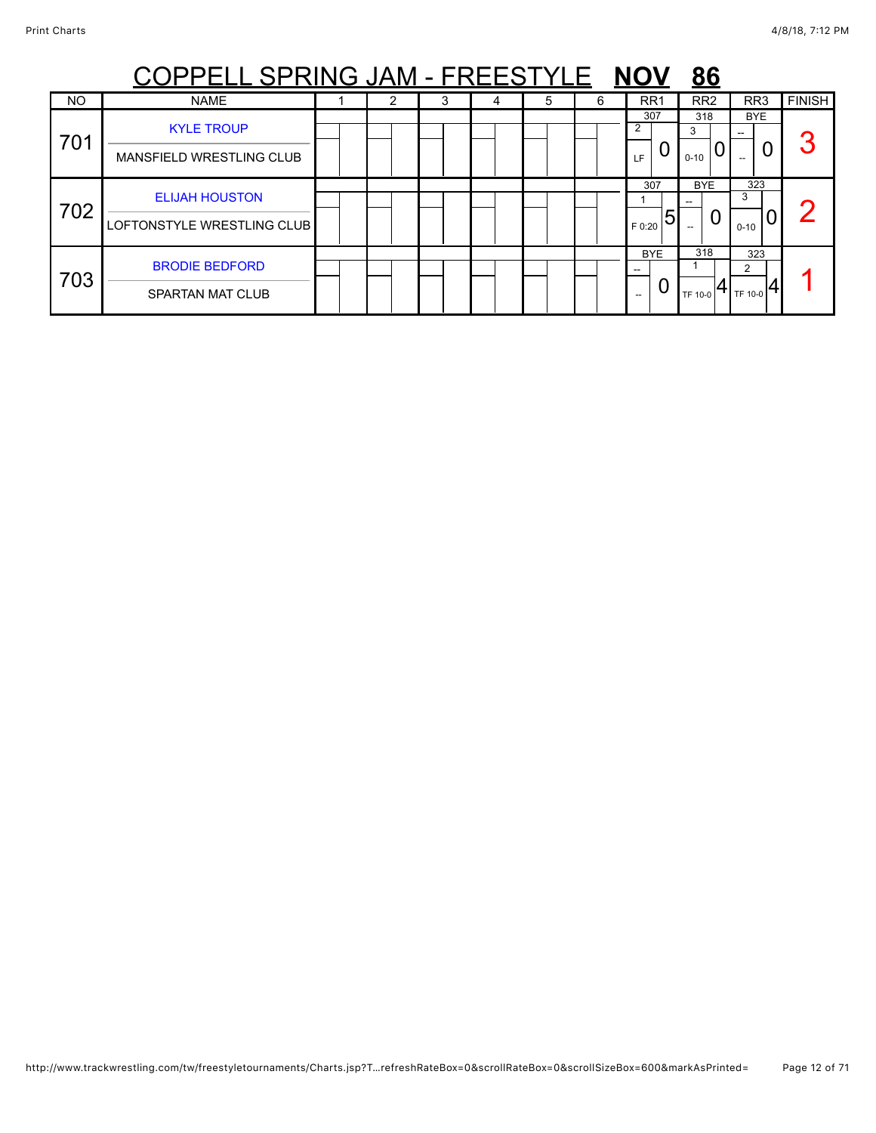|           | PPELL SPRING JAM - FREESTYLE                        |  |   |   |   | <b>NOV</b>          | <u>86</u>            |                      |               |
|-----------|-----------------------------------------------------|--|---|---|---|---------------------|----------------------|----------------------|---------------|
| <b>NO</b> | <b>NAME</b>                                         |  | 4 | 5 | 6 | RR <sub>1</sub>     | RR <sub>2</sub>      | RR <sub>3</sub>      | <b>FINISH</b> |
| 701       | <b>KYLE TROUP</b><br>MANSFIELD WRESTLING CLUB       |  |   |   |   | 307<br>2<br>U<br>LF | 318<br>3<br>$0 - 10$ | <b>BYE</b><br>0      | $\mathbf{C}$  |
| 702       | <b>ELIJAH HOUSTON</b><br>LOFTONSTYLE WRESTLING CLUB |  |   |   |   | 307<br>5<br>F 0:20  | <b>BYE</b><br>U      | 323<br>3<br>$0 - 10$ | σ             |
| 703       | <b>BRODIE BEDFORD</b><br>SPARTAN MAT CLUB           |  |   |   |   | <b>BYE</b><br>$- -$ | 318<br>TF 10-0       | 323<br>2<br>TF 10-0  |               |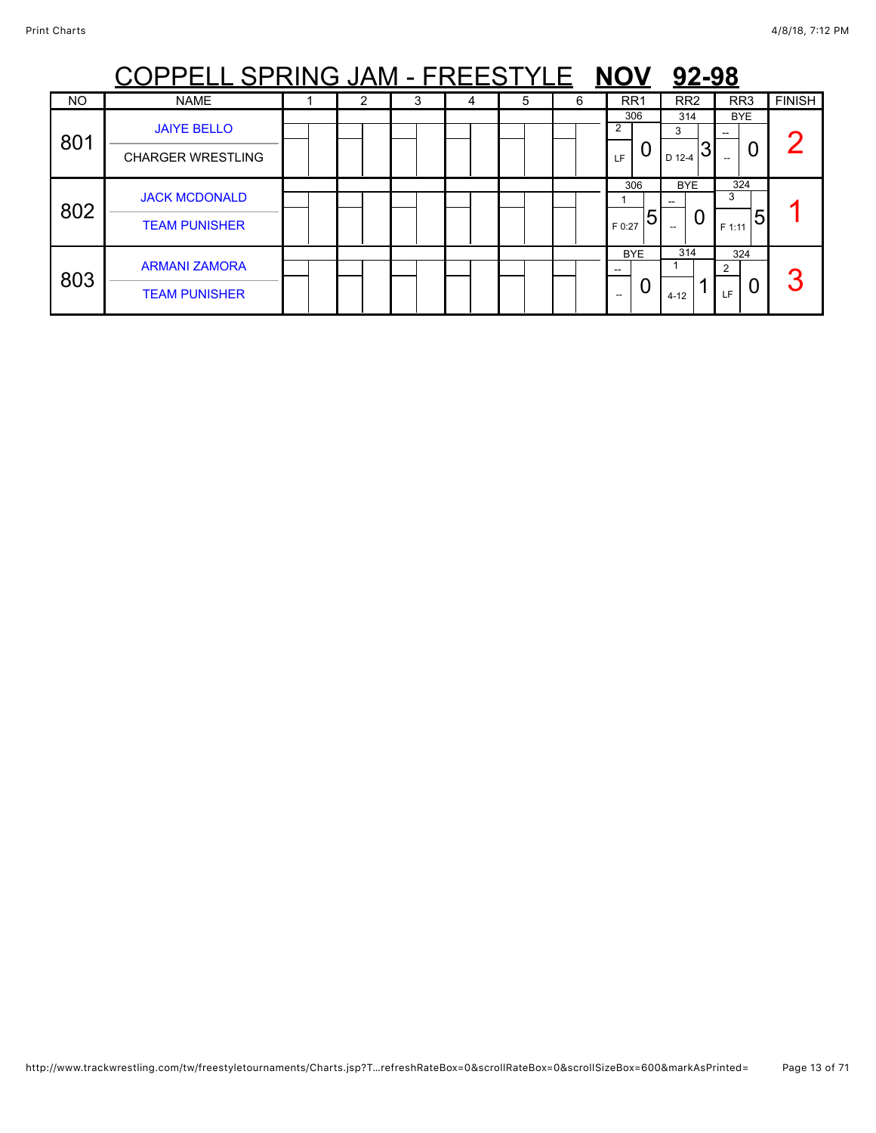| PPELL SPRING JAM - FREESTYLE NOV<br>92-98 |                                                |  |   |   |   |   |   |                                 |                                             |                                   |               |  |  |
|-------------------------------------------|------------------------------------------------|--|---|---|---|---|---|---------------------------------|---------------------------------------------|-----------------------------------|---------------|--|--|
| <b>NO</b>                                 | <b>NAME</b>                                    |  | 2 | 3 | 4 | 5 | 6 | RR <sub>1</sub>                 | RR <sub>2</sub>                             | RR <sub>3</sub>                   | <b>FINISH</b> |  |  |
| 801                                       | <b>JAIYE BELLO</b><br><b>CHARGER WRESTLING</b> |  |   |   |   |   |   | 306<br>2<br>U<br>LF.            | 314<br>3<br>D 12-4                          | <b>BYE</b><br>U                   |               |  |  |
| 802                                       | <b>JACK MCDONALD</b><br><b>TEAM PUNISHER</b>   |  |   |   |   |   |   | 306<br>5<br>F 0:27              | <b>BYE</b><br>0<br>$\overline{\phantom{a}}$ | 324<br>3<br>F 1:11                |               |  |  |
| 803                                       | <b>ARMANI ZAMORA</b><br><b>TEAM PUNISHER</b>   |  |   |   |   |   |   | <b>BYE</b><br>$-$<br>U<br>$- -$ | 314<br>$4 - 12$                             | 324<br>$\overline{2}$<br>U<br>LF. | 3             |  |  |

### http://www.trackwrestling.com/tw/freestyletournaments/Charts.jsp?T…refreshRateBox=0&scrollRateBox=0&scrollSizeBox=600&markAsPrinted= Page 13 of 71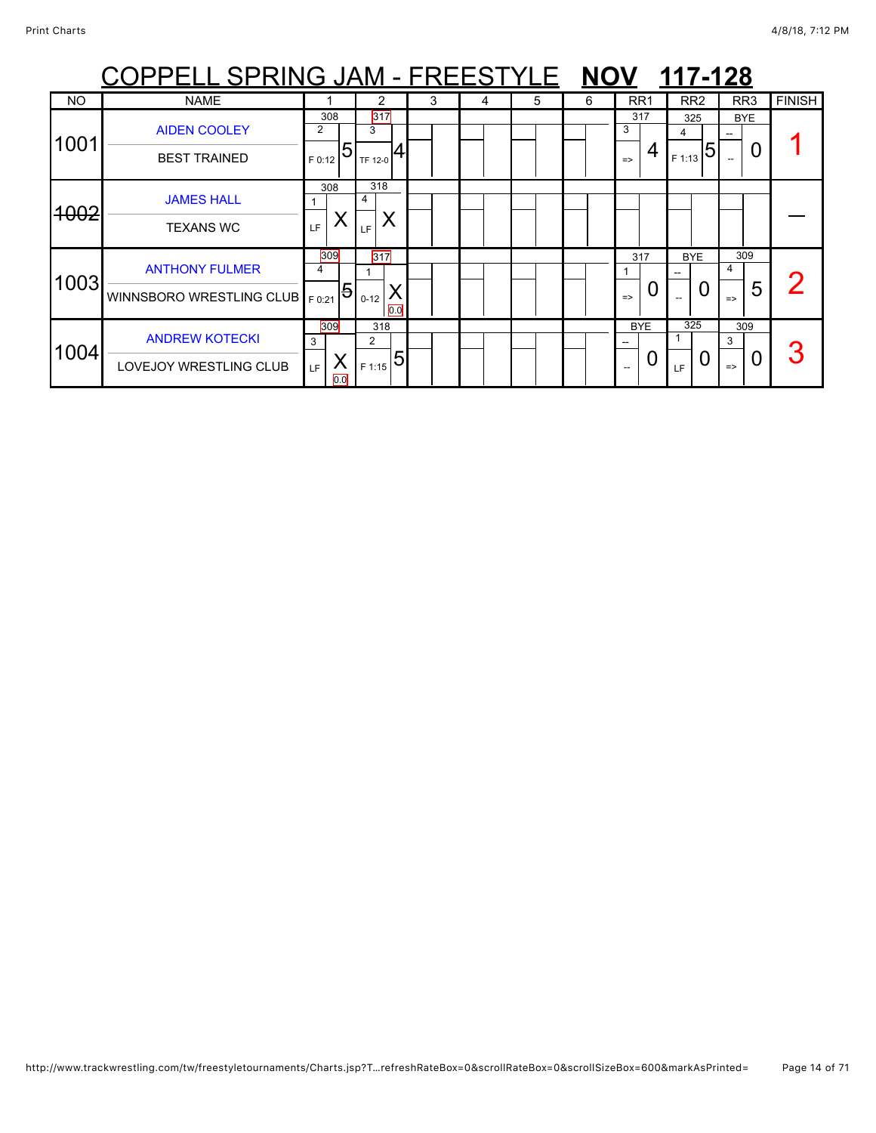|           | <u> OPPELL SPRING JAM - FREESTYLE NOV 117-128</u> |                |                 |   |   |   |   |                    |                 |                    |               |
|-----------|---------------------------------------------------|----------------|-----------------|---|---|---|---|--------------------|-----------------|--------------------|---------------|
| <b>NO</b> | <b>NAME</b>                                       |                | 2               | 3 | 4 | 5 | 6 | RR <sub>1</sub>    | RR <sub>2</sub> | RR <sub>3</sub>    | <b>FINISH</b> |
| 1001      | <b>AIDEN COOLEY</b>                               | 308<br>2<br>5  | 317<br>3        |   |   |   |   | 317<br>3<br>4      | 325<br>4<br>5   | BYE<br>0           |               |
|           | <b>BEST TRAINED</b>                               | F 0:12<br>308  | TF 12-0<br>318  |   |   |   |   | $\Rightarrow$      | F 1:13          |                    |               |
| 4002      | <b>JAMES HALL</b>                                 | Χ              | 4               |   |   |   |   |                    |                 |                    |               |
|           | <b>TEXANS WC</b>                                  | LF.            | LF              |   |   |   |   |                    |                 |                    |               |
| 1003      | <b>ANTHONY FULMER</b>                             | 309<br>4       | 317             |   |   |   |   | 317                | <b>BYE</b>      | 309<br>4           |               |
|           | WINNSBORO WRESTLING CLUB   F0:21                  | $\overline{5}$ | $0 - 12$<br>0.0 |   |   |   |   | O<br>$\Rightarrow$ | 0               | 5<br>$\Rightarrow$ |               |
|           | <b>ANDREW KOTECKI</b>                             | 309<br>3       | 318<br>2        |   |   |   |   | <b>BYE</b>         | 325             | 309<br>3           |               |
| 1004      | LOVEJOY WRESTLING CLUB                            | Χ<br>LF<br>0.0 | 5<br>F 1:15     |   |   |   |   | 0                  | LF              | $\Rightarrow$      |               |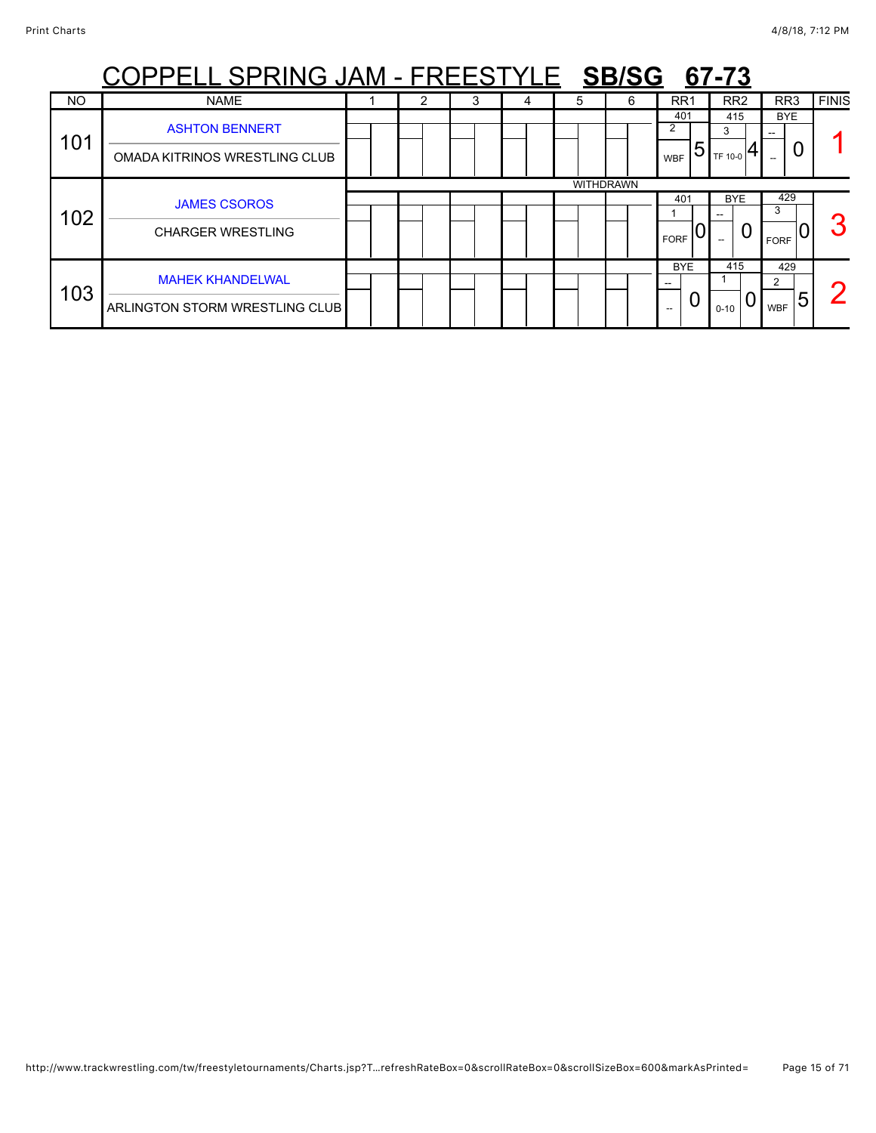| <u> PPELL SPRING JAM - FREESTYLE SB/SG</u><br>67-73 |                                                        |  |   |   |   |   |                  |                             |                     |                          |              |  |  |
|-----------------------------------------------------|--------------------------------------------------------|--|---|---|---|---|------------------|-----------------------------|---------------------|--------------------------|--------------|--|--|
| <b>NO</b>                                           | <b>NAME</b>                                            |  | 2 | 3 | 4 | 5 | 6                | RR1                         | RR <sub>2</sub>     | RR <sub>3</sub>          | <b>FINIS</b> |  |  |
| 101                                                 | <b>ASHTON BENNERT</b><br>OMADA KITRINOS WRESTLING CLUB |  |   |   |   |   |                  | 401<br>2<br>5<br><b>WBF</b> | 415<br>3<br>TF 10-0 | <b>BYE</b><br>0          |              |  |  |
|                                                     |                                                        |  |   |   |   |   | <b>WITHDRAWN</b> | 401                         | <b>BYE</b>          | 429                      |              |  |  |
| 102                                                 | <b>JAMES CSOROS</b>                                    |  |   |   |   |   |                  |                             |                     | 3                        |              |  |  |
|                                                     | <b>CHARGER WRESTLING</b>                               |  |   |   |   |   |                  | <b>FORF</b>                 | 0                   | <b>FORF</b>              |              |  |  |
| 103                                                 | <b>MAHEK KHANDELWAL</b>                                |  |   |   |   |   |                  | <b>BYE</b><br>U             | 415                 | 429<br>$\mathbf{2}$<br>ხ |              |  |  |
|                                                     | ARLINGTON STORM WRESTLING CLUB                         |  |   |   |   |   |                  | --                          | $0 - 10$            | <b>WBF</b>               |              |  |  |

## http://www.trackwrestling.com/tw/freestyletournaments/Charts.jsp?T…refreshRateBox=0&scrollRateBox=0&scrollSizeBox=600&markAsPrinted= Page 15 of 71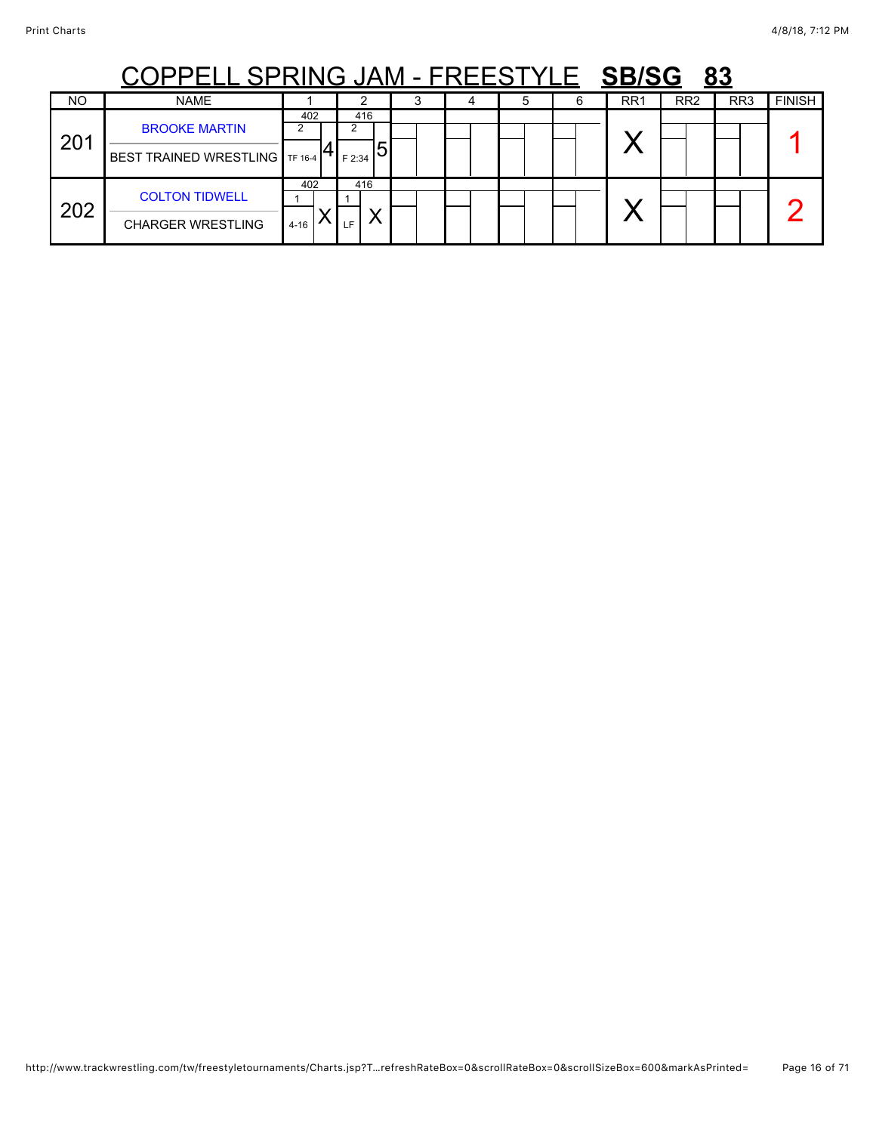|     | <b>ELL SPRING JAM - FREESTYLE SB/SG</b>                  |                 |                    |  |  |                 |                 | 83              |               |
|-----|----------------------------------------------------------|-----------------|--------------------|--|--|-----------------|-----------------|-----------------|---------------|
| NO  | <b>NAME</b>                                              |                 |                    |  |  | RR <sub>1</sub> | RR <sub>2</sub> | RR <sub>3</sub> | <b>FINISH</b> |
| 201 | <b>BROOKE MARTIN</b><br>BEST TRAINED WRESTLING   TF 16-4 | 402             | 416<br>5<br>F 2:34 |  |  |                 |                 |                 |               |
| 202 | <b>COLTON TIDWELL</b><br><b>CHARGER WRESTLING</b>        | 402<br>$4 - 16$ | 416<br>LE.         |  |  |                 |                 |                 |               |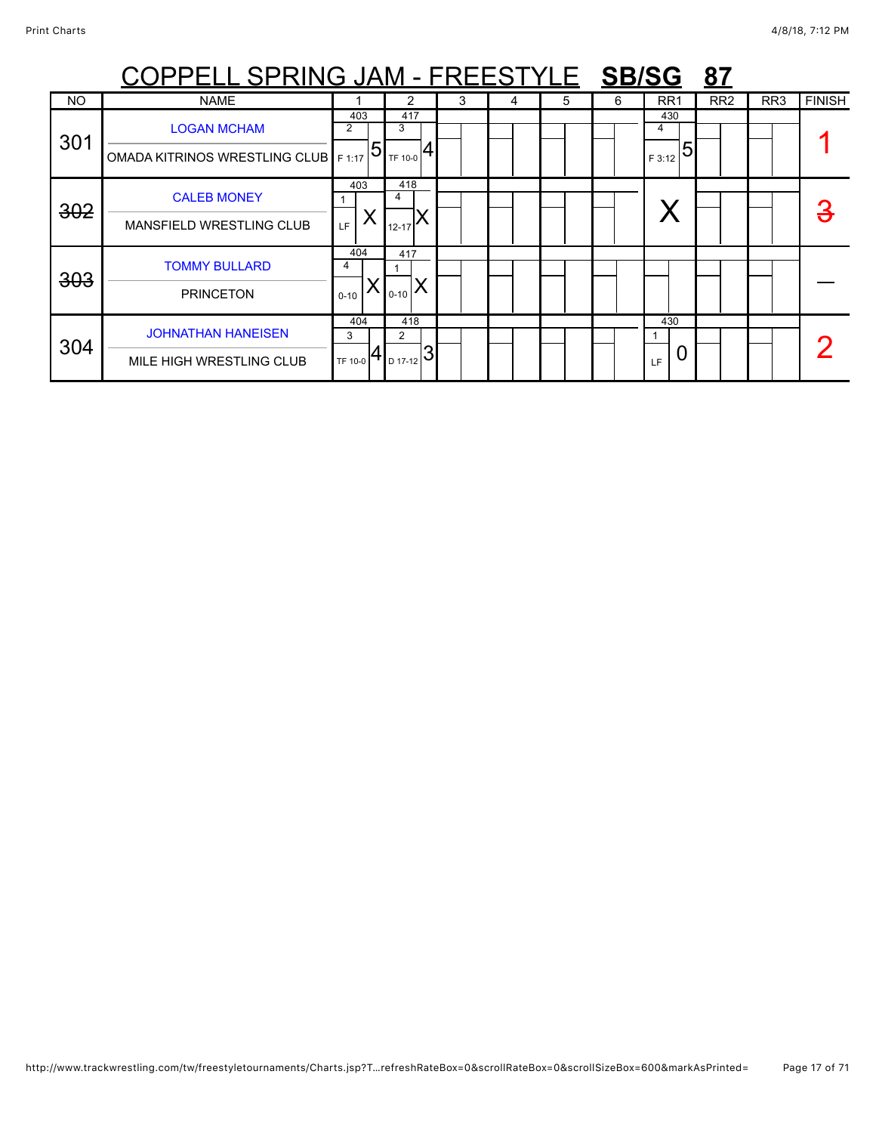|           | COPPELL SPRING JAM - FREESTYLE SB/SG                        |                        |                                                  |   |   |   |   |                         | <u>87</u>       |                 |               |
|-----------|-------------------------------------------------------------|------------------------|--------------------------------------------------|---|---|---|---|-------------------------|-----------------|-----------------|---------------|
| <b>NO</b> | <b>NAME</b>                                                 |                        |                                                  | 3 | 4 | 5 | 6 | RR <sub>1</sub>         | RR <sub>2</sub> | RR <sub>3</sub> | <b>FINISH</b> |
| 301       | <b>LOGAN MCHAM</b><br>OMADA KITRINOS WRESTLING CLUB   F1:17 | 403<br>2<br>$\sqrt{5}$ | 417<br>3<br>TF 10-0                              |   |   |   |   | 430<br>4<br>5<br>F 3:12 |                 |                 |               |
| 302       | <b>CALEB MONEY</b><br><b>MANSFIELD WRESTLING CLUB</b>       | 403<br>Χ<br>LF         | 418<br>4<br>$12 - 17$                            |   |   |   |   |                         |                 |                 | З             |
| 303       | <b>TOMMY BULLARD</b><br><b>PRINCETON</b>                    | 404<br>4<br>$0 - 10$   | 417<br>$0 - 10$                                  |   |   |   |   |                         |                 |                 |               |
| 304       | <b>JOHNATHAN HANEISEN</b><br>MILE HIGH WRESTLING CLUB       | 404<br>3<br>TF 10-0    | 418<br>$\overline{2}$<br>$\frac{1}{10}$ 17-12 31 |   |   |   |   | 430<br>LF               |                 |                 |               |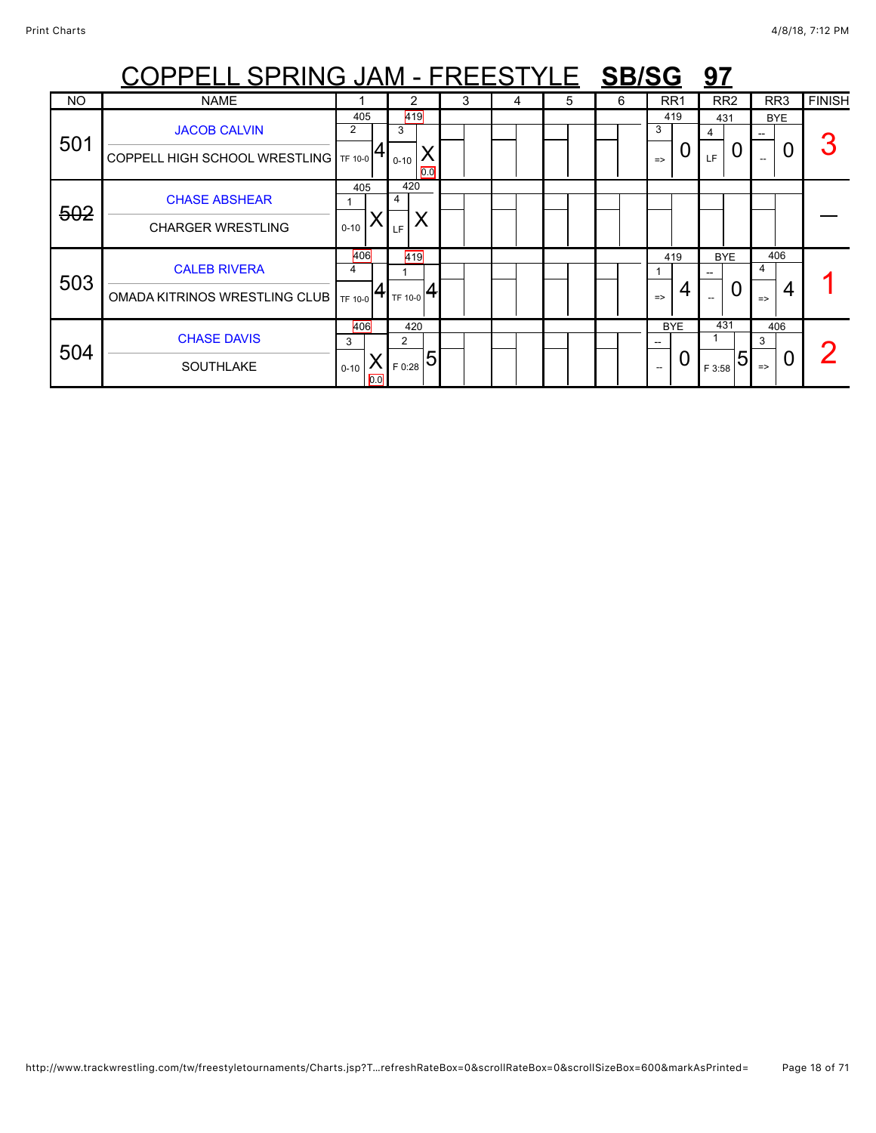|           | <u> COPPELL SPRING JAM - FREESTYLE SB/SG</u>                   |                             |                                   |   |   |   |   |                           | <u>97</u>                              |                                |               |
|-----------|----------------------------------------------------------------|-----------------------------|-----------------------------------|---|---|---|---|---------------------------|----------------------------------------|--------------------------------|---------------|
| <b>NO</b> | <b>NAME</b>                                                    |                             | 2                                 | 3 | 4 | 5 | 6 | RR <sub>1</sub>           | RR <sub>2</sub>                        | RR <sub>3</sub>                | <b>FINISH</b> |
| 501       | <b>JACOB CALVIN</b><br>COPPELL HIGH SCHOOL WRESTLING   TF 10-0 | 405<br>2                    | 419<br>3<br>$0 - 10$<br>0.0       |   |   |   |   | 419<br>3<br>$\Rightarrow$ | 431<br>0<br>LF.                        | <b>BYE</b><br>U                |               |
| 502       | <b>CHASE ABSHEAR</b><br><b>CHARGER WRESTLING</b>               | 405<br>$0 - 10$             | 420<br>4<br>LF                    |   |   |   |   |                           |                                        |                                |               |
| 503       | <b>CALEB RIVERA</b><br>OMADA KITRINOS WRESTLING CLUB TF 10-0   | 406<br>4                    | 419<br>TF 10-0                    |   |   |   |   | 419<br>$\Rightarrow$      | <b>BYE</b><br>U<br>$\hspace{0.05cm} -$ | 406<br>4<br>4<br>$\Rightarrow$ |               |
| 504       | <b>CHASE DAVIS</b><br><b>SOUTHLAKE</b>                         | 406<br>3<br>$0 - 10$<br>0.0 | 420<br>2<br>$\frac{1}{150:28}$ 51 |   |   |   |   | <b>BYE</b>                | 431<br>5<br>F 3:58                     | 406<br>3<br>$\Rightarrow$      |               |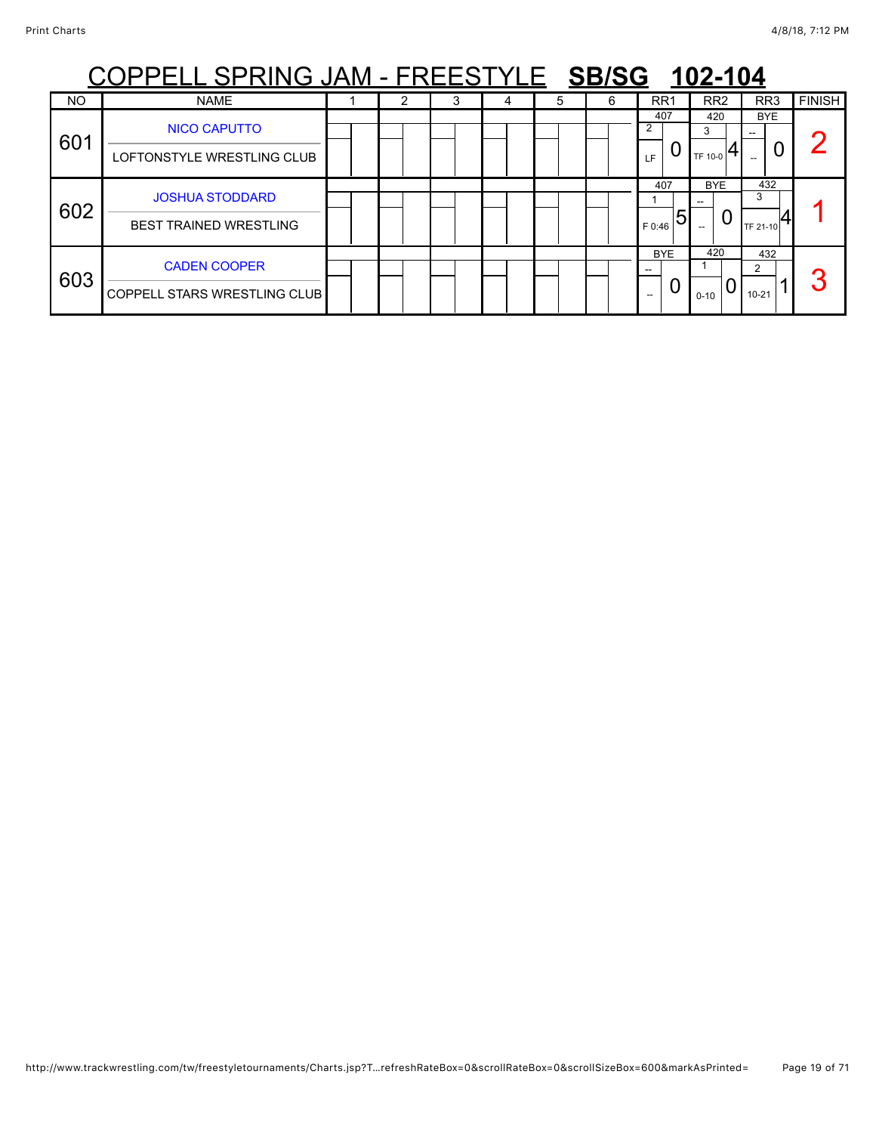| PPELL SPRING JAM - FREESTYLE SB/SG<br>102-104 |                                                         |  |  |   |  |   |   |                    |                          |                      |               |  |  |
|-----------------------------------------------|---------------------------------------------------------|--|--|---|--|---|---|--------------------|--------------------------|----------------------|---------------|--|--|
| <b>NO</b>                                     | <b>NAME</b>                                             |  |  | 3 |  | 5 | 6 | RR <sub>1</sub>    | RR <sub>2</sub>          | RR <sub>3</sub>      | <b>FINISH</b> |  |  |
| 601                                           | <b>NICO CAPUTTO</b><br>LOFTONSTYLE WRESTLING CLUB       |  |  |   |  |   |   | 407<br>2<br>LF     | 420<br>3<br>TF 10-0      | <b>BYE</b><br>U      |               |  |  |
| 602                                           | <b>JOSHUA STODDARD</b><br><b>BEST TRAINED WRESTLING</b> |  |  |   |  |   |   | 407<br>h<br>F 0:46 | <b>BYE</b><br>U<br>$- -$ | 432<br>3<br>TF 21-10 |               |  |  |
| 603                                           | <b>CADEN COOPER</b><br>COPPELL STARS WRESTLING CLUB     |  |  |   |  |   |   | <b>BYE</b><br>$-$  | 420<br>O<br>$0 - 10$     | 432<br>$10 - 21$     | σ             |  |  |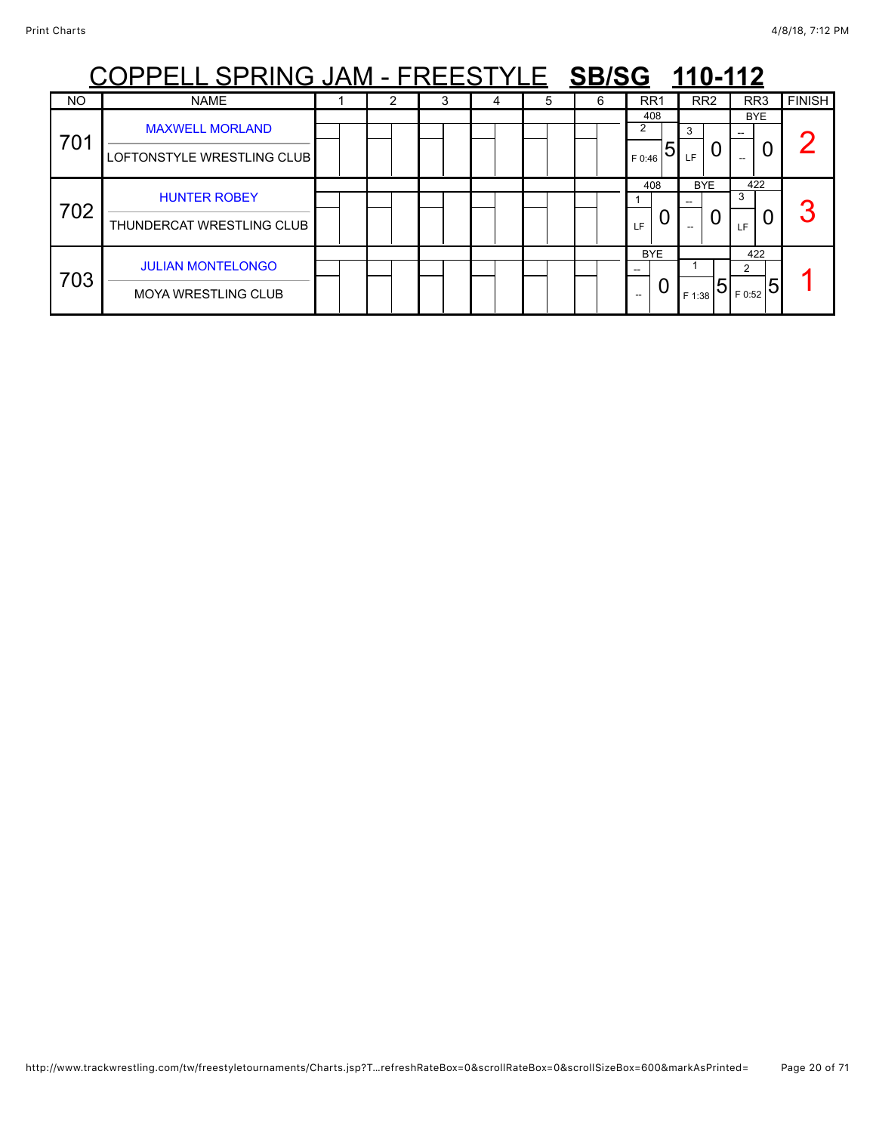|           | PPELL SPRING JAM - FREESTYLE SB/SG 110-112             |  |  |   |   |   |   |                                        |                 |                         |               |  |  |  |
|-----------|--------------------------------------------------------|--|--|---|---|---|---|----------------------------------------|-----------------|-------------------------|---------------|--|--|--|
| <b>NO</b> | <b>NAME</b>                                            |  |  | 3 | 4 | 5 | 6 | RR <sub>1</sub>                        | RR <sub>2</sub> | RR <sub>3</sub>         | <b>FINISH</b> |  |  |  |
| 701       | <b>MAXWELL MORLAND</b><br>LOFTONSTYLE WRESTLING CLUB   |  |  |   |   |   |   | 408<br>$\overline{2}$<br>5<br>F 0:46   | 3<br>LF.        | <b>BYE</b>              |               |  |  |  |
| 702       | <b>HUNTER ROBEY</b><br>THUNDERCAT WRESTLING CLUB       |  |  |   |   |   |   | 408<br>LF.                             | <b>BYE</b><br>O | 422<br>3<br>LF          | へ             |  |  |  |
| 703       | <b>JULIAN MONTELONGO</b><br><b>MOYA WRESTLING CLUB</b> |  |  |   |   |   |   | <b>BYE</b><br>O<br>$\hspace{0.05cm} -$ | 15<br>F 1:38    | 422<br>2<br>5<br>F 0:52 |               |  |  |  |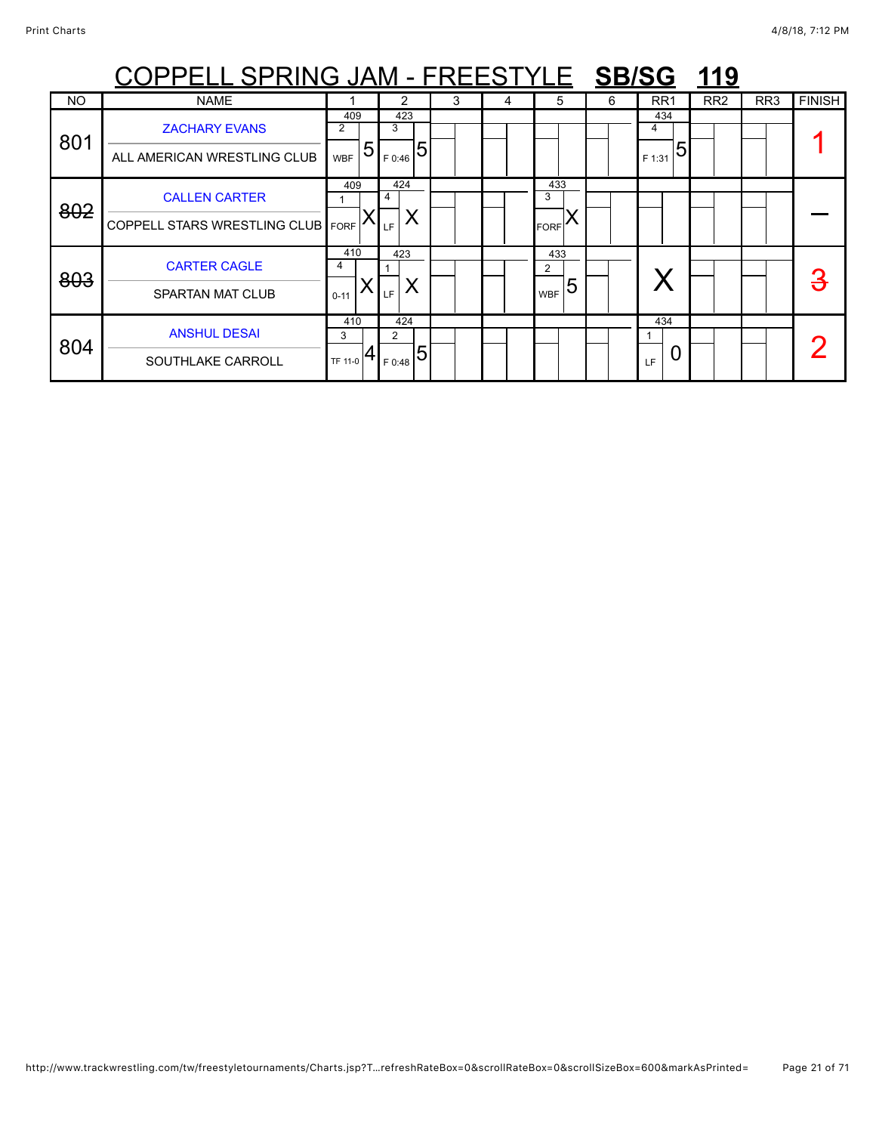|           | <u>COPPELL SPRING JAM - FREESTYLE SB/SG 119</u> |                 |                          |   |   |                 |   |                 |                 |     |               |
|-----------|-------------------------------------------------|-----------------|--------------------------|---|---|-----------------|---|-----------------|-----------------|-----|---------------|
| <b>NO</b> | <b>NAME</b>                                     |                 | 2                        | 3 | 4 | 5               | 6 | RR <sub>1</sub> | RR <sub>2</sub> | RR3 | <b>FINISH</b> |
| 801       | <b>ZACHARY EVANS</b>                            | 409<br>2        | 423<br>3                 |   |   |                 |   | 434<br>4        |                 |     |               |
|           | ALL AMERICAN WRESTLING CLUB                     | 5<br><b>WBF</b> | $\overline{5}$<br>F 0:46 |   |   |                 |   | 5<br>F 1:31     |                 |     |               |
| 802       | <b>CALLEN CARTER</b>                            | 409             | 424<br>4                 |   |   | 433<br>3        |   |                 |                 |     |               |
|           | <b>COPPELL STARS WRESTLING CLUB</b>             | <b>FORF</b>     | Χ<br>LF                  |   |   | <b>FORF</b>     |   |                 |                 |     |               |
| 803       | <b>CARTER CAGLE</b>                             | 410<br>4        | 423                      |   |   | 433<br>2        |   |                 |                 |     | З             |
|           | <b>SPARTAN MAT CLUB</b>                         | $0 - 11$        | LF.                      |   |   | 5<br><b>WBF</b> |   |                 |                 |     |               |
|           | <b>ANSHUL DESAI</b>                             | 410<br>3        | 424<br>$\overline{2}$    |   |   |                 |   | 434             |                 |     |               |
| 804       | SOUTHLAKE CARROLL                               | TF 11-0         | F 0:48                   |   |   |                 |   | U<br>LF         |                 |     |               |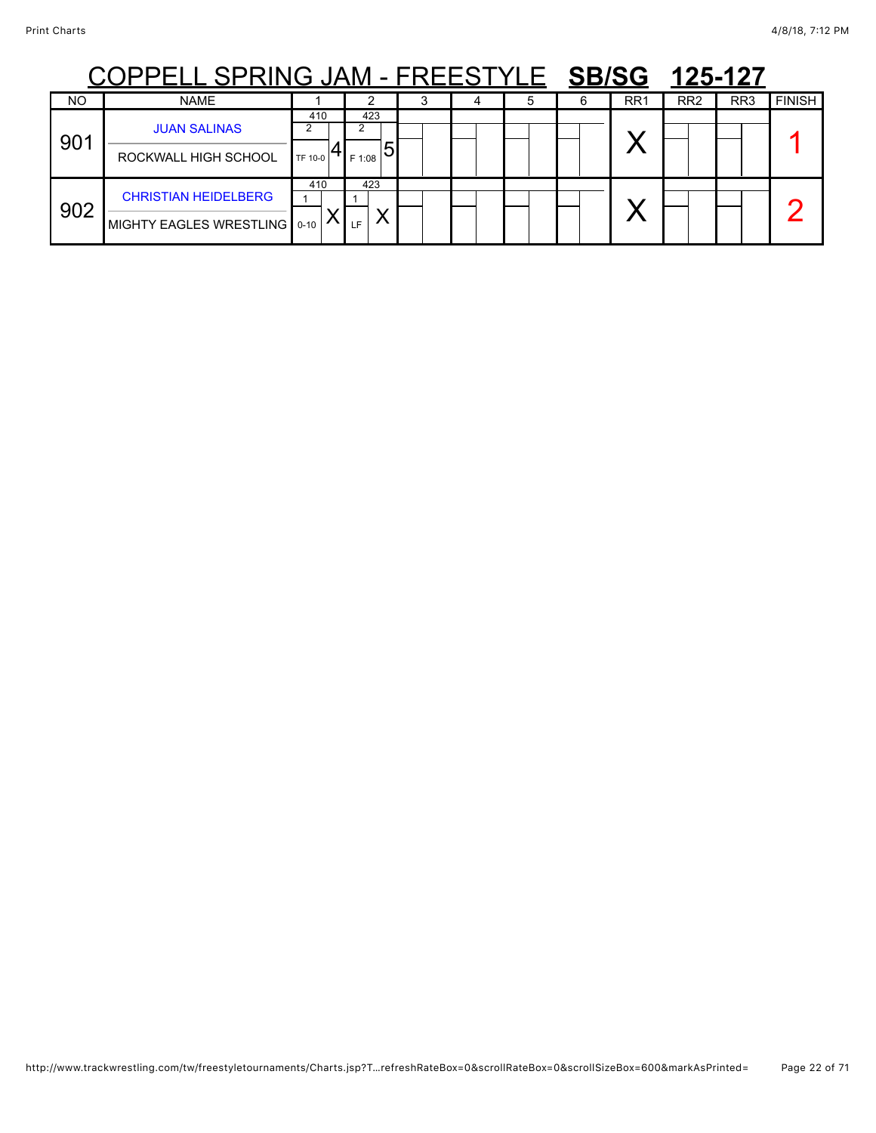## COPPELL SPRING JAM - FREESTYLE **SB/SG 125-127**

|           | ---<br>--- - -<br>.                                         |                |                             |  |  |                 |                 | .               |               |
|-----------|-------------------------------------------------------------|----------------|-----------------------------|--|--|-----------------|-----------------|-----------------|---------------|
| <b>NO</b> | <b>NAME</b>                                                 |                |                             |  |  | RR <sub>1</sub> | RR <sub>2</sub> | RR <sub>3</sub> | <b>FINISH</b> |
| 901       | <b>JUAN SALINAS</b><br>ROCKWALL HIGH SCHOOL                 | 410<br>TF 10-0 | 423<br>$_{\rm 1F\,1:08}$ 51 |  |  |                 |                 |                 |               |
| 902       | <b>CHRISTIAN HEIDELBERG</b><br>MIGHTY EAGLES WRESTLING 0-10 | 410            | 423<br>LF.                  |  |  |                 |                 |                 |               |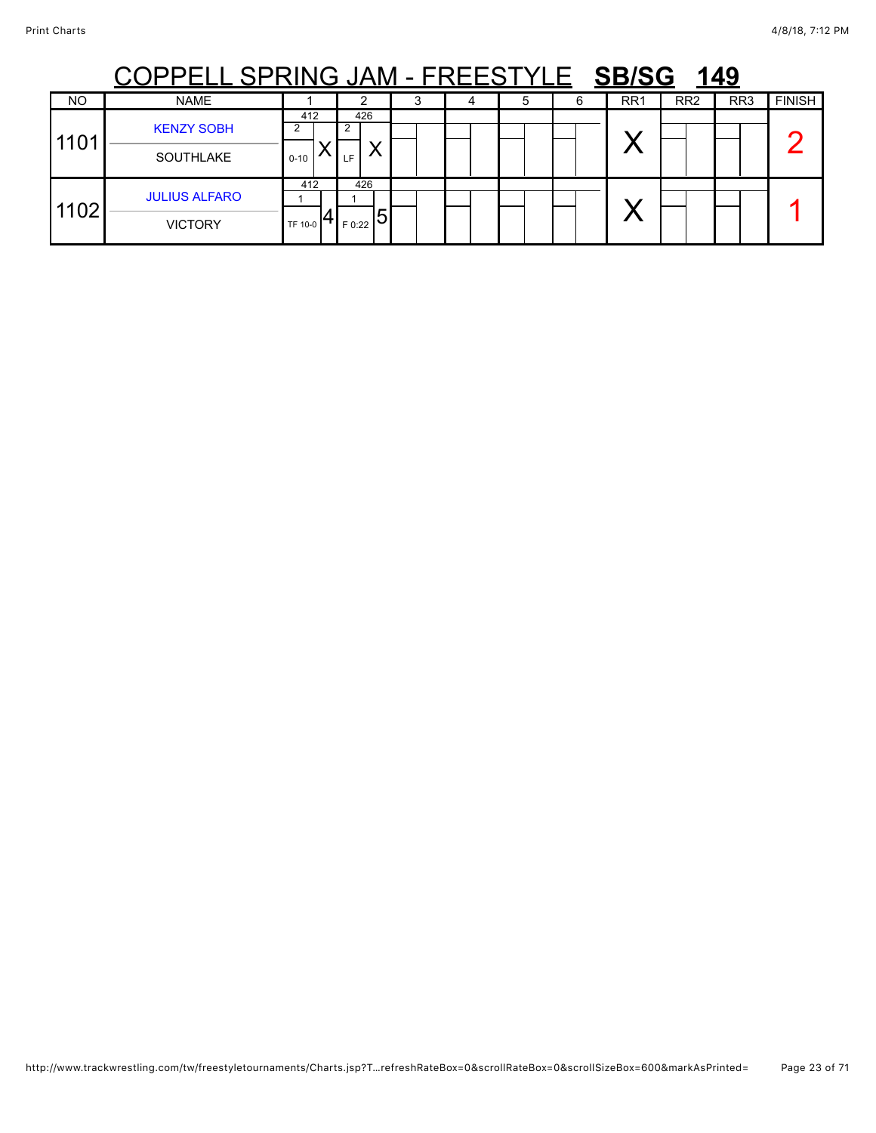|                  | <u> L SPRING JAM - FREESTYL</u><br><b>SB/SG</b><br>149 |                 |                                  |  |  |   |   |                 |                 |                 |               |  |  |
|------------------|--------------------------------------------------------|-----------------|----------------------------------|--|--|---|---|-----------------|-----------------|-----------------|---------------|--|--|
| NO               | <b>NAME</b>                                            |                 | ົ                                |  |  | 5 | 6 | RR <sub>1</sub> | RR <sub>2</sub> | RR <sub>3</sub> | <b>FINISH</b> |  |  |
| 110 <sup>4</sup> | <b>KENZY SOBH</b><br><b>SOUTHLAKE</b>                  | 412<br>$0 - 10$ | 426<br>LF.                       |  |  |   |   |                 |                 |                 |               |  |  |
| 1102             | <b>JULIUS ALFARO</b><br><b>VICTORY</b>                 | 412<br>TF 10-0  | 426<br>$5\overline{5}$<br>F 0:22 |  |  |   |   |                 |                 |                 |               |  |  |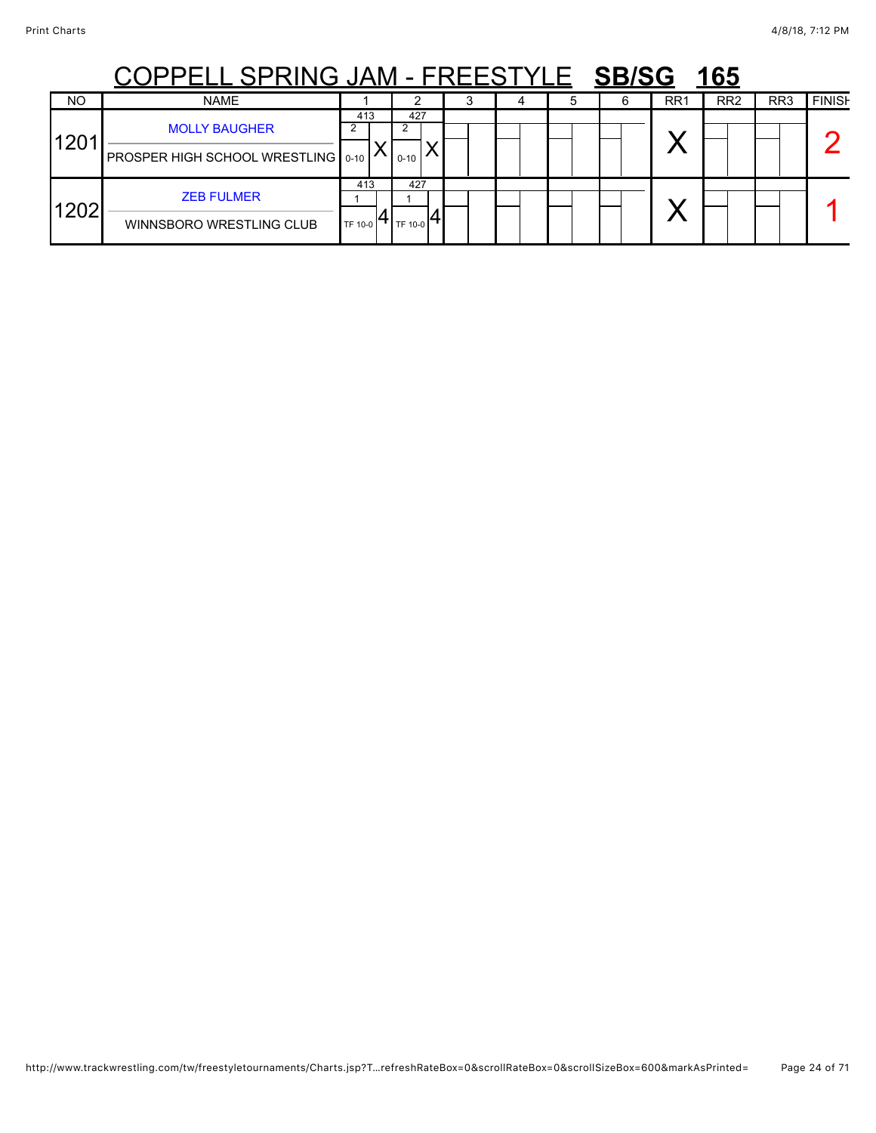## COPPELL SPRING JAM - FREESTYLE **SB/SG 165**

|                  | <b>ㅇㅇ. . ㅡㅡㅡ ㅇ. . \!! \ㅇ ㅇ/ \!\!</b>                         |                |                   | . _ _ _ v _ _ _ | _____ |                 | $\blacksquare$  |                 |               |
|------------------|--------------------------------------------------------------|----------------|-------------------|-----------------|-------|-----------------|-----------------|-----------------|---------------|
| <b>NO</b>        | <b>NAME</b>                                                  |                |                   |                 |       | RR <sub>1</sub> | RR <sub>2</sub> | RR <sub>3</sub> | <b>FINISH</b> |
| 120 <sup>4</sup> | <b>MOLLY BAUGHER</b><br>PROSPER HIGH SCHOOL WRESTLING   0-10 | 413            | 427<br>$0 - 10$   |                 |       | v.              |                 |                 |               |
| 1202             | <b>ZEB FULMER</b><br>WINNSBORO WRESTLING CLUB                | 413<br>TF 10-0 | 427<br>O 1TH 10-0 |                 |       | . .             |                 |                 |               |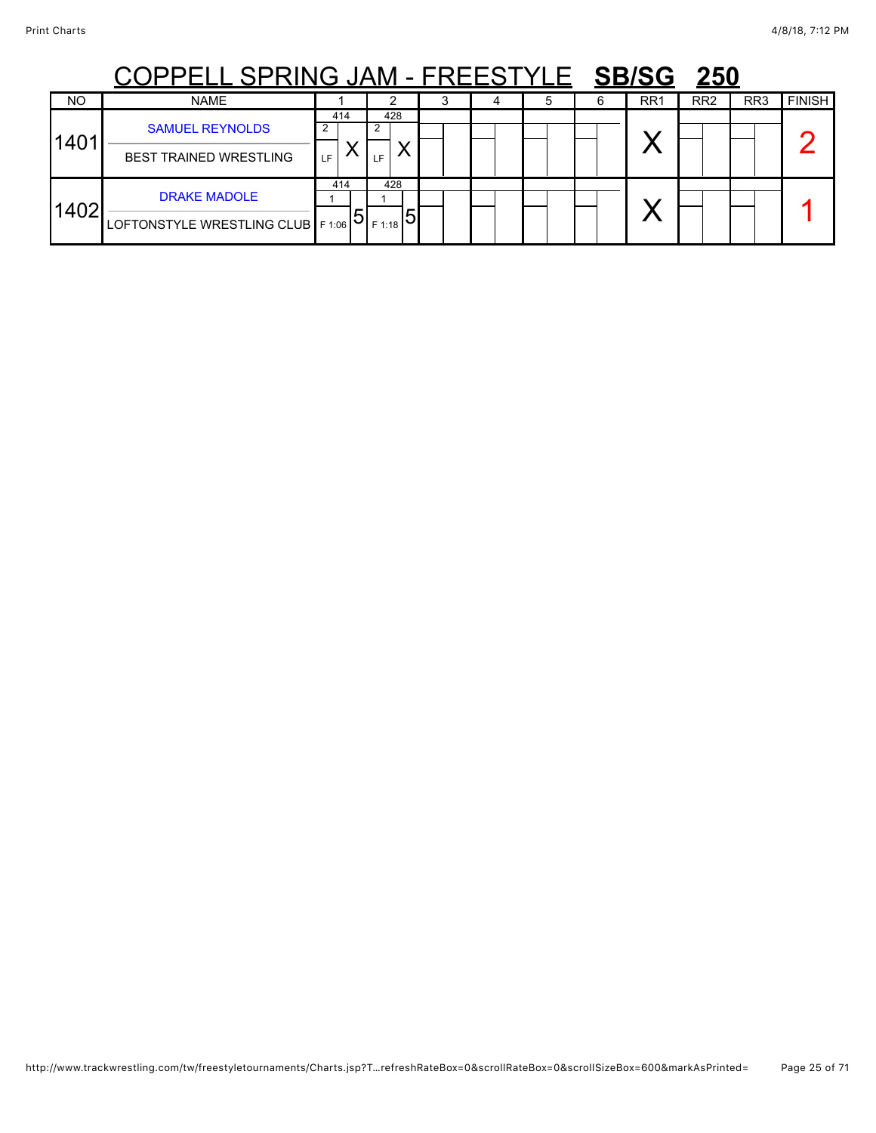## COPPELL SPRING JAM - FREESTYLE **SB/SG 250**

|           | ---<br>---                                                 | . <del>.</del> |                                  |  |  |                 |                 |                 |               |
|-----------|------------------------------------------------------------|----------------|----------------------------------|--|--|-----------------|-----------------|-----------------|---------------|
| <b>NO</b> | <b>NAME</b>                                                |                |                                  |  |  | RR <sub>1</sub> | RR <sub>2</sub> | RR <sub>3</sub> | <b>FINISH</b> |
| 1401      | <b>SAMUEL REYNOLDS</b><br><b>BEST TRAINED WRESTLING</b>    | 414<br>LF.     | 428<br>LF                        |  |  |                 |                 |                 |               |
| 1402      | <b>DRAKE MADOLE</b><br>LOFTONSTYLE WRESTLING CLUB   F 1:06 | 414            | 428<br>$F$ 1:18 $\triangleright$ |  |  |                 |                 |                 |               |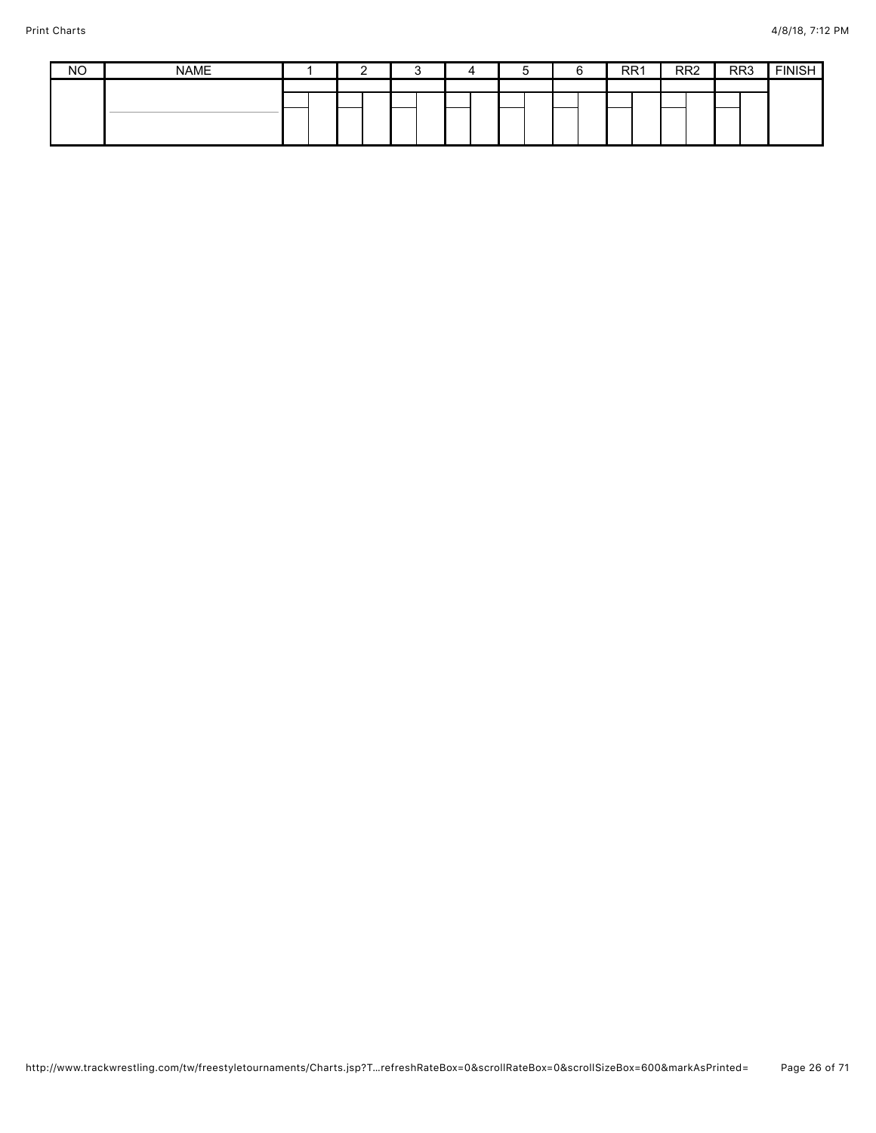| <b>NO</b> | <b>NAME</b> |  |  | ∽ | RR <sub>1</sub> | RR <sub>2</sub> | RR <sub>3</sub> | <b>EINICH</b><br>וטויוו |
|-----------|-------------|--|--|---|-----------------|-----------------|-----------------|-------------------------|
|           |             |  |  |   |                 |                 |                 |                         |
|           |             |  |  |   |                 |                 |                 |                         |
|           |             |  |  |   |                 |                 |                 |                         |
|           |             |  |  |   |                 |                 |                 |                         |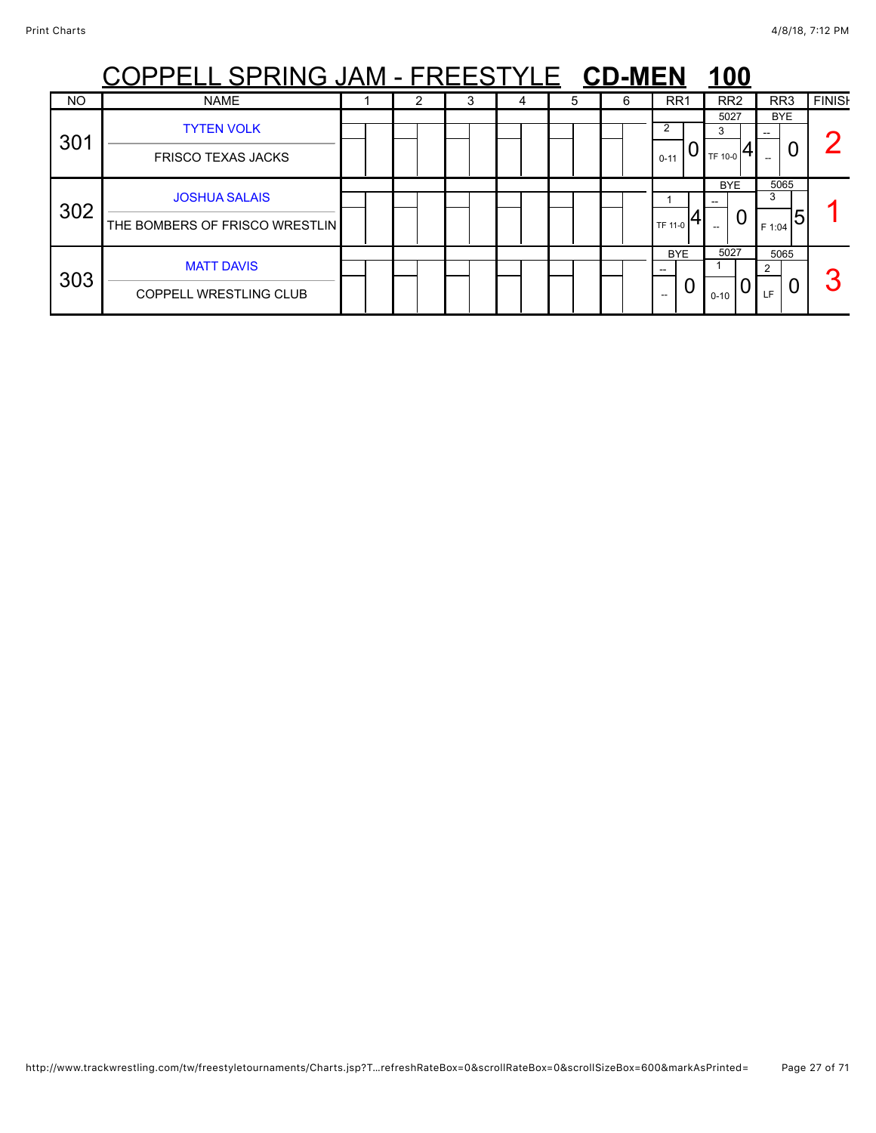|           | <u> PELL SPRING JAM - FREESTYLE CD-MEN</u>             |  |   |   |   |   |                                        | <u>100</u>           |                          |               |
|-----------|--------------------------------------------------------|--|---|---|---|---|----------------------------------------|----------------------|--------------------------|---------------|
| <b>NO</b> | <b>NAME</b>                                            |  | Ĵ | 4 | 5 | 6 | RR <sub>1</sub>                        | RR <sub>2</sub>      | RR <sub>3</sub>          | <b>FINISH</b> |
| 301       | <b>TYTEN VOLK</b><br><b>FRISCO TEXAS JACKS</b>         |  |   |   |   |   | 2<br>$0 - 11$                          | 5027<br>3<br>TF 10-0 | <b>BYE</b><br>U          |               |
| 302       | <b>JOSHUA SALAIS</b><br>THE BOMBERS OF FRISCO WRESTLIN |  |   |   |   |   | TF 11-0                                | <b>BYE</b><br>U      | 5065<br>3<br>5<br>F 1:04 |               |
| 303       | <b>MATT DAVIS</b><br><b>COPPELL WRESTLING CLUB</b>     |  |   |   |   |   | <b>BYE</b><br>$\hspace{0.05cm} \ldots$ | 5027<br>$0 - 10$     | 5065<br>Ü<br>LF.         | ◠             |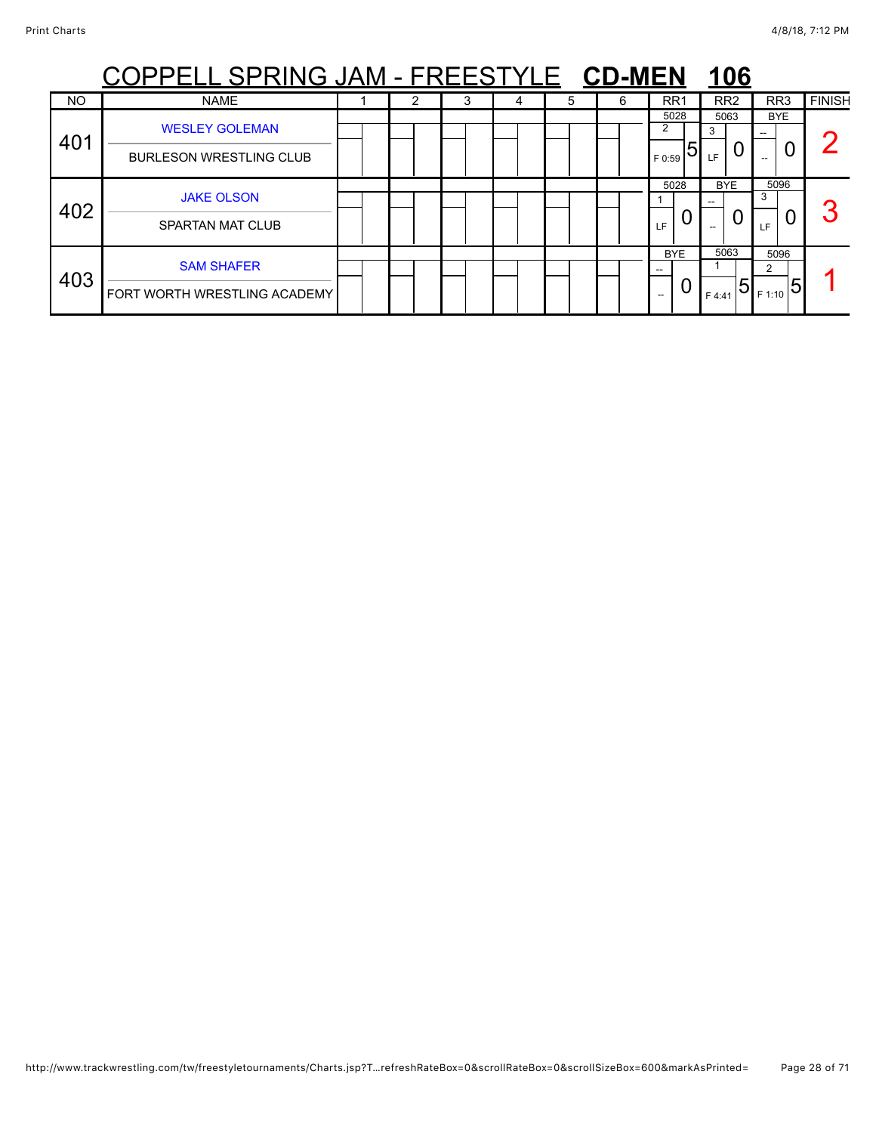|           | <u> PELL SPRING JAM - FREESTYLE CD-MEN</u>              |  |   |   |   |   |                          | <u>106</u>                       |                                        |               |
|-----------|---------------------------------------------------------|--|---|---|---|---|--------------------------|----------------------------------|----------------------------------------|---------------|
| <b>NO</b> | <b>NAME</b>                                             |  | 3 | 4 | 5 | 6 | RR <sub>1</sub>          | RR <sub>2</sub>                  | RR <sub>3</sub>                        | <b>FINISH</b> |
| 401       | <b>WESLEY GOLEMAN</b><br><b>BURLESON WRESTLING CLUB</b> |  |   |   |   |   | 5028<br>2<br>5<br>F 0:59 | 5063<br>3<br>LF                  | <b>BYE</b><br>--<br>$- -$              |               |
| 402       | <b>JAKE OLSON</b><br><b>SPARTAN MAT CLUB</b>            |  |   |   |   |   | 5028<br>LF               | <b>BYE</b><br>0                  | 5096<br>3<br>LF.                       | $\sqrt{2}$    |
| 403       | <b>SAM SHAFER</b><br>FORT WORTH WRESTLING ACADEMY       |  |   |   |   |   | <b>BYE</b><br>U<br>--    | 5063<br>$\overline{5}$<br>F 4:41 | 5096<br>2<br>- <sub>1 F 1:10</sub>   5 |               |

## http://www.trackwrestling.com/tw/freestyletournaments/Charts.jsp?T…refreshRateBox=0&scrollRateBox=0&scrollSizeBox=600&markAsPrinted= Page 28 of 71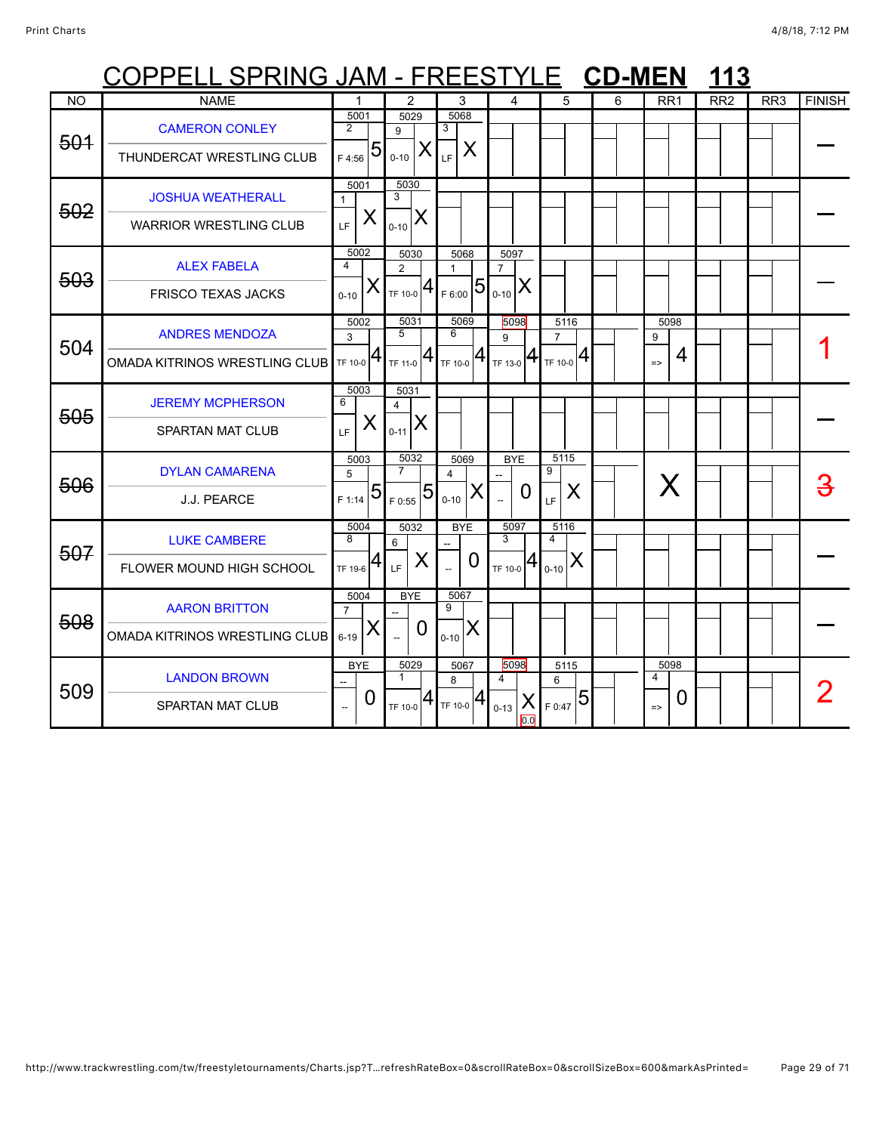|           | <u> COPPELL SPRING JAM - FREESTYLE</u>                 |                            |                                |                                                                                                           |                 |                                  |                              |                                           |                                     |                |                      | <b>CD-MEN</b> |                    |                 |                 | 113 |                 |               |
|-----------|--------------------------------------------------------|----------------------------|--------------------------------|-----------------------------------------------------------------------------------------------------------|-----------------|----------------------------------|------------------------------|-------------------------------------------|-------------------------------------|----------------|----------------------|---------------|--------------------|-----------------|-----------------|-----|-----------------|---------------|
| <b>NO</b> | <b>NAME</b>                                            |                            |                                | $\overline{2}$                                                                                            |                 |                                  | 3                            |                                           | 4                                   |                | 5                    | 6             |                    | RR <sub>1</sub> | RR <sub>2</sub> |     | RR <sub>3</sub> | <b>FINISH</b> |
| 501       | <b>CAMERON CONLEY</b><br>THUNDERCAT WRESTLING CLUB     | $\overline{2}$             | 5001<br>$F_{4:56}$ 5           | 5029<br>$\mathbf{Q}$<br>$0 - 10$                                                                          | X               | 5068<br>3<br>LE.                 | X                            |                                           |                                     |                |                      |               |                    |                 |                 |     |                 |               |
| 502       | <b>JOSHUA WEATHERALL</b><br>WARRIOR WRESTLING CLUB     | $\mathbf{1}$<br>LF         | 5001<br>X                      | 5030<br>3<br>$_{0-10}$ $X$                                                                                |                 |                                  |                              |                                           |                                     |                |                      |               |                    |                 |                 |     |                 |               |
| 503       | <b>ALEX FABELA</b><br><b>FRISCO TEXAS JACKS</b>        | 4<br>$0 - 10$              | 5002<br>X                      | 5030<br>$\overline{2}$<br>$T_{\text{TF 10-0}} 4$                                                          |                 | 1                                | 5068<br>$F_{F6:00}$ 5        | 5097<br>$\overline{7}$<br>$ X _{0-10} X $ |                                     |                |                      |               |                    |                 |                 |     |                 |               |
| 504       | <b>ANDRES MENDOZA</b><br>OMADA KITRINOS WRESTLING CLUB | 3                          | 5002<br>$T_{\text{TF 10-0}} 4$ | 5031<br>$\overline{5}$<br>$T_{F11-0}$ <sup>4</sup>                                                        |                 | 6                                | 5069<br>$T_F$ 10-0 $ 4 $     | 9                                         | 5098<br>TF 13-0 $ 4 $ TF 10-0 $ 4 $ | $\overline{7}$ | 5116                 |               | 9<br>$\Rightarrow$ | 5098<br>4       |                 |     |                 |               |
| 505       | <b>JEREMY MCPHERSON</b><br><b>SPARTAN MAT CLUB</b>     | 6<br>LE.                   | 5003<br>X                      | 5031<br>$\overline{\mathbf{4}}$<br>$\mathbf{R}_{_{0\text{-}11}} \mathbf{X}% _{_{\text{-}21}} \mathbf{X} $ |                 |                                  |                              |                                           |                                     |                |                      |               |                    |                 |                 |     |                 |               |
| 506       | <b>DYLAN CAMARENA</b><br>J.J. PEARCE                   | 5                          | 5003<br>$F_{F1:14}$ 5          | 5032<br>$\overline{7}$<br>F 0:55                                                                          | 5               | 4<br>$0 - 10$                    | 5069<br>X.                   |                                           | <b>BYE</b><br>0                     | 9<br>LF        | 5115<br>X            |               |                    | X               |                 |     |                 |               |
| 507       | <b>LUKE CAMBERE</b><br>FLOWER MOUND HIGH SCHOOL        | 8<br>TF 19-6               | 5004<br>4                      | 5032<br>6<br>LF.                                                                                          | X               |                                  | <b>BYE</b><br>$\overline{0}$ | 3                                         | 5097<br>TF 10-0 $4_{0-10}$          | 4              | 5116<br>IX           |               |                    |                 |                 |     |                 |               |
| 508       | <b>AARON BRITTON</b><br>OMADA KITRINOS WRESTLING CLUB  | $\overline{7}$<br>$6 - 19$ | 5004<br>X                      |                                                                                                           | <b>BYE</b><br>O | 5067<br>9<br>$0 - 10$            | X                            |                                           |                                     |                |                      |               |                    |                 |                 |     |                 |               |
| 509       | <b>LANDON BROWN</b><br>SPARTAN MAT CLUB                |                            | <b>BYE</b><br>0                | 5029<br>1                                                                                                 |                 | 8<br>TF 10-0 $ 4 $ TF 10-0 $ 4 $ | 5067                         | 4<br>$0 - 13$                             | 5098<br>X<br>0.0                    | 6              | 5115<br>$F_{6.47}$ 5 |               | 4<br>$\Rightarrow$ | 5098<br>O       |                 |     |                 |               |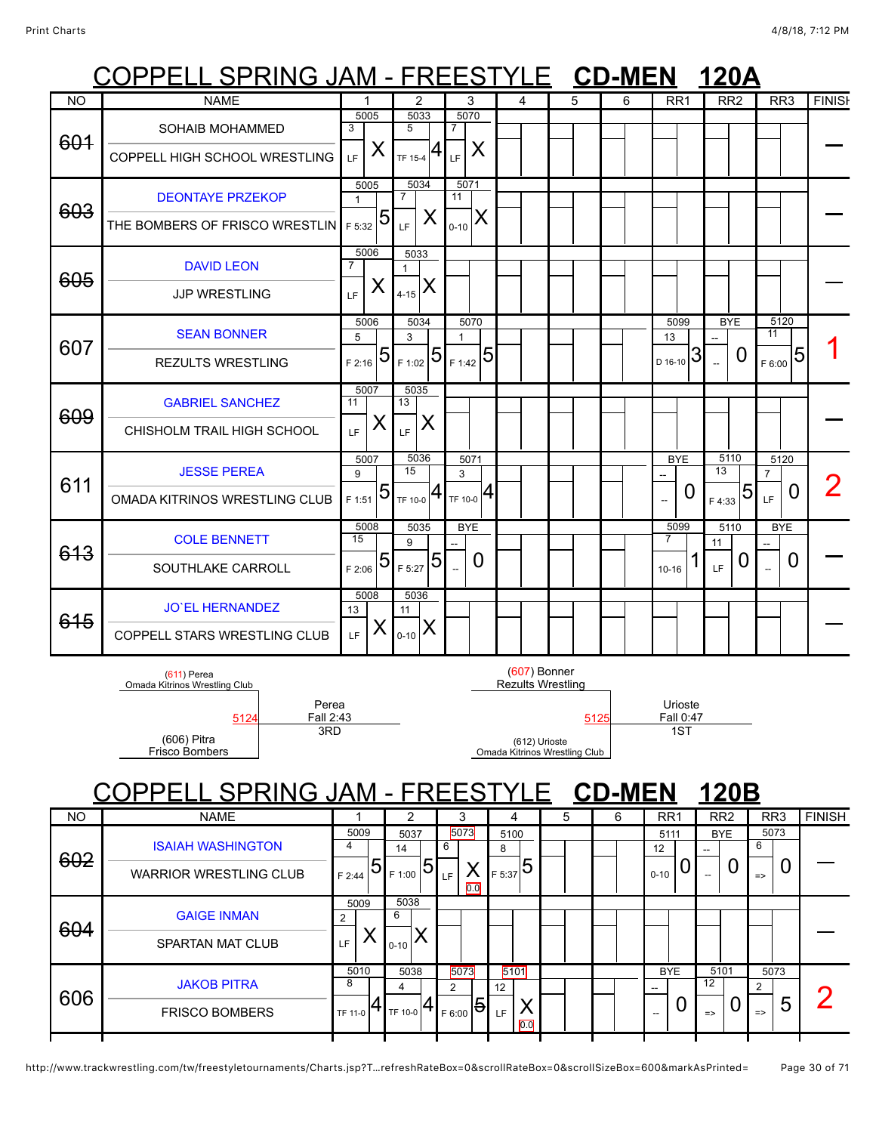## COPPELL SPRING JAM - FREESTYLE **CD-MEN 120A**

|           | <u>vvi</u><br>. <b>.</b> .                              | <b>11 V I</b>          |                        |                                     |                                                |      |   |                               |                 |                         |               |
|-----------|---------------------------------------------------------|------------------------|------------------------|-------------------------------------|------------------------------------------------|------|---|-------------------------------|-----------------|-------------------------|---------------|
| <b>NO</b> | <b>NAME</b>                                             | 1                      | $\overline{2}$         | 3                                   | 4                                              | 5    | 6 | RR <sub>1</sub>               | RR <sub>2</sub> | RR <sub>3</sub>         | <b>FINISH</b> |
| 601       | <b>SOHAIB MOHAMMED</b><br>COPPELL HIGH SCHOOL WRESTLING | 5005<br>3<br>X<br>LF   | 5033<br>5<br>TF 15-4   | 5070<br>$\overline{7}$<br>X<br>LF   |                                                |      |   |                               |                 |                         |               |
|           |                                                         |                        |                        |                                     |                                                |      |   |                               |                 |                         |               |
| 603       | <b>DEONTAYE PRZEKOP</b>                                 | 5005<br>$\mathbf{1}$   | 5034<br>$\overline{7}$ | 5071<br>11                          |                                                |      |   |                               |                 |                         |               |
|           | THE BOMBERS OF FRISCO WRESTLIN F 5:32                   | 5                      | X<br>LF                | X<br>$0 - 10$                       |                                                |      |   |                               |                 |                         |               |
| 605       | <b>DAVID LEON</b>                                       | 5006<br>$\overline{7}$ | 5033<br>$\mathbf{1}$   |                                     |                                                |      |   |                               |                 |                         |               |
|           | <b>JJP WRESTLING</b>                                    | X<br>LF                | X<br>$4 - 15$          |                                     |                                                |      |   |                               |                 |                         |               |
| 607       | <b>SEAN BONNER</b>                                      | 5006<br>5              | 5034<br>3              | 5070<br>$\mathbf{1}$                |                                                |      |   | 5099<br>13                    | <b>BYE</b>      | 5120<br>$\overline{11}$ |               |
|           | <b>REZULTS WRESTLING</b>                                | 5<br>$F$ 2:16          | 5<br>F 1:02            | 5<br>F 1:42                         |                                                |      |   | $\mathfrak{Z}$<br>D 16-10     | 0               | 5<br>F 6:00             |               |
| 609       | <b>GABRIEL SANCHEZ</b>                                  | 5007<br>11             | 5035<br>13             |                                     |                                                |      |   |                               |                 |                         |               |
|           | CHISHOLM TRAIL HIGH SCHOOL                              | X<br>LF                | X<br>LF                |                                     |                                                |      |   |                               |                 |                         |               |
| 611       | <b>JESSE PEREA</b>                                      | 5007<br>9              | 5036<br>15             | 5071<br>3                           |                                                |      |   | <b>BYE</b>                    | 5110<br>13      | 5120<br>$\overline{7}$  | 2             |
|           | OMADA KITRINOS WRESTLING CLUB                           | 5<br>F 1:51            | Ħ١<br>TF 10-0          | $_{\rm 1}_{\rm TF\ 10\text{-}0}  4$ |                                                |      |   | 0<br>$\overline{\phantom{a}}$ | 5<br>F 4:33     | $\bm{0}$<br>LF.         |               |
|           | <b>COLE BENNETT</b>                                     | 5008<br>15             | 5035<br>9              | <b>BYE</b>                          |                                                |      |   | 5099<br>7                     | 5110<br>11      | <b>BYE</b>              |               |
| 613       | SOUTHLAKE CARROLL                                       | 5<br>F 2:06            | 5<br>F 5:27            | 0                                   |                                                |      |   | $10 - 16$                     | 0<br>LF         | 0                       |               |
| 615       | <b>JO'EL HERNANDEZ</b>                                  | 5008<br>13             | 5036<br>11             |                                     |                                                |      |   |                               |                 |                         |               |
|           | COPPELL STARS WRESTLING CLUB                            | X<br>LF.               | X<br>$0 - 10$          |                                     |                                                |      |   |                               |                 |                         |               |
|           | $(611)$ Perea<br>Omada Kitrinos Wrestling Club          |                        |                        |                                     | $(607)$ Bonner<br><b>Rezults Wrestling</b>     |      |   |                               |                 |                         |               |
|           | Perea<br>Fall 2:43<br>5124<br>3RD<br>(606) Pitra        |                        |                        |                                     |                                                | 5125 |   | Urioste<br>Fall 0:47<br>1ST   |                 |                         |               |
|           | <b>Frisco Bombers</b>                                   |                        |                        |                                     | (612) Urioste<br>Omada Kitrinos Wrestling Club |      |   |                               |                 |                         |               |

# COPPELL SPRING JAM - FREESTYLE **CD-MEN 120B**

| 5073<br>5009<br>5073<br><b>BYE</b><br>5037<br>5100<br>5111<br><b>ISAIAH WASHINGTON</b><br>6<br>6<br>4<br>12<br>14<br>8<br>--<br>602<br>5<br>5<br>0<br>U<br>$F_{5:37}$<br><b>WARRIOR WRESTLING CLUB</b><br>$0 - 10$<br>F 1:00<br>↗<br>F 2:44<br>LF<br>$\Rightarrow$<br>--<br>$\overline{0.0}$<br>5038<br>5009<br><b>GAIGE INMAN</b><br>6<br>າ<br>604<br>SPARTAN MAT CLUB<br>LF<br>$0 - 10$<br>5010<br>5073<br>5101<br>5101<br><b>BYE</b><br>5038<br>5073<br><b>JAKOB PITRA</b><br>8<br>$12 \overline{ }$<br>$\mathcal{P}$<br>2<br>$12 \overline{ }$<br>┍<br>606<br> 5 <br>O<br>4<br>ხ<br>U<br><b>FRISCO BOMBERS</b><br>TF 10-0<br>↗<br>TF 11-0<br>F 6:00<br>LF<br>$\Rightarrow$<br>$\Rightarrow$ | <b>NO</b> | <b>NAME</b> | $\mathfrak{p}$ | 3 | 4   | 5 | 6 | RR <sub>1</sub> | RR <sub>2</sub> | RR <sub>3</sub> | <b>FINISH</b> |
|-------------------------------------------------------------------------------------------------------------------------------------------------------------------------------------------------------------------------------------------------------------------------------------------------------------------------------------------------------------------------------------------------------------------------------------------------------------------------------------------------------------------------------------------------------------------------------------------------------------------------------------------------------------------------------------------------|-----------|-------------|----------------|---|-----|---|---|-----------------|-----------------|-----------------|---------------|
|                                                                                                                                                                                                                                                                                                                                                                                                                                                                                                                                                                                                                                                                                                 |           |             |                |   |     |   |   |                 |                 |                 |               |
|                                                                                                                                                                                                                                                                                                                                                                                                                                                                                                                                                                                                                                                                                                 |           |             |                |   |     |   |   |                 |                 |                 |               |
|                                                                                                                                                                                                                                                                                                                                                                                                                                                                                                                                                                                                                                                                                                 |           |             |                |   | 0.0 |   |   |                 |                 |                 |               |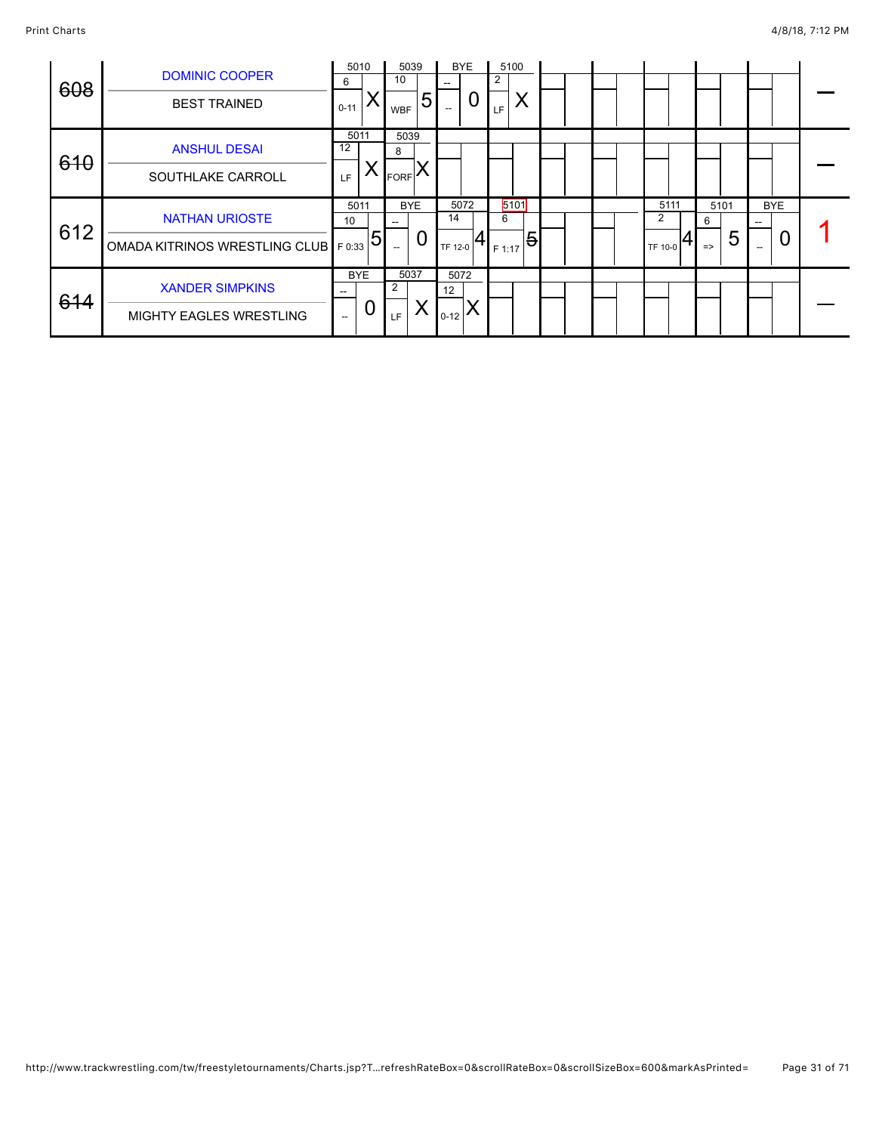|     |                                                                |                          | 5010       |                          | 5039 |                          | <b>BYE</b> |        | 5100 |  |  |         |      |               |   |        |            |  |
|-----|----------------------------------------------------------------|--------------------------|------------|--------------------------|------|--------------------------|------------|--------|------|--|--|---------|------|---------------|---|--------|------------|--|
|     | <b>DOMINIC COOPER</b>                                          | 6                        |            | 10                       |      | --                       |            | 2      |      |  |  |         |      |               |   |        |            |  |
| 608 | <b>BEST TRAINED</b>                                            | $0 - 11$                 |            | <b>WBF</b>               | 5    | $\hspace{0.05cm} \ldots$ | O          | LF.    | ⋏    |  |  |         |      |               |   |        |            |  |
| 610 | <b>ANSHUL DESAI</b>                                            | 5011<br>12               |            | 5039<br>8                |      |                          |            |        |      |  |  |         |      |               |   |        |            |  |
|     | SOUTHLAKE CARROLL                                              | LF                       | Χ          | <b>FORF</b>              |      |                          |            |        |      |  |  |         |      |               |   |        |            |  |
| 612 | <b>NATHAN URIOSTE</b>                                          | 10                       | 5011       | <b>BYE</b><br>--         |      | 14                       | 5072       | 6      | 5101 |  |  |         | 5111 | 5101<br>6     |   | $\sim$ | <b>BYE</b> |  |
|     | OMADA KITRINOS WRESTLING CLUB $\lvert_{\text{F 0:33}} 5\rvert$ |                          |            | $\hspace{0.05cm} \ldots$ | U    | TF 12-0                  |            | F 1:17 | 5    |  |  | TF 10-0 |      | $\Rightarrow$ | 5 | $- -$  | U          |  |
|     |                                                                |                          | <b>BYE</b> | 5037                     |      | 5072                     |            |        |      |  |  |         |      |               |   |        |            |  |
| 614 | <b>XANDER SIMPKINS</b>                                         |                          |            | $\overline{2}$           |      | 12                       |            |        |      |  |  |         |      |               |   |        |            |  |
|     | <b>MIGHTY EAGLES WRESTLING</b>                                 | $\overline{\phantom{a}}$ | Ü          | <b>LF</b>                |      | $0-12$ $\sim$            |            |        |      |  |  |         |      |               |   |        |            |  |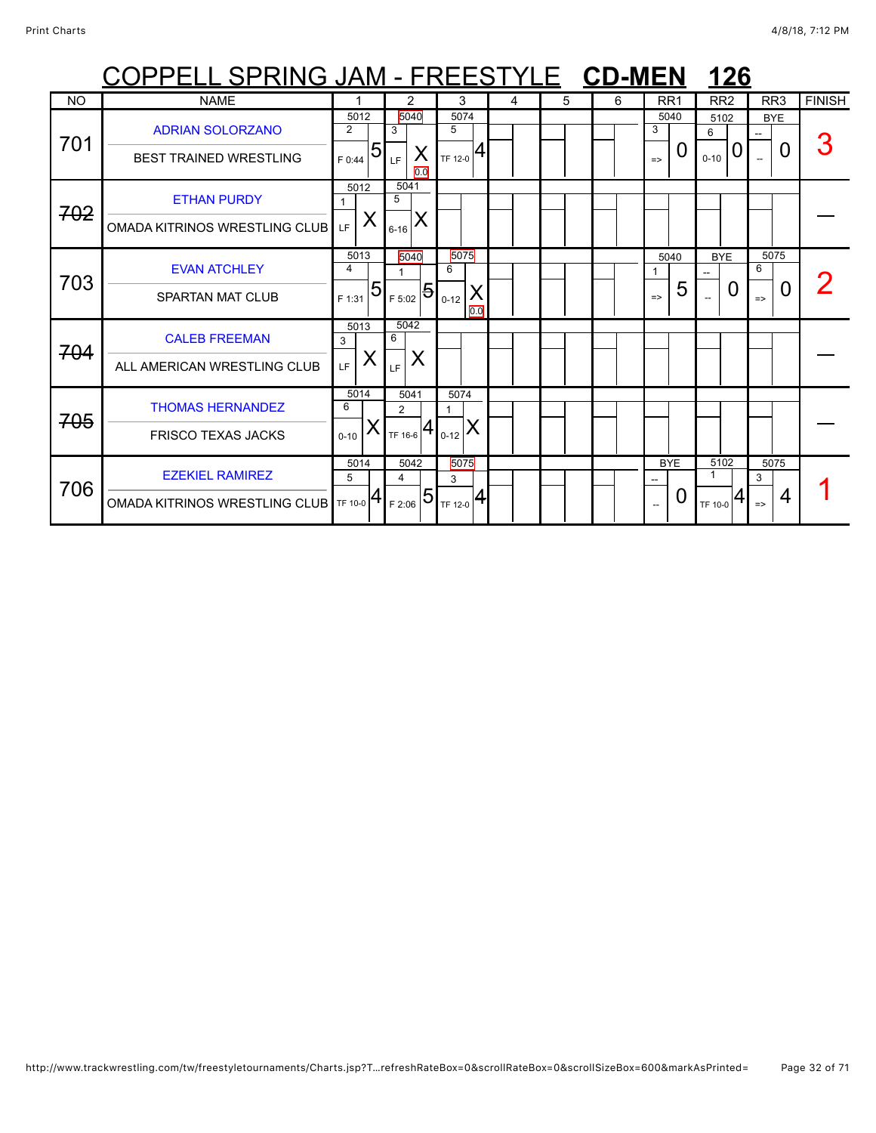|                | COPPELL SPRING JAM - FREESTYLE CD-MEN |                          |                        |                       |   |   |   |                    | 126                            |                    |               |
|----------------|---------------------------------------|--------------------------|------------------------|-----------------------|---|---|---|--------------------|--------------------------------|--------------------|---------------|
| N <sub>O</sub> | <b>NAME</b>                           |                          | 2                      | 3                     | 4 | 5 | 6 | RR <sub>1</sub>    | RR <sub>2</sub>                | RR <sub>3</sub>    | <b>FINISH</b> |
| 701            | <b>ADRIAN SOLORZANO</b>               | 5012<br>2                | 5040<br>3              | 5074<br>5             |   |   |   | 5040<br>3          | 5102<br>6                      | <b>BYE</b>         |               |
|                | <b>BEST TRAINED WRESTLING</b>         | 5<br>F 0:44              | ∧<br>LF.<br>0.0        | 4<br>TF 12-0          |   |   |   | O<br>$\Rightarrow$ | 0<br>$0 - 10$                  | 0                  |               |
| 702            | <b>ETHAN PURDY</b>                    | 5012                     | 5041<br>5              |                       |   |   |   |                    |                                |                    |               |
|                | OMADA KITRINOS WRESTLING CLUB         | X<br>LE.                 | $6 - 16$               |                       |   |   |   |                    |                                |                    |               |
| 703            | <b>EVAN ATCHLEY</b>                   | 5013<br>4                | 5040                   | 5075<br>6             |   |   |   | 5040               | <b>BYE</b>                     | 5075<br>6          |               |
|                | <b>SPARTAN MAT CLUB</b>               | $\overline{5}$<br>F 1:31 | $1_{F 5:02}$ 5         | X<br>$0 - 12$<br>0.0  |   |   |   | 5<br>$\Rightarrow$ | $\mathbf{I}$<br>$\overline{a}$ | O<br>$\Rightarrow$ |               |
| 704            | <b>CALEB FREEMAN</b>                  | 5013<br>3                | 5042<br>6              |                       |   |   |   |                    |                                |                    |               |
|                | ALL AMERICAN WRESTLING CLUB           | X<br>LF.                 | X<br>LF                |                       |   |   |   |                    |                                |                    |               |
| 705            | <b>THOMAS HERNANDEZ</b>               | 5014<br>6                | 5041<br>$\overline{2}$ | 5074                  |   |   |   |                    |                                |                    |               |
|                | <b>FRISCO TEXAS JACKS</b>             | Х<br>$0 - 10$            | TF 16-6 $ 4$ 0-12      |                       |   |   |   |                    |                                |                    |               |
| 706            | <b>EZEKIEL RAMIREZ</b>                | 5014<br>5                | 5042<br>4              | 5075<br>3             |   |   |   | <b>BYE</b>         | 5102                           | 5075<br>3          |               |
|                | OMADA KITRINOS WRESTLING CLUB TF 10-0 |                          | F 2:06                 | $T_{TF\ 12-0}$ $ 4_1$ |   |   |   | O                  | TF 10-0                        | 4<br>$\Rightarrow$ |               |

### http://www.trackwrestling.com/tw/freestyletournaments/Charts.jsp?T…refreshRateBox=0&scrollRateBox=0&scrollSizeBox=600&markAsPrinted= Page 32 of 71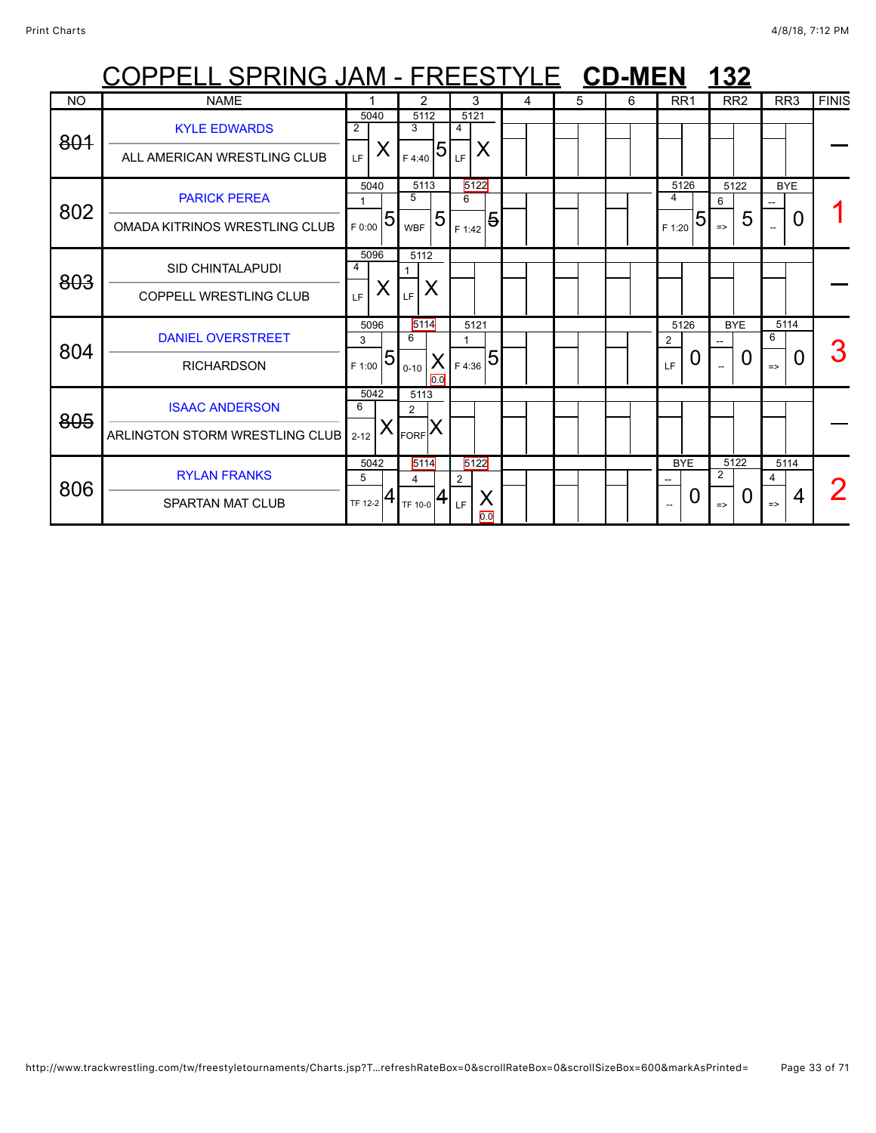|           | COPPELL SPRING JAM - FREESTYLE CD-MEN                    |                                       |                                              |                                 |   |   |   |                                   | 132                             |                                 |              |
|-----------|----------------------------------------------------------|---------------------------------------|----------------------------------------------|---------------------------------|---|---|---|-----------------------------------|---------------------------------|---------------------------------|--------------|
| <b>NO</b> | <b>NAME</b>                                              |                                       | 2                                            | 3                               | 4 | 5 | 6 | RR <sub>1</sub>                   | RR <sub>2</sub>                 | RR <sub>3</sub>                 | <b>FINIS</b> |
| 801       | <b>KYLE EDWARDS</b><br>ALL AMERICAN WRESTLING CLUB       | 5040<br>2<br>X<br>LE.                 | 5112<br>3<br>5<br>F 4:40                     | 5121<br>4<br>Χ<br>LF.           |   |   |   |                                   |                                 |                                 |              |
| 802       | <b>PARICK PEREA</b><br>OMADA KITRINOS WRESTLING CLUB     | 5040<br>$\overline{5}$<br>F 0:00      | 5113<br>5<br>5<br><b>WBF</b>                 | 5122<br>6<br>5<br>F 1:42        |   |   |   | 5126<br>4<br>5<br>F 1:20          | 5122<br>6<br>5<br>$\Rightarrow$ | <b>BYE</b><br>0                 |              |
| 803       | <b>SID CHINTALAPUDI</b><br><b>COPPELL WRESTLING CLUB</b> | 5096<br>4<br>X<br>LF.                 | 5112<br>$\mathbf{1}$<br>X<br>LF              |                                 |   |   |   |                                   |                                 |                                 |              |
| 804       | <b>DANIEL OVERSTREET</b><br><b>RICHARDSON</b>            | 5096<br>3<br>$\overline{5}$<br>F 1:00 | 5114<br>6<br>$\mathsf{X}$<br>$0 - 10$<br>0.0 | 5121<br>$_{\rm 1_{F\,4:36}} 5 $ |   |   |   | 5126<br>$\overline{2}$<br>U<br>LF | <b>BYE</b><br>0                 | 5114<br>6<br>0<br>$\Rightarrow$ |              |
| 805       | <b>ISAAC ANDERSON</b><br>ARLINGTON STORM WRESTLING CLUB  | 5042<br>6<br>Х<br>$2 - 12$            | 5113<br>$\overline{2}$<br><b>FORF</b>        |                                 |   |   |   |                                   |                                 |                                 |              |
| 806       | <b>RYLAN FRANKS</b><br><b>SPARTAN MAT CLUB</b>           | 5042<br>5<br>4<br>TF 12-2             | 5114<br>4<br>TI<br>TF 10-0                   | 5122<br>2<br>Χ<br>LF<br>0.0     |   |   |   | <b>BYE</b><br>0                   | 5122<br>2<br>0<br>$\Rightarrow$ | 5114<br>4<br>4<br>$\Rightarrow$ |              |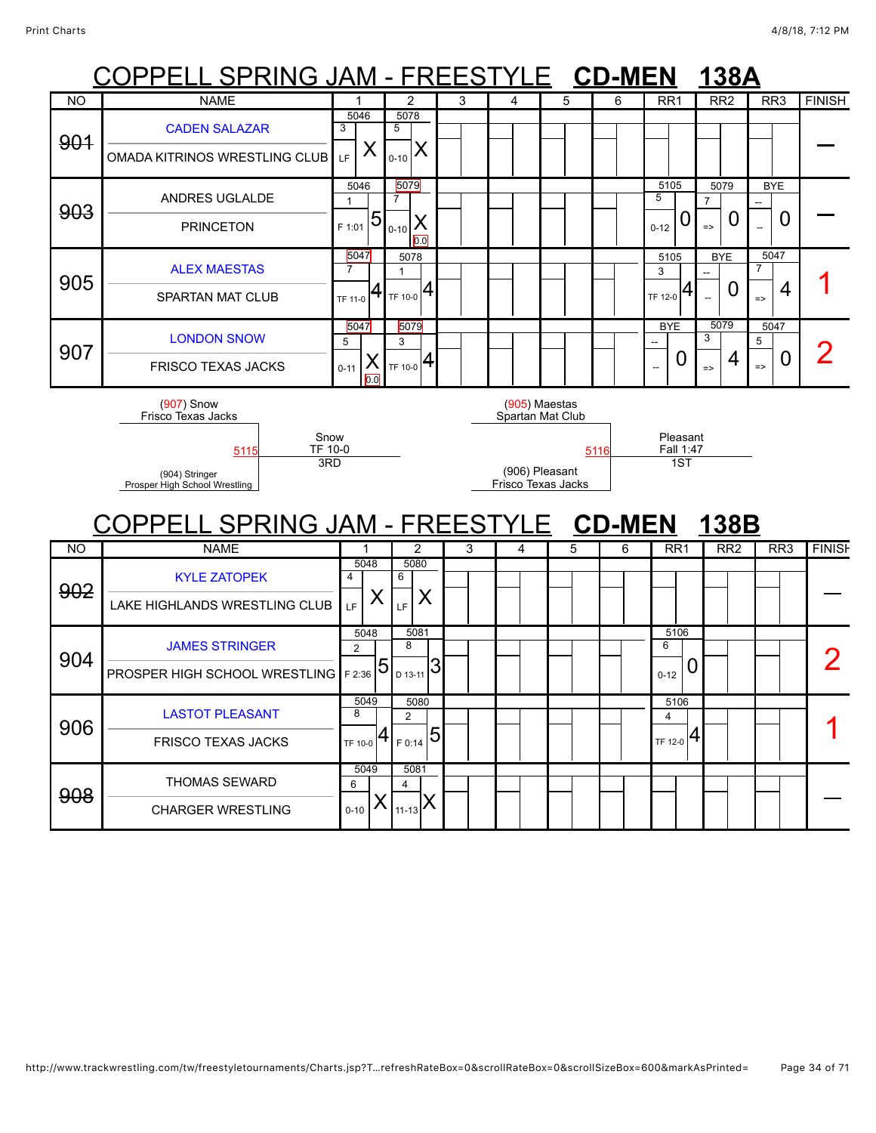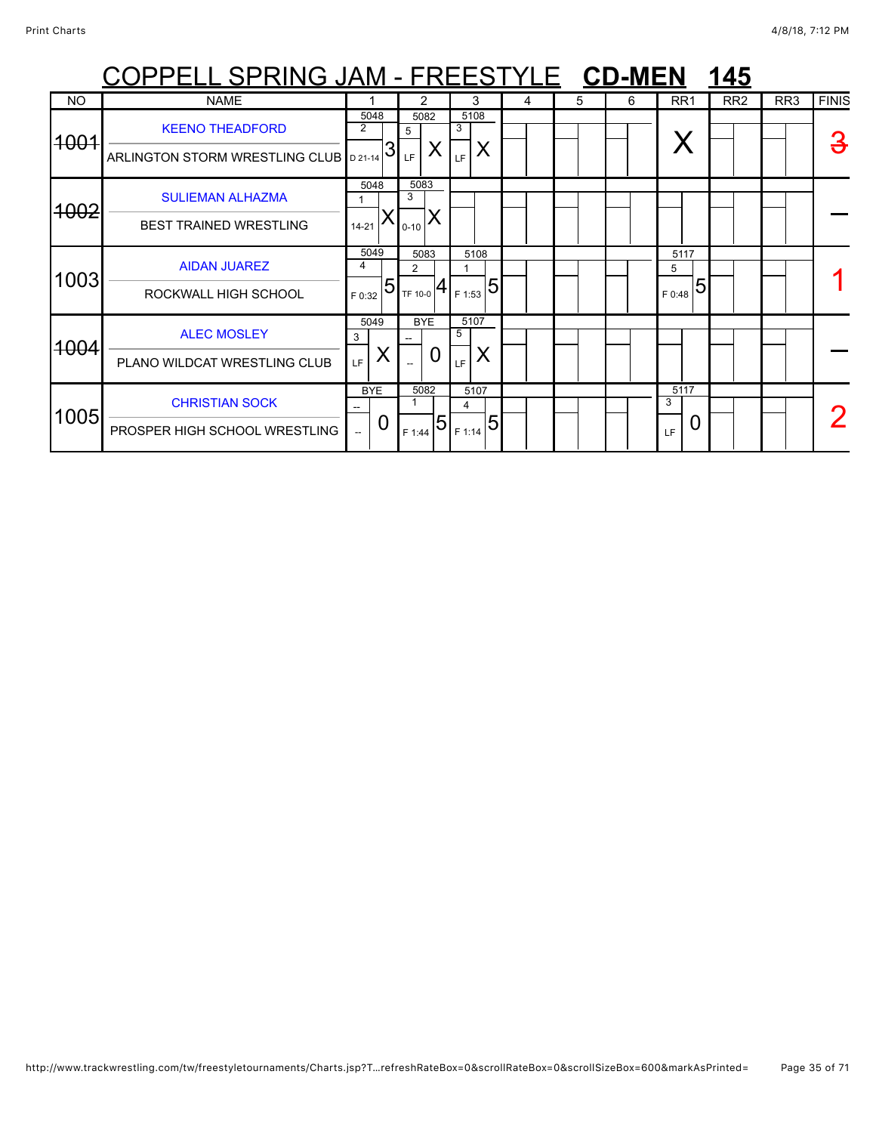|                  | <u> OPPELL SPRING JAM - FREESTYLE CD-MEN</u>                     |             |                 |                       |                                           |                 |                        |   |   |   |                       | 145 |                 |                 |              |
|------------------|------------------------------------------------------------------|-------------|-----------------|-----------------------|-------------------------------------------|-----------------|------------------------|---|---|---|-----------------------|-----|-----------------|-----------------|--------------|
| <b>NO</b>        | <b>NAME</b>                                                      |             |                 |                       | 2                                         |                 | 3                      | 4 | 5 | 6 | RR <sub>1</sub>       |     | RR <sub>2</sub> | RR <sub>3</sub> | <b>FINIS</b> |
| 4004             | <b>KEENO THEADFORD</b><br>ARLINGTON STORM WRESTLING CLUB D 21-14 | 2           | 5048<br>3       | 5<br>LF.              | 5082<br>X                                 | 3<br>LF         | 5108<br>X              |   |   |   |                       |     |                 |                 | З            |
| <del>1002</del>  | <b>SULIEMAN ALHAZMA</b><br><b>BEST TRAINED WRESTLING</b>         | $14 - 21$   | 5048<br>X       | 5083<br>3<br>$0 - 10$ |                                           |                 |                        |   |   |   |                       |     |                 |                 |              |
| 1003             | <b>AIDAN JUAREZ</b><br>ROCKWALL HIGH SCHOOL                      | 4<br>F 0:32 | 5049<br>5       | 2                     | 5083<br>TF 10-0 $\left  4 \right $ F 1:53 |                 | 5108<br>$\overline{5}$ |   |   |   | 5117<br>5<br>F 0:48   | 5   |                 |                 |              |
| <del>100</del> 4 | <b>ALEC MOSLEY</b><br>PLANO WILDCAT WRESTLING CLUB               | 3<br>LF.    | 5049<br>Χ       |                       | <b>BYE</b><br>0                           | 5107<br>5<br>LF | X                      |   |   |   |                       |     |                 |                 |              |
| 1005             | <b>CHRISTIAN SOCK</b><br>PROSPER HIGH SCHOOL WRESTLING           |             | <b>BYE</b><br>Ü | F 1:44                | 5082<br>5                                 | 4<br>F 1:14     | 5107<br>5              |   |   |   | 5117<br>3<br>0<br>LF. |     |                 |                 |              |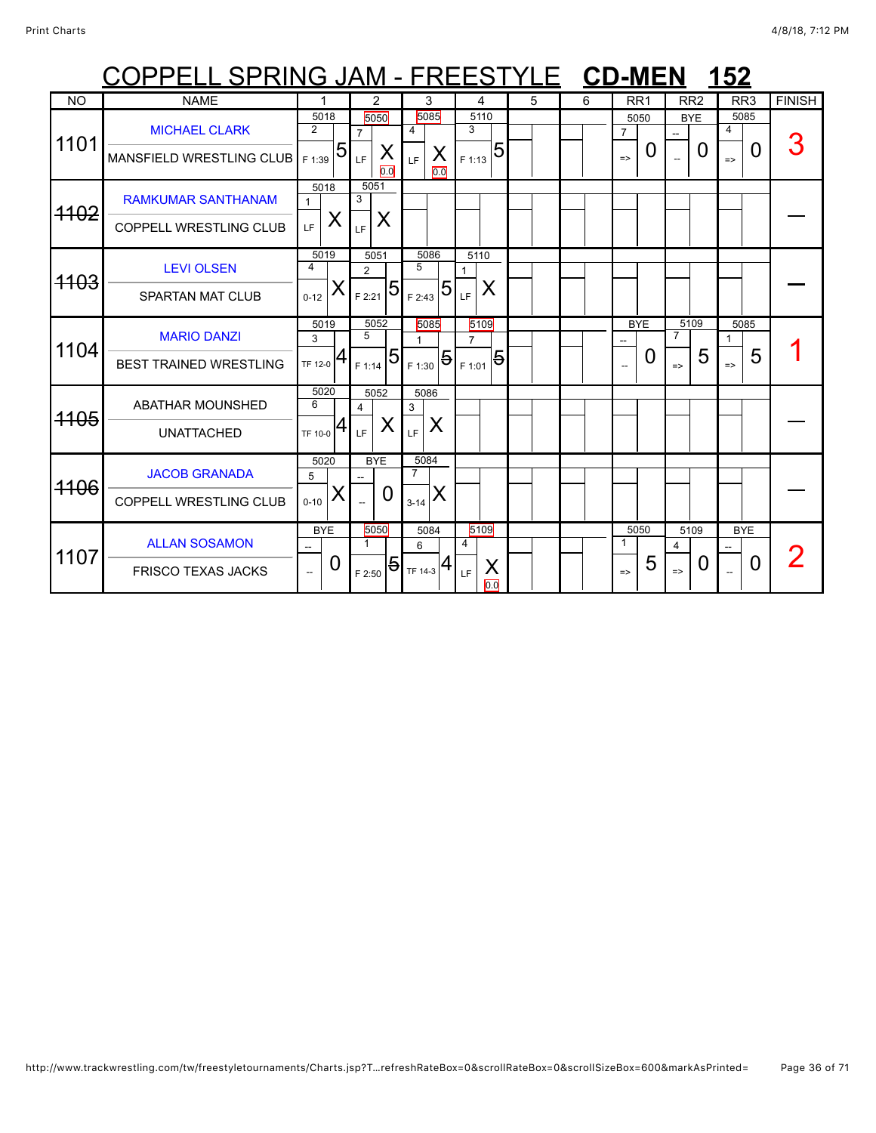|                 | OPPELL SPRING JAM - FREESTYLE CD-MEN 152                   |                                       |                                                  |                                         |                                                    |   |   |                                              |                                              |                                 |               |
|-----------------|------------------------------------------------------------|---------------------------------------|--------------------------------------------------|-----------------------------------------|----------------------------------------------------|---|---|----------------------------------------------|----------------------------------------------|---------------------------------|---------------|
| <b>NO</b>       | <b>NAME</b>                                                |                                       | 2                                                | 3                                       | 4                                                  | 5 | 6 | RR <sub>1</sub>                              | RR <sub>2</sub>                              | RR <sub>3</sub>                 | <b>FINISH</b> |
| 1101            | <b>MICHAEL CLARK</b><br>MANSFIELD WRESTLING CLUB           | 5018<br>$\overline{2}$<br>5<br>F 1:39 | 5050<br>$\overline{7}$<br>X<br>LF<br>0.0         | 5085<br>4<br>X<br>LF<br>0.0             | 5110<br>3<br>5<br>F 1:13                           |   |   | 5050<br>$\overline{7}$<br>0<br>$\Rightarrow$ | <b>BYE</b><br>0                              | 5085<br>4<br>0<br>$\Rightarrow$ | 3             |
| <del>1102</del> | <b>RAMKUMAR SANTHANAM</b><br><b>COPPELL WRESTLING CLUB</b> | 5018<br>$\mathbf{1}$<br>X<br>LF       | 5051<br>3<br>X<br>LF                             |                                         |                                                    |   |   |                                              |                                              |                                 |               |
| <del>1103</del> | <b>LEVI OLSEN</b><br><b>SPARTAN MAT CLUB</b>               | 5019<br>4<br>$0 - 12$                 | 5051<br>2<br>5<br>F 2:21                         | 5086<br>5<br>5<br>F 2:43                | 5110<br>Χ<br>LF                                    |   |   |                                              |                                              |                                 |               |
| 1104            | <b>MARIO DANZI</b><br><b>BEST TRAINED WRESTLING</b>        | 5019<br>3<br>$TF$ 12-0 $ 4$           | 5052<br>5<br>5<br>F 1:14                         | 5085<br>1.<br>$\mathbf{F}_{F1:30}$ 5    | 5109<br>$\overline{7}$<br>$\overline{5}$<br>F 1:01 |   |   | <b>BYE</b><br>0                              | 5109<br>$\overline{7}$<br>5<br>$\Rightarrow$ | 5085<br>1<br>5<br>$\Rightarrow$ |               |
| <del>1105</del> | <b>ABATHAR MOUNSHED</b><br><b>UNATTACHED</b>               | 5020<br>6<br>4<br>TF 10-0             | 5052<br>4<br>X<br>LF                             | 5086<br>3<br>Χ<br>LF                    |                                                    |   |   |                                              |                                              |                                 |               |
| <del>1106</del> | <b>JACOB GRANADA</b><br><b>COPPELL WRESTLING CLUB</b>      | 5020<br>5<br>$0 - 10$                 | <b>BYE</b><br>$\Omega$                           | 5084<br>$\overline{7}$<br>X<br>$3 - 14$ |                                                    |   |   |                                              |                                              |                                 |               |
| 1107            | <b>ALLAN SOSAMON</b><br><b>FRISCO TEXAS JACKS</b>          | <b>BYE</b><br>$\Omega$                | 5050<br>$\mathbf{1}$<br>$\overline{5}$<br>F 2:50 | 5084<br>6<br>$TF$ 14-3 $4$              | 5109<br>4<br>X<br>LF<br>0.0                        |   |   | 5050<br>-1<br>5<br>$\Rightarrow$             | 5109<br>$\overline{4}$<br>0<br>$\Rightarrow$ | <b>BYE</b><br>0                 |               |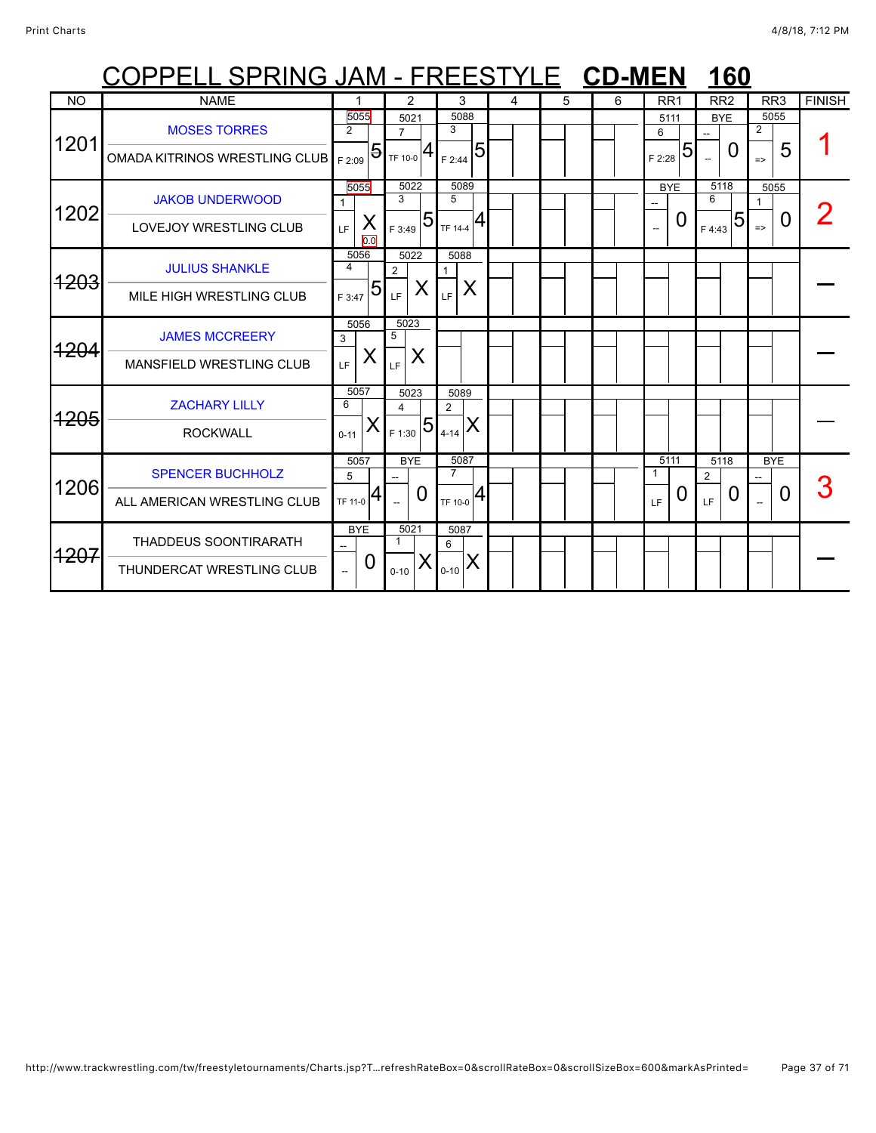|                 | <u> COPPELL SPRING JAM - FREESTYLE CD-MEN</u>            |                                  |                       |                          |                        |                                    |           |   |   |   |                                        |   | 160                          |              |                            |          |               |
|-----------------|----------------------------------------------------------|----------------------------------|-----------------------|--------------------------|------------------------|------------------------------------|-----------|---|---|---|----------------------------------------|---|------------------------------|--------------|----------------------------|----------|---------------|
| <b>NO</b>       | <b>NAME</b>                                              |                                  |                       |                          | $\overline{2}$         |                                    | 3         | 4 | 5 | 6 | RR <sub>1</sub>                        |   | RR <sub>2</sub>              |              | RR <sub>3</sub>            |          | <b>FINISH</b> |
| 1201            | <b>MOSES TORRES</b><br>OMADA KITRINOS WRESTLING CLUB     | 5055<br>$\overline{2}$<br>F 2:09 | $\overline{5}$        | $\overline{7}$           | 5021<br>TF 10-0        | 3<br>F 2:44                        | 5088<br>5 |   |   |   | 5111<br>6<br>F 2:28                    | 5 | <b>BYE</b><br>$\overline{a}$ | $\mathbf{I}$ | 5055<br>2<br>$\Rightarrow$ | 5        |               |
| 1202            | <b>JAKOB UNDERWOOD</b><br><b>LOVEJOY WRESTLING CLUB</b>  | 5055<br>LF.                      | X<br>$\overline{0.0}$ | 3<br>F 3:49              | 5022<br>5              | 5<br>TF 14-4                       | 5089<br>4 |   |   |   | <b>BYE</b><br>$\overline{\phantom{a}}$ | O | 5118<br>6<br>F 4:43          | 5            | 5055<br>1<br>$\Rightarrow$ | O        |               |
| <del>1203</del> | <b>JULIUS SHANKLE</b><br>MILE HIGH WRESTLING CLUB        | 5056<br>4<br>F 3:47              | 5                     | $\overline{2}$<br>LF     | 5022<br>X              | 5088<br>1<br>LF                    | X         |   |   |   |                                        |   |                              |              |                            |          |               |
| <del>1204</del> | <b>JAMES MCCREERY</b><br><b>MANSFIELD WRESTLING CLUB</b> | 5056<br>3<br>LF.                 | X                     | 5023<br>5<br>LF          | X                      |                                    |           |   |   |   |                                        |   |                              |              |                            |          |               |
| <del>1205</del> | <b>ZACHARY LILLY</b><br><b>ROCKWALL</b>                  | 5057<br>6<br>$0 - 11$            | X                     | 4<br>F 1:30              | 5023<br>$\overline{5}$ | 5089<br>$\overline{2}$<br>$4 - 14$ | X         |   |   |   |                                        |   |                              |              |                            |          |               |
| 1206            | <b>SPENCER BUCHHOLZ</b><br>ALL AMERICAN WRESTLING CLUB   | 5057<br>5<br>TF 11-0             | 4                     |                          | <b>BYE</b><br>0        | $\overline{7}$<br>TF 10-0          | 5087<br>4 |   |   |   | 5111<br>1<br>LF                        | Û | 5118<br>$\overline{2}$<br>LF | $\mathbf{0}$ | <b>BYE</b>                 | $\Omega$ |               |
| <del>1207</del> | THADDEUS SOONTIRARATH<br>THUNDERCAT WRESTLING CLUB       |                                  | <b>BYE</b><br>0       | $\mathbf{1}$<br>$0 - 10$ | 5021                   | 5087<br>6<br>$0 - 10$              | ΙX        |   |   |   |                                        |   |                              |              |                            |          |               |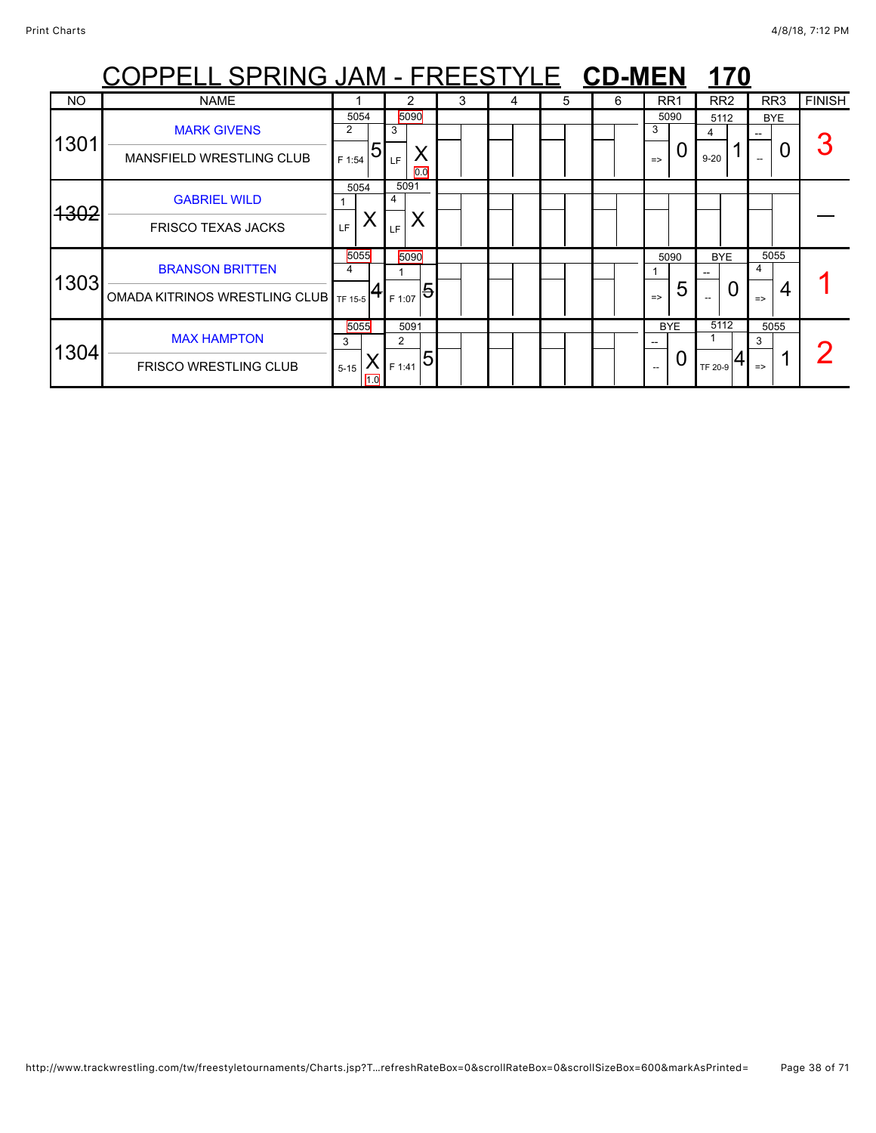|                 | <u> OPPELL SPRING JAM - FREESTYLE CD-MEN</u>                      |                              |                                       |   |   |   |   |                                      | 170                                               |                                 |               |
|-----------------|-------------------------------------------------------------------|------------------------------|---------------------------------------|---|---|---|---|--------------------------------------|---------------------------------------------------|---------------------------------|---------------|
| NO              | <b>NAME</b>                                                       |                              |                                       | 3 | 4 | 5 | 6 | RR <sub>1</sub>                      | RR <sub>2</sub>                                   | RR3                             | <b>FINISH</b> |
| 1301            | <b>MARK GIVENS</b><br><b>MANSFIELD WRESTLING CLUB</b>             | 5054<br>2<br>5<br>F 1:54     | 5090<br>3<br>⌒<br>LF<br>0.0           |   |   |   |   | 5090<br>3<br>U<br>$\Rightarrow$      | 5112<br>4<br>$9 - 20$                             | <b>BYE</b><br>O                 |               |
| <del>1302</del> | <b>GABRIEL WILD</b><br><b>FRISCO TEXAS JACKS</b>                  | 5054<br>LF                   | 5091<br>4<br>X<br>LF                  |   |   |   |   |                                      |                                                   |                                 |               |
| 1303            | <b>BRANSON BRITTEN</b><br>OMADA KITRINOS WRESTLING CLUB   TF 15-5 | 5055<br>4                    | 5090<br>$\overline{5}$<br>F 1:07      |   |   |   |   | 5090<br>5<br>$\Rightarrow$           | <b>BYE</b><br>--<br>0<br>$\overline{\phantom{a}}$ | 5055<br>4<br>4<br>$\Rightarrow$ |               |
| 1304            | <b>MAX HAMPTON</b><br><b>FRISCO WRESTLING CLUB</b>                | 5055<br>3<br>$5 - 15$<br>1.0 | 5091<br>$\overline{2}$<br>5<br>F 1:41 |   |   |   |   | <b>BYE</b><br>U<br>$\hspace{0.05cm}$ | 5112<br>TF 20-9                                   | 5055<br>3<br>$\Rightarrow$      |               |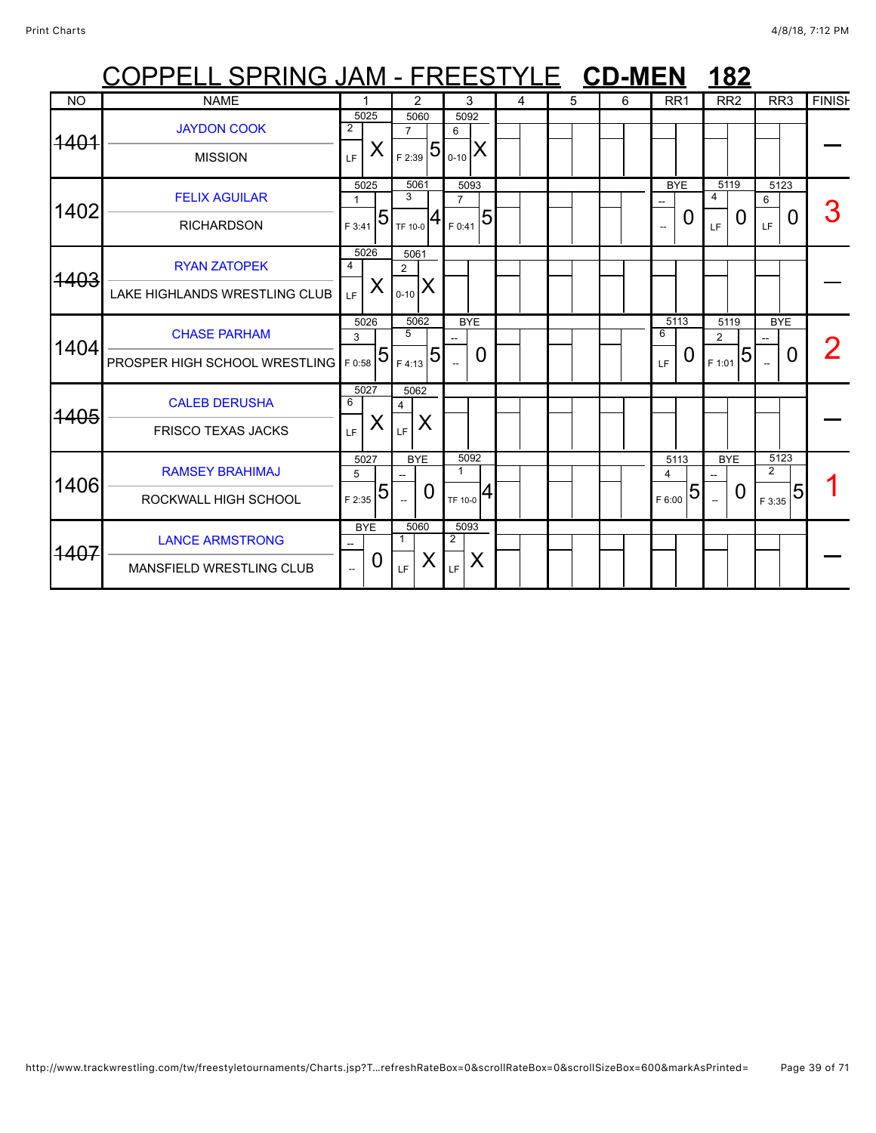|                 | COPPELL SPRING JAM - FREESTYLE CD-MEN                |                                |   |                                                     |                          |                 |   |   |   |             |                        |                          | <b>182</b>      |                                  |                 |               |
|-----------------|------------------------------------------------------|--------------------------------|---|-----------------------------------------------------|--------------------------|-----------------|---|---|---|-------------|------------------------|--------------------------|-----------------|----------------------------------|-----------------|---------------|
| <b>NO</b>       | <b>NAME</b>                                          |                                |   | 2                                                   |                          | 3               | 4 | 5 | 6 |             | RR <sub>1</sub>        |                          | RR <sub>2</sub> |                                  | RR <sub>3</sub> | <b>FINISH</b> |
| <del>1401</del> | <b>JAYDON COOK</b><br><b>MISSION</b>                 | 5025<br>$\overline{2}$<br>LE.  | X | 5060<br>$\overline{7}$<br>$5\overline{5}$<br>F 2:39 | 6<br>$0 - 10$            | 5092<br>X       |   |   |   |             |                        |                          |                 |                                  |                 |               |
| 1402            | <b>FELIX AGUILAR</b><br><b>RICHARDSON</b>            | 5025<br>$\mathbf{1}$<br>F 3:41 | 5 | 5061<br>3<br>TF 10-0                                | $\overline{7}$<br>F 0:41 | 5093<br>5       |   |   |   |             | <b>BYE</b><br>0        | 4<br>LF                  | 5119<br>O       | 6<br>LF.                         | 5123<br>0       |               |
| <del>1403</del> | <b>RYAN ZATOPEK</b><br>LAKE HIGHLANDS WRESTLING CLUB | 5026<br>4<br>LF.               | X | 5061<br>$\overline{2}$<br>X<br>$0 - 10$             |                          |                 |   |   |   |             |                        |                          |                 |                                  |                 |               |
| 1404            | <b>CHASE PARHAM</b><br>PROSPER HIGH SCHOOL WRESTLING | 5026<br>3<br>F 0:58            | 5 | 5062<br>5<br>5<br>F 4:13                            |                          | <b>BYE</b><br>0 |   |   |   | 6<br>LF     | 5113<br>U              | $\overline{2}$<br>F 1:01 | 5119<br>5       | <b>BYE</b>                       | O               |               |
| 1405            | <b>CALEB DERUSHA</b><br><b>FRISCO TEXAS JACKS</b>    | 5027<br>6<br>LF.               | X | 5062<br>$\overline{4}$<br>X<br>LF.                  |                          |                 |   |   |   |             |                        |                          |                 |                                  |                 |               |
| 1406            | <b>RAMSEY BRAHIMAJ</b><br>ROCKWALL HIGH SCHOOL       | 5027<br>5<br>F 2:35            | 5 | <b>BYE</b><br>0                                     | $\mathbf{1}$<br>TF 10-0  | 5092<br> 4      |   |   |   | 4<br>F 6:00 | 5113<br>$\overline{5}$ |                          | <b>BYE</b><br>0 | 5123<br>$\overline{2}$<br>F 3:35 | 5               |               |
|                 | <b>LANCE ARMSTRONG</b><br>MANSFIELD WRESTLING CLUB   | <b>BYE</b><br>--<br>−−         | 0 | 5060<br>Χ<br>LF                                     | $\overline{2}$<br>LF     | 5093<br>X       |   |   |   |             |                        |                          |                 |                                  |                 |               |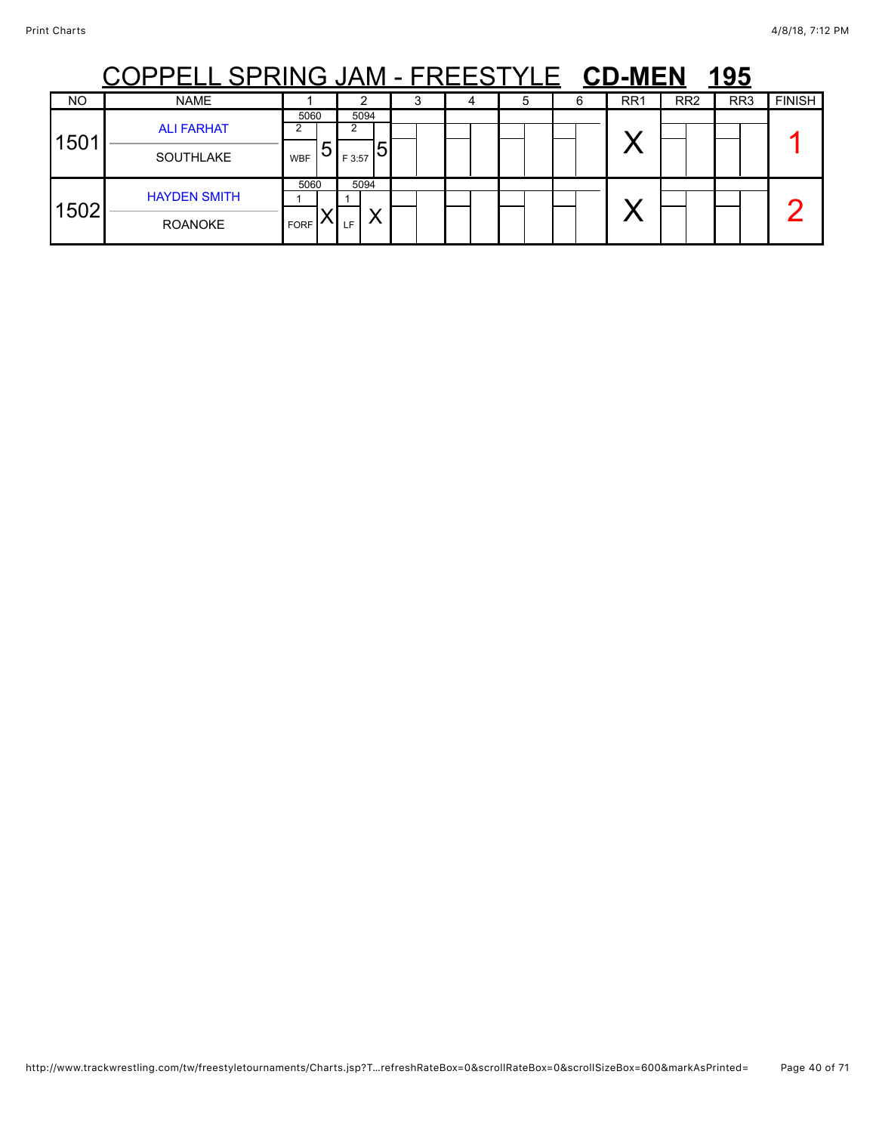|      | <u>ELL SPRING JAM - FREESTYLE CD-MEN</u> |                     |   |                |   |  |  |   |   |                 |                 | 195             |               |
|------|------------------------------------------|---------------------|---|----------------|---|--|--|---|---|-----------------|-----------------|-----------------|---------------|
| NO   | <b>NAME</b>                              |                     |   |                |   |  |  | 5 | h | RR <sub>1</sub> | RR <sub>2</sub> | RR <sub>3</sub> | <b>FINISH</b> |
| 1501 | <b>ALI FARHAT</b><br><b>SOUTHLAKE</b>    | 5060<br><b>WBF</b>  | ხ | 5094<br>F 3:57 | ს |  |  |   |   |                 |                 |                 |               |
| 1502 | <b>HAYDEN SMITH</b><br><b>ROANOKE</b>    | 5060<br><b>FORF</b> |   | 5094<br>LF.    |   |  |  |   |   |                 |                 |                 |               |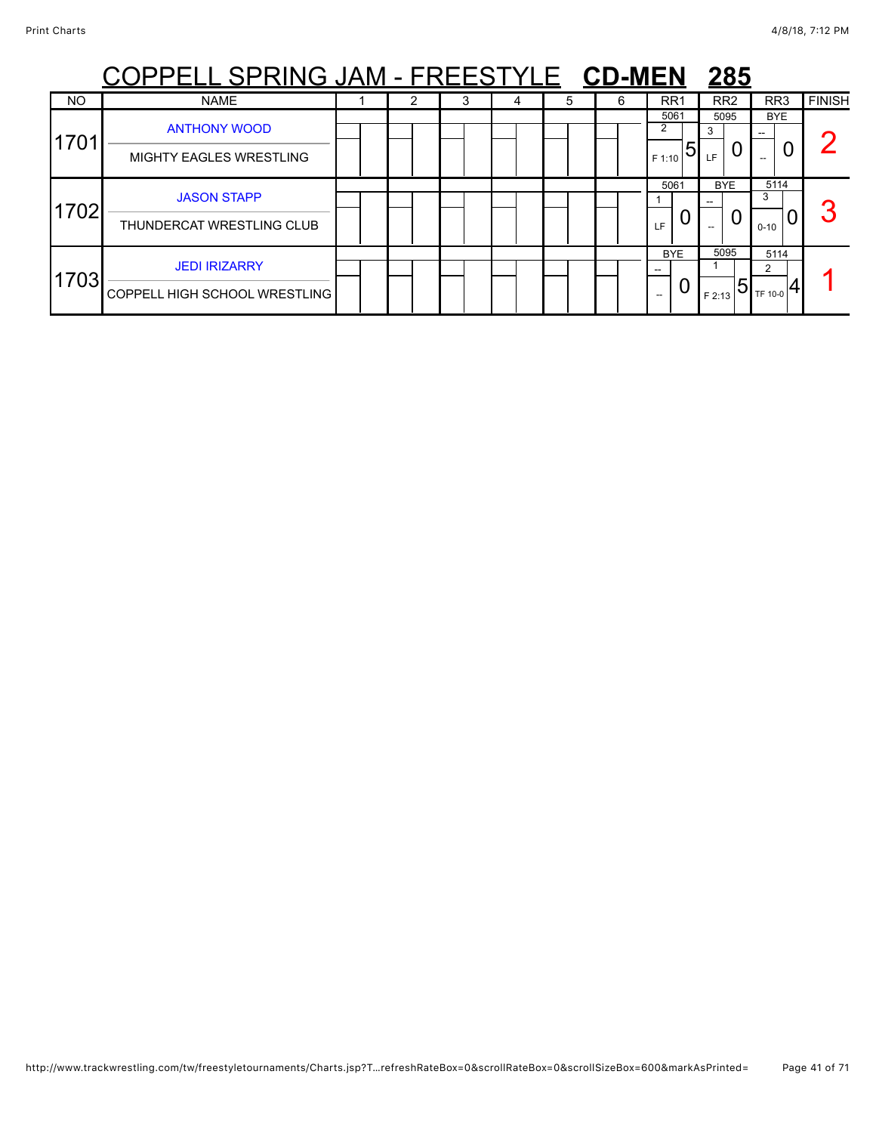|           | PPELL SPRING JAM - FREESTYLE CD-MEN                          |  |   |   |   |   |                          | 285                 |                       |               |
|-----------|--------------------------------------------------------------|--|---|---|---|---|--------------------------|---------------------|-----------------------|---------------|
| <b>NO</b> | <b>NAME</b>                                                  |  | 3 | 4 | 5 | 6 | RR <sub>1</sub>          | RR <sub>2</sub>     | RR <sub>3</sub>       | <b>FINISH</b> |
| 1701      | <b>ANTHONY WOOD</b><br><b>MIGHTY EAGLES WRESTLING</b>        |  |   |   |   |   | 5061<br>2<br>5<br>F 1:10 | 5095<br>3<br>LF.    | <b>BYE</b>            |               |
| 1702      | <b>JASON STAPP</b><br>THUNDERCAT WRESTLING CLUB              |  |   |   |   |   | 5061<br>U<br>LF          | <b>BYE</b><br>0     | 5114<br>3<br>$0 - 10$ |               |
| 1703      | <b>JEDI IRIZARRY</b><br><b>COPPELL HIGH SCHOOL WRESTLING</b> |  |   |   |   |   | <b>BYE</b><br>U          | 5095<br>5<br>F 2:13 | 5114<br>TF 10-0       |               |

## http://www.trackwrestling.com/tw/freestyletournaments/Charts.jsp?T…refreshRateBox=0&scrollRateBox=0&scrollSizeBox=600&markAsPrinted= Page 41 of 71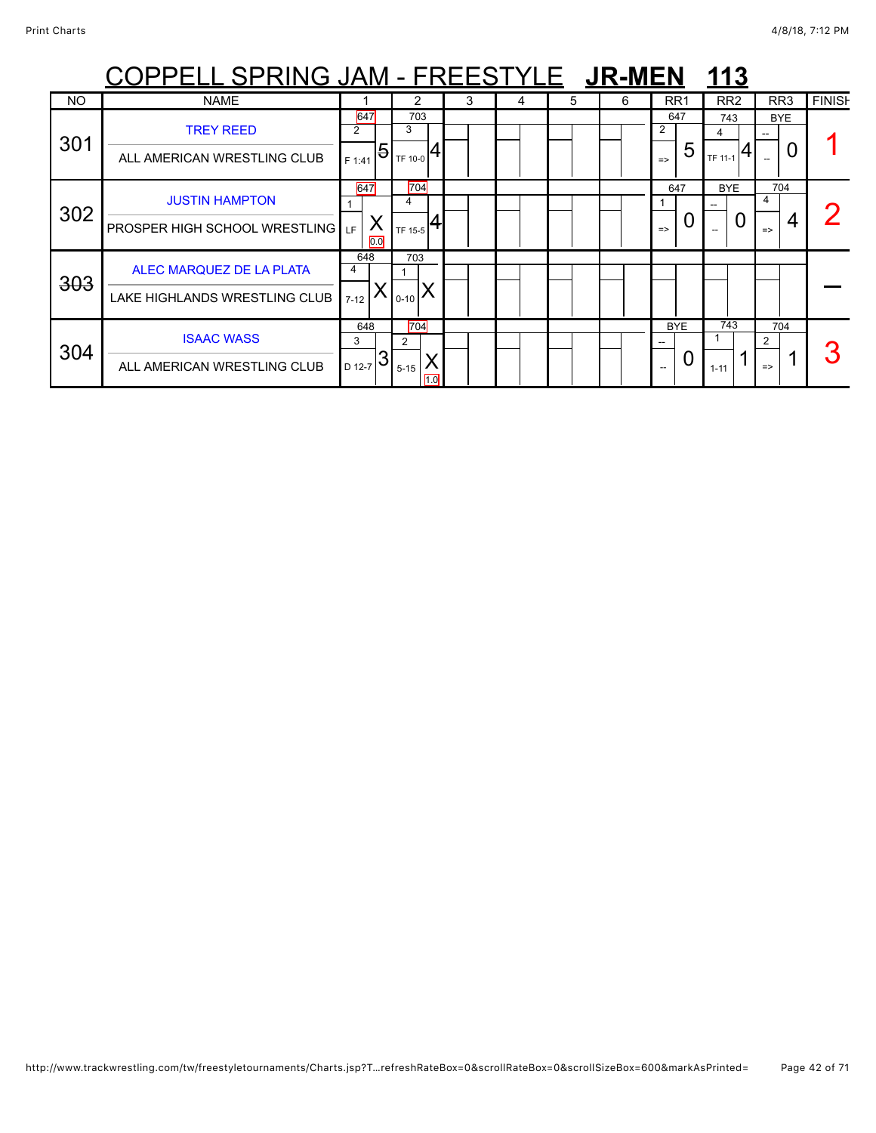|           | <u>COPPELL SPRING JAM - FREESTYLE JR-MEN</u>                  |                              |                                                                                                                                                                                                                                                                                                                                 |   |   |    |   |                           | 113                 |                                |               |
|-----------|---------------------------------------------------------------|------------------------------|---------------------------------------------------------------------------------------------------------------------------------------------------------------------------------------------------------------------------------------------------------------------------------------------------------------------------------|---|---|----|---|---------------------------|---------------------|--------------------------------|---------------|
| <b>NO</b> | <b>NAME</b>                                                   |                              |                                                                                                                                                                                                                                                                                                                                 | 3 | 4 | 5. | 6 | RR <sub>1</sub>           | RR <sub>2</sub>     | RR3                            | <b>FINISH</b> |
| 301       | <b>TREY REED</b><br>ALL AMERICAN WRESTLING CLUB               | 647<br>2<br>F 1:41           | 703<br>3<br>$\frac{1}{2}$ $\frac{1}{2}$ $\frac{1}{2}$ $\frac{1}{2}$ $\frac{1}{2}$ $\frac{1}{2}$ $\frac{1}{2}$ $\frac{1}{2}$ $\frac{1}{2}$ $\frac{1}{2}$ $\frac{1}{2}$ $\frac{1}{2}$ $\frac{1}{2}$ $\frac{1}{2}$ $\frac{1}{2}$ $\frac{1}{2}$ $\frac{1}{2}$ $\frac{1}{2}$ $\frac{1}{2}$ $\frac{1}{2}$ $\frac{1}{2}$ $\frac{1}{2}$ |   |   |    |   | 647<br>5<br>$\Rightarrow$ | 743<br>4<br>TF 11-1 | <b>BYE</b><br>U                |               |
| 302       | <b>JUSTIN HAMPTON</b><br><b>PROSPER HIGH SCHOOL WRESTLING</b> | 647<br>Χ<br><b>IF</b><br>0.0 | 704<br>4<br>TF 15-5                                                                                                                                                                                                                                                                                                             |   |   |    |   | 647<br>O<br>$\Rightarrow$ | <b>BYE</b><br>0     | 704<br>4<br>4<br>$\Rightarrow$ |               |
| 303       | ALEC MARQUEZ DE LA PLATA<br>LAKE HIGHLANDS WRESTLING CLUB     | 648<br>4<br>$7-12$           | 703<br>$_{0-10}$ $\Lambda$                                                                                                                                                                                                                                                                                                      |   |   |    |   |                           |                     |                                |               |
| 304       | <b>ISAAC WASS</b><br>ALL AMERICAN WRESTLING CLUB              | 648<br>3<br>3<br>D 12-7      | 704<br>2<br>$5 - 15$<br>1.0                                                                                                                                                                                                                                                                                                     |   |   |    |   | <b>BYE</b><br>0           | 743<br>$1 - 11$     | 704<br>2<br>$\Rightarrow$      |               |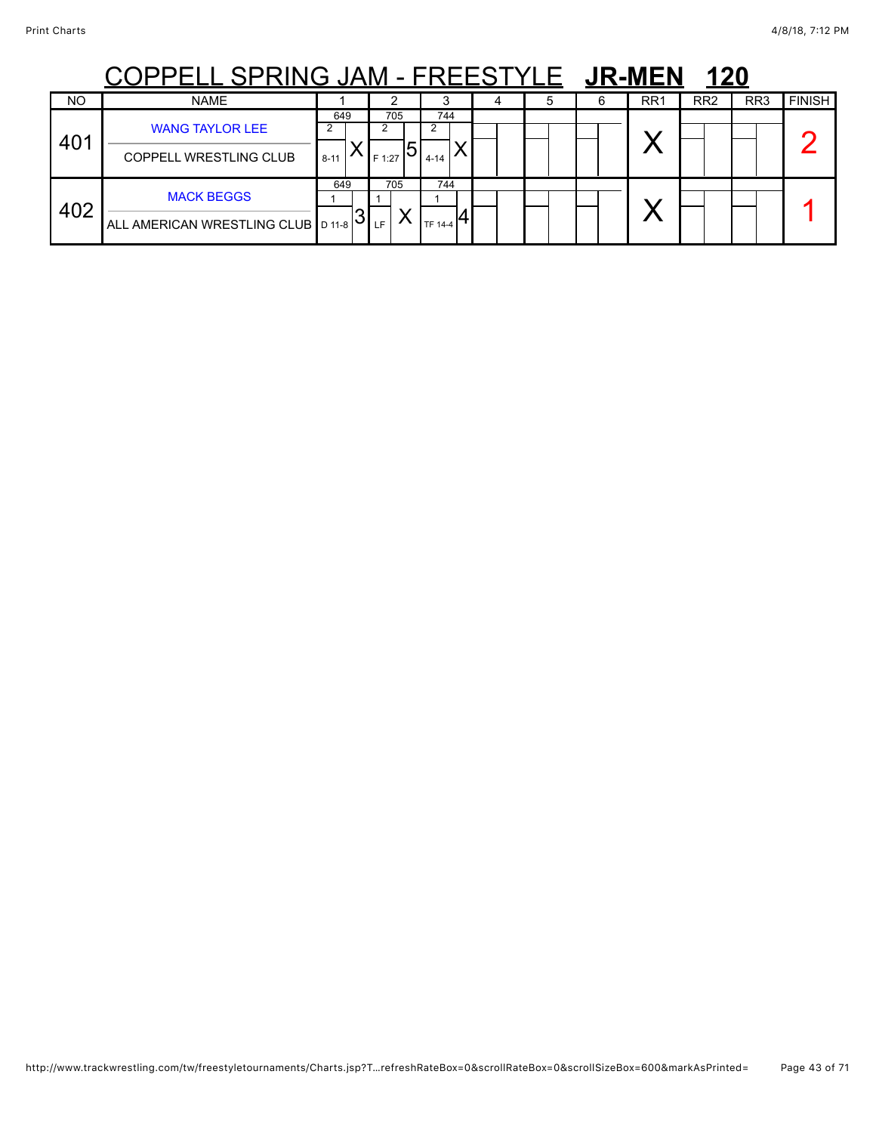# COPPELL SPRING JAM - FREESTYLE JR-MEN 120

|           | .<br>_____                                                |                 | .             | . . <b>. .</b>        |  | ----------      | $\overline{\phantom{a}}$ |                 |               |
|-----------|-----------------------------------------------------------|-----------------|---------------|-----------------------|--|-----------------|--------------------------|-----------------|---------------|
| <b>NO</b> | <b>NAME</b>                                               |                 |               |                       |  | RR <sub>1</sub> | RR <sub>2</sub>          | RR <sub>3</sub> | <b>FINISH</b> |
| 401       | <b>WANG TAYLOR LEE</b><br><b>COPPELL WRESTLING CLUB</b>   | 649<br>$8 - 11$ | 705<br>F 1:27 | 744<br>$4 - 14$       |  |                 |                          |                 |               |
| 402       | <b>MACK BEGGS</b><br>ALL AMERICAN WRESTLING CLUB   D 11-8 | 649<br>IJ.      | 705<br>LF     | 744<br><b>TF 14-4</b> |  |                 |                          |                 |               |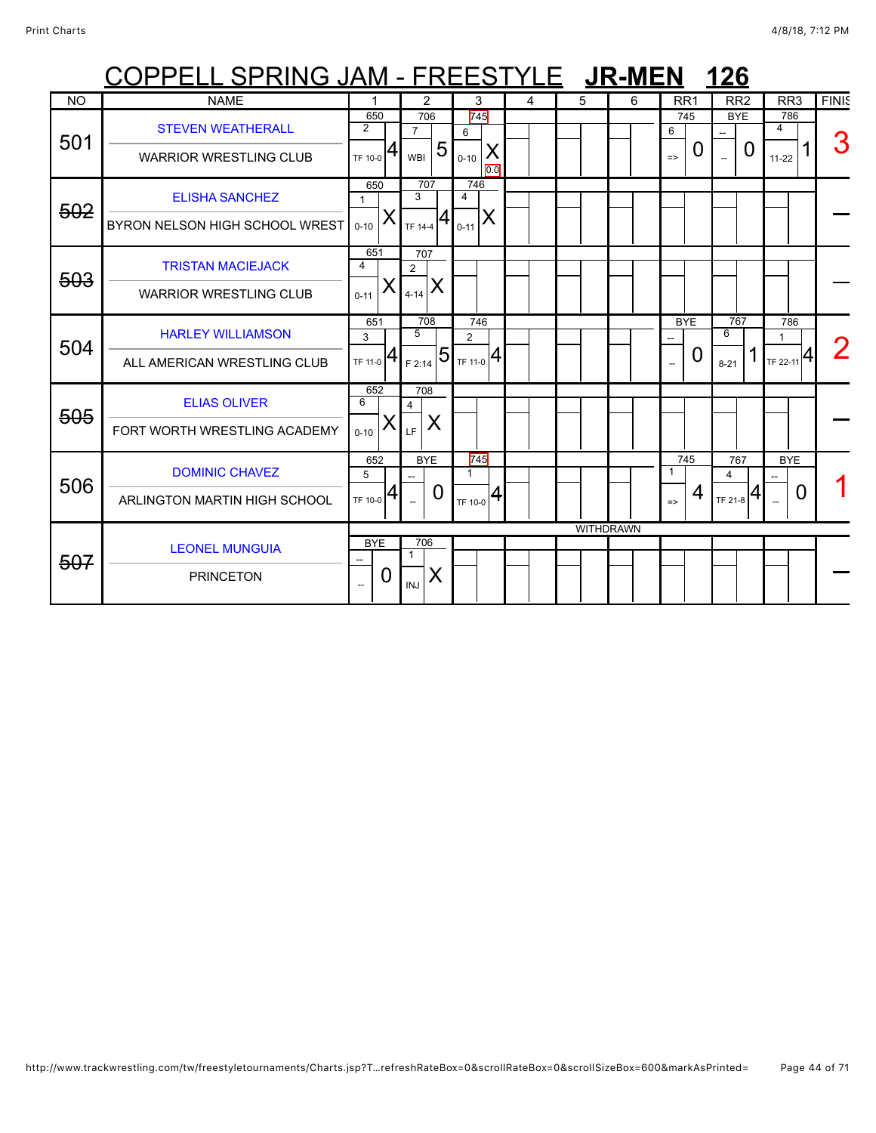|           | COPPELL SPRING JAM - FREESTYLE |                               |   |                       |                |                                  |          |   |   | <b>JR-MEN</b>    |                          |          | <b>126</b>      |   |                            |              |
|-----------|--------------------------------|-------------------------------|---|-----------------------|----------------|----------------------------------|----------|---|---|------------------|--------------------------|----------|-----------------|---|----------------------------|--------------|
| <b>NO</b> | <b>NAME</b>                    |                               |   | $\overline{2}$        |                | 3                                |          | 4 | 5 | 6                | RR <sub>1</sub>          |          | RR <sub>2</sub> |   | RR <sub>3</sub>            | <b>FINIS</b> |
| 501       | <b>STEVEN WEATHERALL</b>       | 650<br>$\overline{2}$         |   | 706<br>$\overline{7}$ |                | 745<br>6                         |          |   |   |                  | 6                        | 745      | <b>BYE</b>      |   | 786<br>4                   | З            |
|           | <b>WARRIOR WRESTLING CLUB</b>  | TF 10-0                       | 4 | <b>WBI</b>            | 5              | $0 - 10$                         | X<br>0.0 |   |   |                  | $\Rightarrow$            | 0        | --              | 0 | $11-22$                    |              |
| 502       | <b>ELISHA SANCHEZ</b>          | 650<br>$\mathbf{1}$<br>X      |   | 707<br>3              |                | 746<br>$\overline{4}$            | X        |   |   |                  |                          |          |                 |   |                            |              |
|           | BYRON NELSON HIGH SCHOOL WREST | $0 - 10$<br>651               |   | TF 14-4<br>707        |                | $0 - 11$                         |          |   |   |                  |                          |          |                 |   |                            |              |
| 503       | <b>TRISTAN MACIEJACK</b>       | 4<br>Χ                        |   | $\overline{2}$        | X              |                                  |          |   |   |                  |                          |          |                 |   |                            |              |
|           | <b>WARRIOR WRESTLING CLUB</b>  | $0 - 11$<br>651               |   | $4 - 14$<br>708       |                | 746                              |          |   |   |                  | <b>BYE</b>               |          | 767             |   | 786                        |              |
| 504       | <b>HARLEY WILLIAMSON</b>       | 3                             | 4 | 5                     | $\overline{5}$ | $\overline{2}$                   |          |   |   |                  |                          | $\Omega$ | 6               |   | 1                          |              |
|           | ALL AMERICAN WRESTLING CLUB    | TF 11-0<br>652                |   | F 2:14<br>708         |                | $\mathbf{F}_{\text{TF 11-0}} 4.$ |          |   |   |                  | $\overline{\phantom{a}}$ |          | $8 - 21$        |   | $T = 22 - 11$ <sup>4</sup> |              |
| 505       | <b>ELIAS OLIVER</b>            | 6<br>Х                        |   | 4                     | X              |                                  |          |   |   |                  |                          |          |                 |   |                            |              |
|           | FORT WORTH WRESTLING ACADEMY   | $0 - 10$<br>652               |   | LF<br><b>BYE</b>      |                | 745                              |          |   |   |                  |                          | 745      | 767             |   | <b>BYE</b>                 |              |
| 506       | <b>DOMINIC CHAVEZ</b>          | 5                             |   |                       |                | $\mathbf{1}$                     |          |   |   |                  | 1                        |          | 4               |   |                            |              |
|           | ARLINGTON MARTIN HIGH SCHOOL   | TF 10-0                       | 4 |                       | O              | TF 10-0                          | 4        |   |   |                  | $\Rightarrow$            | 4        | TF 21-8         | 4 | $\overline{0}$             |              |
|           |                                | <b>BYE</b>                    |   | 706                   |                |                                  |          |   |   | <b>WITHDRAWN</b> |                          |          |                 |   |                            |              |
| 507       | <b>LEONEL MUNGUIA</b>          | $\overline{\phantom{a}}$      |   | -1                    |                |                                  |          |   |   |                  |                          |          |                 |   |                            |              |
|           | <b>PRINCETON</b>               | 0<br>$\overline{\phantom{a}}$ |   | <b>INJ</b>            | Χ              |                                  |          |   |   |                  |                          |          |                 |   |                            |              |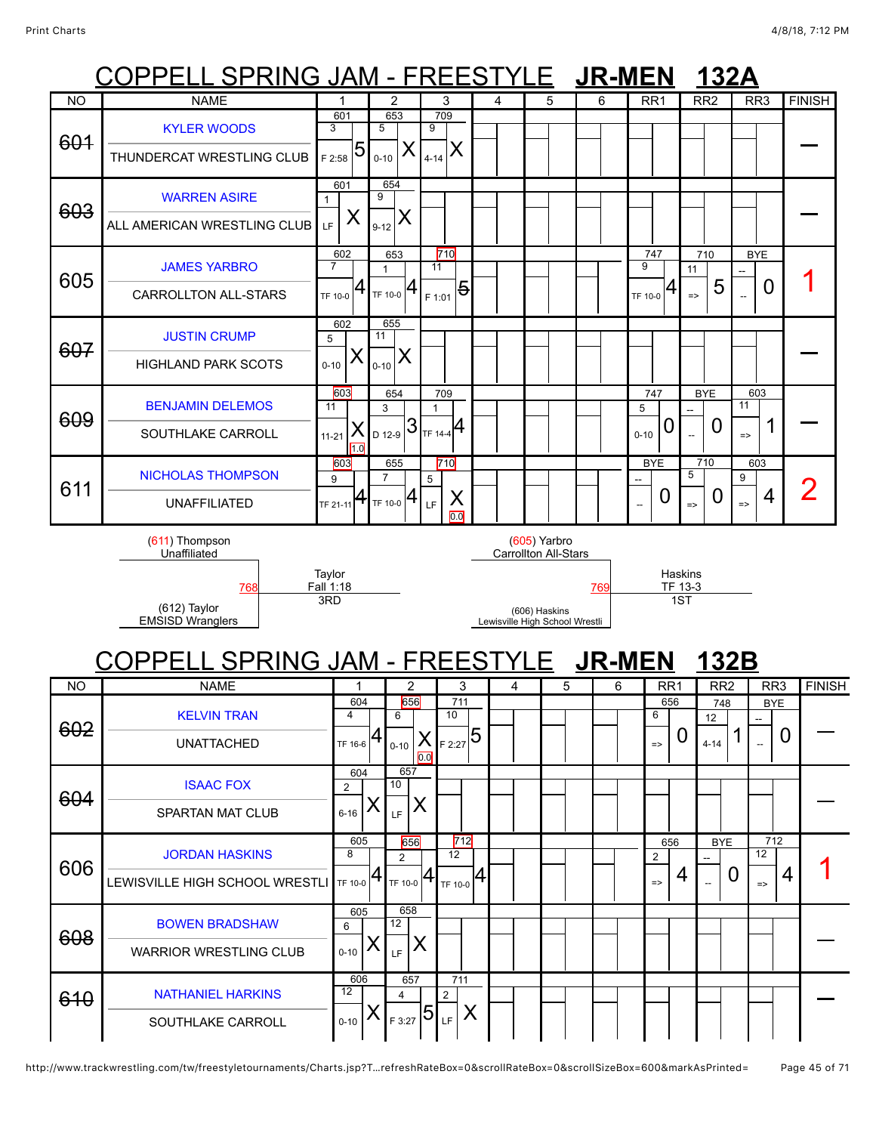### PPELL SPRING JAM - FREESTYLE JR-MEN 132 COPPELL SPRING JAM - FREESTYLE **JR-MEN 132B** NO | NAME | 1 | 2 | 3 | 4 | 5 | 6 | RR1 | RR2 | RR3 |FINISH 601 [KYLER WOODS](javascript:viewProfile(1553105096)) THUNDERCAT WRESTLING CLUB 601 3  $55^{5}$ 653 5  $0 - 10$ 709 9 <sub>4-14</sub> X <sup>—</sup> 603 [WARREN ASIRE](javascript:viewProfile(628571132)) ALL AMERICAN WRESTLING CLUB 601 1  $_{\rm LF}$   $\mid$   $\sf X$ 654 9  $_{9\text{-}12}$   $\bm{\mathsf{X}}$ <sup>—</sup> 605 [JAMES YARBRO](javascript:viewProfile(752068096)) CARROLLTON ALL-STARS 602 7  $_{\rm TF\ 10{\text -}0}$   $\bm{4}$ 653 1 TF 10-0 710 11 <sub>F 1:01</sub> 5 747 9 TF 10-0 710 11 => 5 **BYF** --  $\Box$  0 | 1 607 [JUSTIN CRUMP](javascript:viewProfile(627343132)) HIGHLAND PARK SCOTS 602 5  $0 - 10$ 655 11  $_{_{0\text{-}10}}$   $\times$ <sup>—</sup> 609 [BENJAMIN DELEMOS](javascript:viewProfile(116764096)) SOUTHLAKE CARROLL 603 11 X  $1.0$ 11-21 654 3  $_{\rm D$  12-9  $|3$ 709 1  $TF 14-4$ 747 5  $_{0-10}$  0 BYE -- 0 603 11  $\frac{1}{2}$  1  $\Big\vert$  = 611 [NICHOLAS THOMPSON](javascript:viewProfile(1611302096)) UNAFFILIATED 603 9 TF 21-11 655 7  $TF 10-0$ 710 5 X 0.0 LF BYE -- 0 710 5  $_{\scriptscriptstyle{-\sim}}$   $\mid$  0 603 9  $\frac{1}{2}$ 4 | 2 (611) Thompson Unaffiliated **Taylor** Fall 1:18 (605) Yarbro Carrollton All-Stars Haskins<br>TF 13-3 [768](javascript:openBoutSheet(6041)) [769](javascript:openBoutSheet(6031)) TF 13-3 (612) Taylor EMSISD Wranglers 3RD (606) Haskins Lewisville High School Wrestli 1ST NO NAME 1 2 3 4 5 6 RR1 RR2 RR3 FINISH 602 [KELVIN TRAN](javascript:viewProfile(1536843096)) UNATTACHED 604 4 TF 16-6 656 6 X  $0.0$ 0-10 711 10 5<sub>2:27</sub> ج 656 6 => 0 748 12  $4-14$  1 **BYE** --  $\frac{1}{2}$  0  $\vert$  -604 [ISAAC FOX](javascript:viewProfile(109275096)) SPARTAN MAT CLUB 604  $\mathfrak{p}$  $6 - 16$ 657 10  $\mathbb{E}$   $\mathsf{X}$ <sup>—</sup> 606 [JORDAN HASKINS](javascript:viewProfile(524637096)) LEWISVILLE HIGH SCHOOL WRESTLI 605 8 TF 10-0 656 2  $_{\sf TF\ 10\text{-}0}$  4 712 12 TF 10-0 656 2  $_{\sim}$  | 4 BYE --  $\Omega$ 712 12  $\frac{12}{2}$  4 1 608 [BOWEN BRADSHAW](javascript:viewProfile(627851132)) WARRIOR WRESTLING CLUB 605 6  $0 - 10$ 658 12  $\mathbb{E}$   $\mathsf{X}$ <sup>—</sup> 610 [NATHANIEL HARKINS](javascript:viewProfile(1161617096)) 606 12 657 4 <sub>F 3:27</sub> 5 711 2 <sub>LE</sub> | X

### http://www.trackwrestling.com/tw/freestyletournaments/Charts.jsp?T…refreshRateBox=0&scrollRateBox=0&scrollSizeBox=600&markAsPrinted= Page 45 of 71

 $0 - 10$ 

SOUTHLAKE CARROLL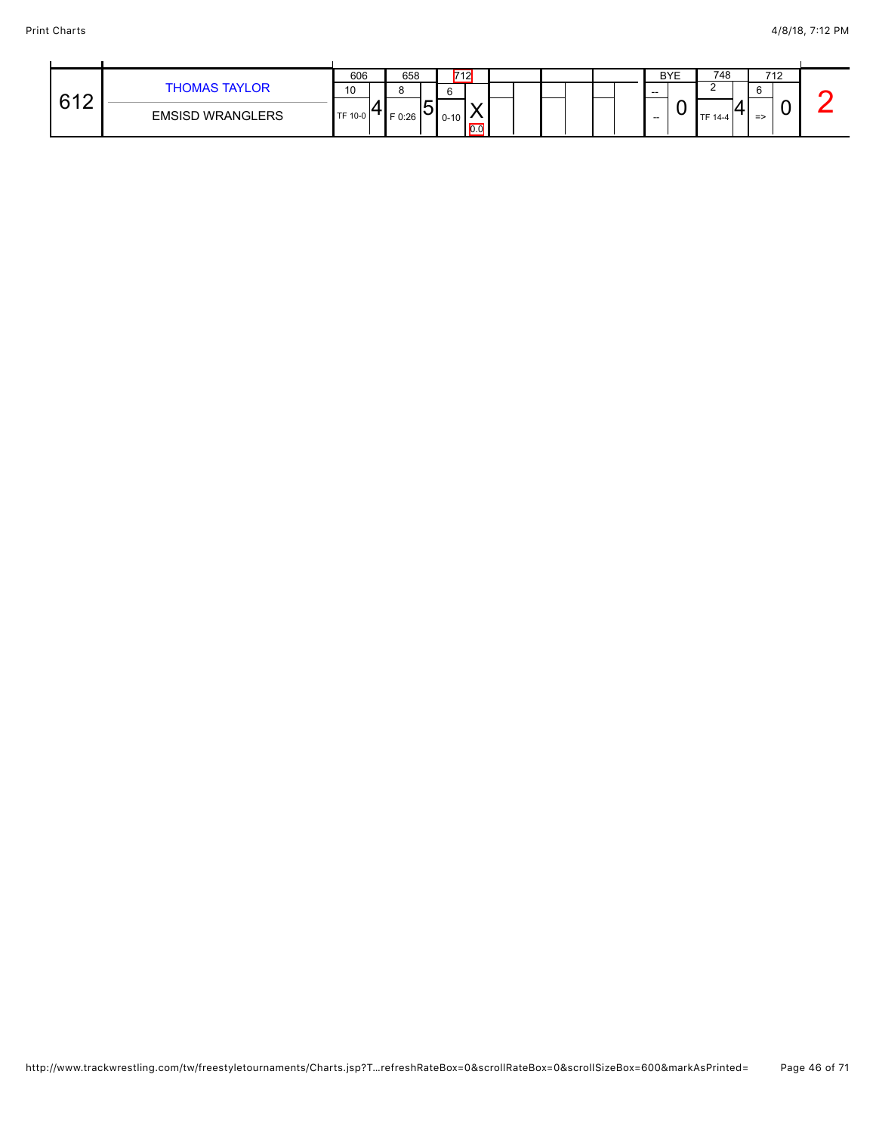|     |                         | 606     | 658      |            | 712      |                   |  |  |       | <b>BYE</b> | 748            | 712           |  |
|-----|-------------------------|---------|----------|------------|----------|-------------------|--|--|-------|------------|----------------|---------------|--|
| 612 | <b>THOMAS TAYLOR</b>    | 10      |          |            |          |                   |  |  | $- -$ |            |                | $\sim$<br>U   |  |
| . . | <b>EMSISD WRANGLERS</b> | TF 10-0 | $F$ 0:26 | ∽<br>. I U | $0 - 10$ | $\overline{0}$ .c |  |  | $- -$ |            | <b>TF 14-4</b> | $\Rightarrow$ |  |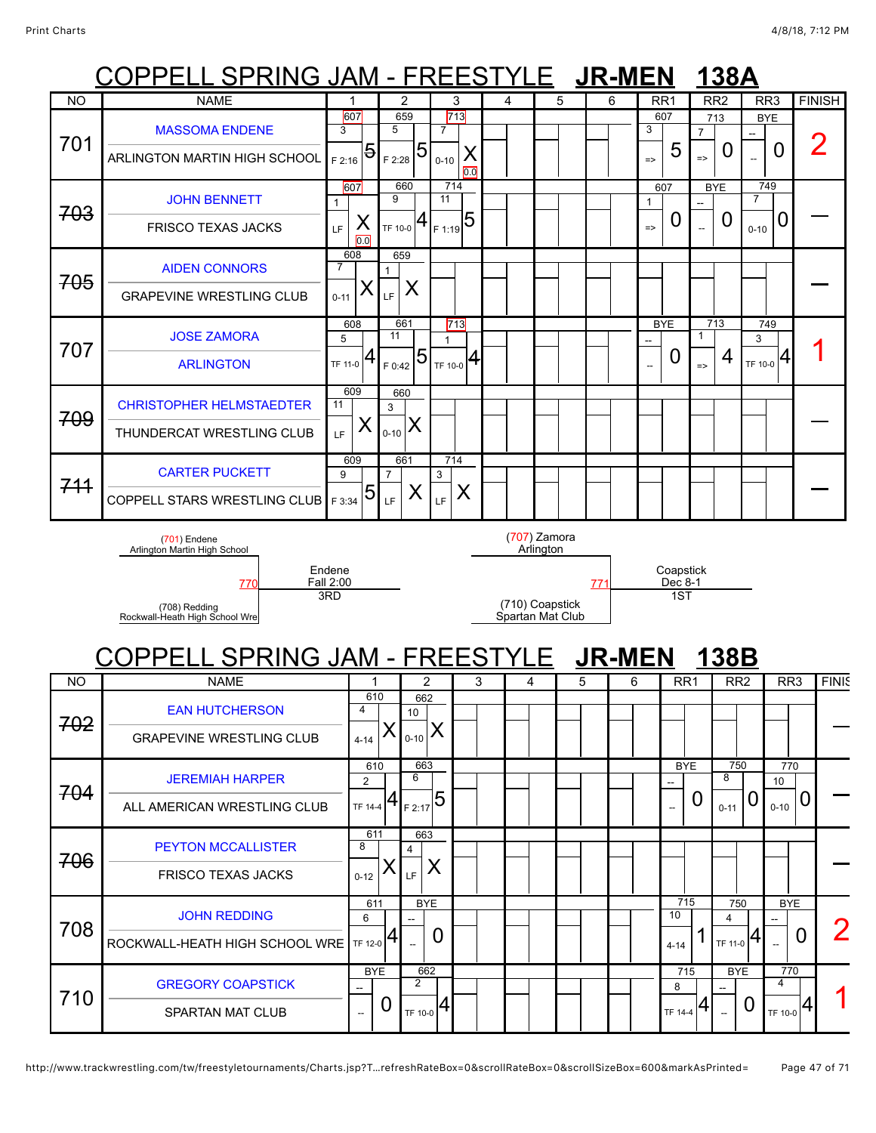|           | <u> COPPELL SPRING JAM - FREESTYLE JR-MEN</u>                                                                                  |                                           |                      |                                           |                                     |   |                      |   |                             |               |                             |                          | 138A                                                  |                 |                                                            |               |
|-----------|--------------------------------------------------------------------------------------------------------------------------------|-------------------------------------------|----------------------|-------------------------------------------|-------------------------------------|---|----------------------|---|-----------------------------|---------------|-----------------------------|--------------------------|-------------------------------------------------------|-----------------|------------------------------------------------------------|---------------|
| <b>NO</b> | <b>NAME</b>                                                                                                                    | 1                                         | 2                    |                                           | 3                                   | 4 |                      | 5 | 6                           |               | RR1                         | RR <sub>2</sub>          |                                                       | RR <sub>3</sub> |                                                            | <b>FINISH</b> |
|           | <b>MASSOMA ENDENE</b>                                                                                                          | 607<br>3                                  | 659<br>5             |                                           | 713<br>7                            |   |                      |   |                             | 3             | 607                         | 713<br>$\overline{7}$    |                                                       | <b>BYE</b>      |                                                            |               |
| 701       | ARLINGTON MARTIN HIGH SCHOOL                                                                                                   | 5<br>F 2:16                               | F 2:28               | $\overline{5}$                            | Х<br>$0 - 10$<br>0.0                |   |                      |   |                             | $\Rightarrow$ | 5                           | $\Rightarrow$            | 0                                                     |                 | 0                                                          | 2             |
| 703       | <b>JOHN BENNETT</b>                                                                                                            | 607<br>$\mathbf{1}$                       | 660<br>9             |                                           | 714<br>11                           |   |                      |   |                             | 1             | 607                         | <b>BYE</b>               |                                                       | 749<br>7        |                                                            |               |
|           | <b>FRISCO TEXAS JACKS</b>                                                                                                      | X<br><b>LF</b><br>$\overline{0.0}$<br>608 | TF 10-0              | 4                                         | $T_{F1:19}$ 5                       |   |                      |   |                             | $\Rightarrow$ | U                           | $\overline{\phantom{a}}$ | $\boldsymbol{0}$                                      | $0 - 10$        | 0                                                          |               |
| 705       | <b>AIDEN CONNORS</b>                                                                                                           | 7<br>Х                                    | 659                  | X                                         |                                     |   |                      |   |                             |               |                             |                          |                                                       |                 |                                                            |               |
|           | <b>GRAPEVINE WRESTLING CLUB</b>                                                                                                | $0 - 11$<br>608                           | LF.<br>661           |                                           | 713                                 |   |                      |   |                             |               | <b>BYE</b>                  | 713                      |                                                       | 749             |                                                            |               |
| 707       | <b>JOSE ZAMORA</b>                                                                                                             | 5                                         | 11                   | 5                                         | $\mathbf{1}$                        |   |                      |   |                             | $\sim$        | 0                           | 1                        | 4                                                     | 3               | 4                                                          |               |
|           | <b>ARLINGTON</b>                                                                                                               | TF 11-0<br>609                            | F 0:42<br>660        |                                           | $T_{\text{TF 10-0}} 4$              |   |                      |   |                             |               |                             | $\Rightarrow$            |                                                       | TF 10-0         |                                                            |               |
| 709       | <b>CHRISTOPHER HELMSTAEDTER</b><br>THUNDERCAT WRESTLING CLUB                                                                   | 11<br>Χ<br>LF                             | 3<br>$0 - 10$        | X                                         |                                     |   |                      |   |                             |               |                             |                          |                                                       |                 |                                                            |               |
|           |                                                                                                                                | 609                                       | 661                  |                                           | 714                                 |   |                      |   |                             |               |                             |                          |                                                       |                 |                                                            |               |
| 711       | <b>CARTER PUCKETT</b><br><b>COPPELL STARS WRESTLING CLUB</b>                                                                   | 9<br>5<br>F 3:34                          | $\overline{7}$<br>LF | X                                         | 3<br>X<br>LF.                       |   |                      |   |                             |               |                             |                          |                                                       |                 |                                                            |               |
|           | Endene<br>Fall 2:00<br>770<br>3RD<br>(708) Redding<br>Rockwall-Heath High School Wre<br><u> COPPELL SPRING JAM - FREESTYLE</u> |                                           |                      |                                           | (710) Coapstick<br>Spartan Mat Club |   | 771<br><b>JR-MEN</b> |   | Coapstick<br>Dec 8-1<br>1ST |               | <u>138B</u>                 |                          |                                                       |                 |                                                            |               |
| NO        | <b>NAME</b>                                                                                                                    | 1                                         |                      | 2                                         |                                     | 3 | 4                    | 5 |                             | 6             | RR <sub>1</sub>             |                          | RR <sub>2</sub>                                       |                 | RR <sub>3</sub>                                            | <b>FINIS</b>  |
| 702       | <b>EAN HUTCHERSON</b><br><b>GRAPEVINE WRESTLING CLUB</b>                                                                       | 610<br>4<br>$4 - 14$                      |                      | 662<br>10<br>$0 - 10$                     | X                                   |   |                      |   |                             |               |                             |                          |                                                       |                 |                                                            |               |
| 704       | <b>JEREMIAH HARPER</b><br>ALL AMERICAN WRESTLING CLUB                                                                          | 610<br>$\overline{2}$<br>TF 14-4          | (4)                  | 663<br>6<br>F 2:17                        | $\overline{5}$                      |   |                      |   |                             |               | <b>BYE</b>                  | O                        | 750<br>8<br>$0 - 11$                                  | O               | 770<br>10<br>$\bf{0}$<br>$0 - 10$                          |               |
| 706       | <b>PEYTON MCCALLISTER</b><br><b>FRISCO TEXAS JACKS</b>                                                                         | 611<br>8<br>$0 - 12$                      |                      | 663<br>$\overline{4}$<br>LF               | X                                   |   |                      |   |                             |               |                             |                          |                                                       |                 |                                                            |               |
| 708       | <b>JOHN REDDING</b><br>ROCKWALL-HEATH HIGH SCHOOL WRE                                                                          | 611<br>6<br>TF 12-0                       | $\left 4\right $     | <b>BYE</b>                                | 0                                   |   |                      |   |                             |               | 715<br>10<br>$4 - 14$       |                          | 750<br>$\overline{4}$<br>$T_F$ 11-0 $ 4 $             |                 | <b>BYE</b><br>$\boldsymbol{0}$<br>$\overline{\phantom{a}}$ |               |
| 710       | <b>GREGORY COAPSTICK</b><br>SPARTAN MAT CLUB                                                                                   | <b>BYE</b><br>ш.                          | $\mathsf{O}$         | 662<br>$\overline{2}$<br>$T_F$ 10-0 $ 4 $ |                                     |   |                      |   |                             |               | 715<br>8<br>$TF$ 14-4 $ 4 $ |                          | <b>BYE</b><br>$\mathbf 0$<br>$\overline{\phantom{a}}$ |                 | 770<br>$\overline{4}$<br>4<br>TF 10-0                      |               |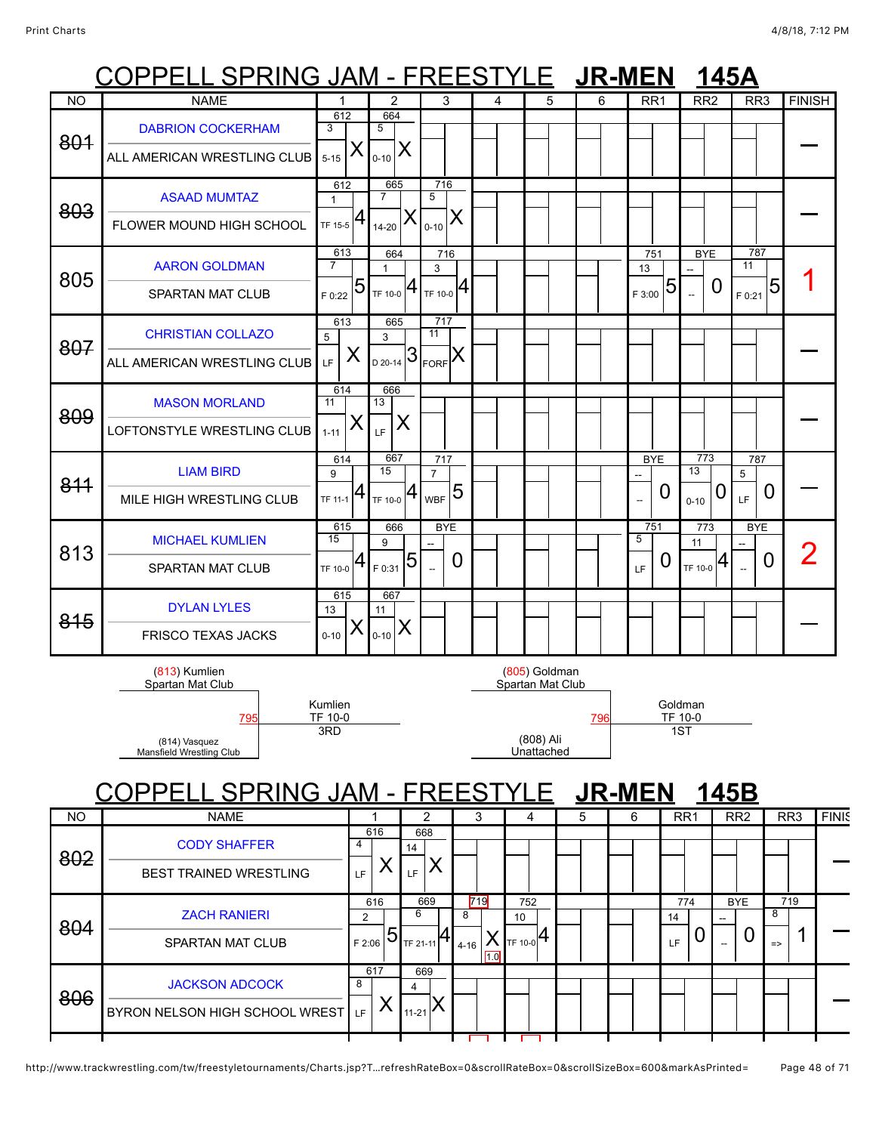## COPPELL SPRING JAM - FREESTYLE **JR-MEN 145A**

|           | ししー<br>טוווו וט LL.                          | UNIVI                        |                                    |                              |            |   | JIN-IVILIN                        |     | <b>תטדו</b>         |                                    |                             |                                  |
|-----------|----------------------------------------------|------------------------------|------------------------------------|------------------------------|------------|---|-----------------------------------|-----|---------------------|------------------------------------|-----------------------------|----------------------------------|
| <b>NO</b> | <b>NAME</b>                                  | 1                            | 2                                  |                              | 3          | 4 | 5                                 | 6   | RR <sub>1</sub>     | RR <sub>2</sub>                    | RR <sub>3</sub>             | <b>FINISH</b>                    |
| 801       | <b>DABRION COCKERHAM</b>                     | 612<br>3                     | 664<br>5                           |                              |            |   |                                   |     |                     |                                    |                             |                                  |
|           | ALL AMERICAN WRESTLING CLUB                  | Х<br>$5 - 15$                | X<br>$0 - 10$                      |                              |            |   |                                   |     |                     |                                    |                             |                                  |
| 803       | <b>ASAAD MUMTAZ</b>                          | 612<br>$\mathbf{1}$          | 665<br>$\overline{7}$              | 716<br>$\overline{5}$        |            |   |                                   |     |                     |                                    |                             |                                  |
|           | FLOWER MOUND HIGH SCHOOL                     | 4<br>TF 15-5                 | $14 - 20$                          | $0 - 10$                     | Χ          |   |                                   |     |                     |                                    |                             |                                  |
| 805       | <b>AARON GOLDMAN</b>                         | 613<br>$\overline{7}$        | 664<br>$\mathbf{1}$                | 3                            | 716        |   |                                   |     | 751<br>13           | <b>BYE</b>                         | 787<br>11                   |                                  |
|           | <b>SPARTAN MAT CLUB</b>                      | 5<br>F 0:22                  | $T_F$ 10-0 $ 4$                    | TF 10-0<br>717               | 4          |   |                                   |     | 5<br>F 3:00         | $\boldsymbol{0}$<br>$\overline{a}$ | 5<br>F 0:21                 |                                  |
| 807       | <b>CHRISTIAN COLLAZO</b>                     | 613<br>5<br>X                | 665<br>3<br>$\frac{1}{20.20-14}$ 3 | 11                           |            |   |                                   |     |                     |                                    |                             |                                  |
|           | ALL AMERICAN WRESTLING CLUB                  | LF<br>614                    | 666                                | $ K_{\sf FORF} $             |            |   |                                   |     |                     |                                    |                             |                                  |
| 809       | <b>MASON MORLAND</b>                         | 11<br>X                      | 13<br>X                            |                              |            |   |                                   |     |                     |                                    |                             |                                  |
|           | LOFTONSTYLE WRESTLING CLUB                   | $1 - 11$<br>$61\overline{4}$ | LF.<br>667                         | 717                          |            |   |                                   |     | <b>BYE</b>          | 773                                | 787                         |                                  |
| 811       | <b>LIAM BIRD</b><br>MILE HIGH WRESTLING CLUB | 9<br>4<br>TF 11-1            | 15<br>TF 10-0 $ 4$                 | $\overline{7}$<br><b>WBF</b> | 5          |   |                                   |     | 0<br>$\overline{a}$ | 13<br>0                            | 5<br>$\boldsymbol{0}$<br>LF |                                  |
|           |                                              | 615                          | 666                                |                              | <b>BYE</b> |   |                                   |     | 751                 | $0 - 10$<br>773                    | <b>BYE</b>                  |                                  |
| 813       | <b>MICHAEL KUMLIEN</b><br>SPARTAN MAT CLUB   | 15<br>4<br>TF 10-0           | 9<br>F 0:31                        | 5                            | 0          |   |                                   |     | 5<br>Ü<br>LF        | 11<br>4<br>TF 10-0                 | $\boldsymbol{0}$            | $\overline{2}$                   |
|           | <b>DYLAN LYLES</b>                           | 615                          | 667                                |                              |            |   |                                   |     |                     |                                    |                             |                                  |
| 815       | <b>FRISCO TEXAS JACKS</b>                    | 13<br>Х<br>$0 - 10$          | 11<br>$\sum_{0-10} X$              |                              |            |   |                                   |     |                     |                                    |                             |                                  |
|           | (813) Kumlien<br>Spartan Mat Club            |                              |                                    |                              |            |   | (805) Goldman<br>Spartan Mat Club |     |                     |                                    |                             |                                  |
|           | 795                                          | Kumlien<br>TF 10-0           |                                    |                              |            |   |                                   | 796 |                     | Goldman<br>TF 10-0                 |                             |                                  |
|           | (814) Vasquez<br>Mansfield Wrestling Club    |                              | 1ST                                |                              |            |   |                                   |     |                     |                                    |                             |                                  |
|           | <b>SPRING JAM - FREES</b>                    |                              |                                    |                              |            |   | F                                 |     | <b>JR-MEN</b>       | 145B                               |                             |                                  |
| <b>NO</b> | <b>NAME</b>                                  |                              |                                    | 2                            |            | 3 | 4                                 | 5   | 6                   | RR <sub>1</sub>                    | RR2                         | $\overline{RR3}$<br><b>FINIS</b> |
|           |                                              |                              |                                    |                              |            |   |                                   |     |                     |                                    |                             |                                  |

| <b>IVU</b> | <b>INAIVIE</b>                                             |             |                       |                     |     |               | د          | 4                           |    | Ð | O | <b>RRI</b> |     | <b>RRZ</b>      | <b>KKJ</b>                | <b>FINK</b> |
|------------|------------------------------------------------------------|-------------|-----------------------|---------------------|-----|---------------|------------|-----------------------------|----|---|---|------------|-----|-----------------|---------------------------|-------------|
| 802        | <b>CODY SHAFFER</b><br><b>BEST TRAINED WRESTLING</b>       | 4<br>LF     | 616                   | 668<br>14<br>LF.    |     |               |            |                             |    |   |   |            |     |                 |                           |             |
| 804        | <b>ZACH RANIERI</b><br><b>SPARTAN MAT CLUB</b>             | 2<br>F 2:06 | 616<br>$\overline{5}$ | 6<br>TF 21-11       | 669 | 8<br>$4 - 16$ | 719<br>1.0 | 752<br>10<br><b>TF 10-0</b> | 14 |   |   | 14<br>LF   | 774 | <b>BYE</b><br>U | 719<br>8<br>$\Rightarrow$ |             |
| 806        | <b>JACKSON ADCOCK</b><br>BYRON NELSON HIGH SCHOOL WREST LF | 8           | 617                   | 669<br>4<br>$11-21$ |     |               |            |                             |    |   |   |            |     |                 |                           |             |
|            |                                                            |             |                       |                     |     |               |            |                             |    |   |   |            |     |                 |                           |             |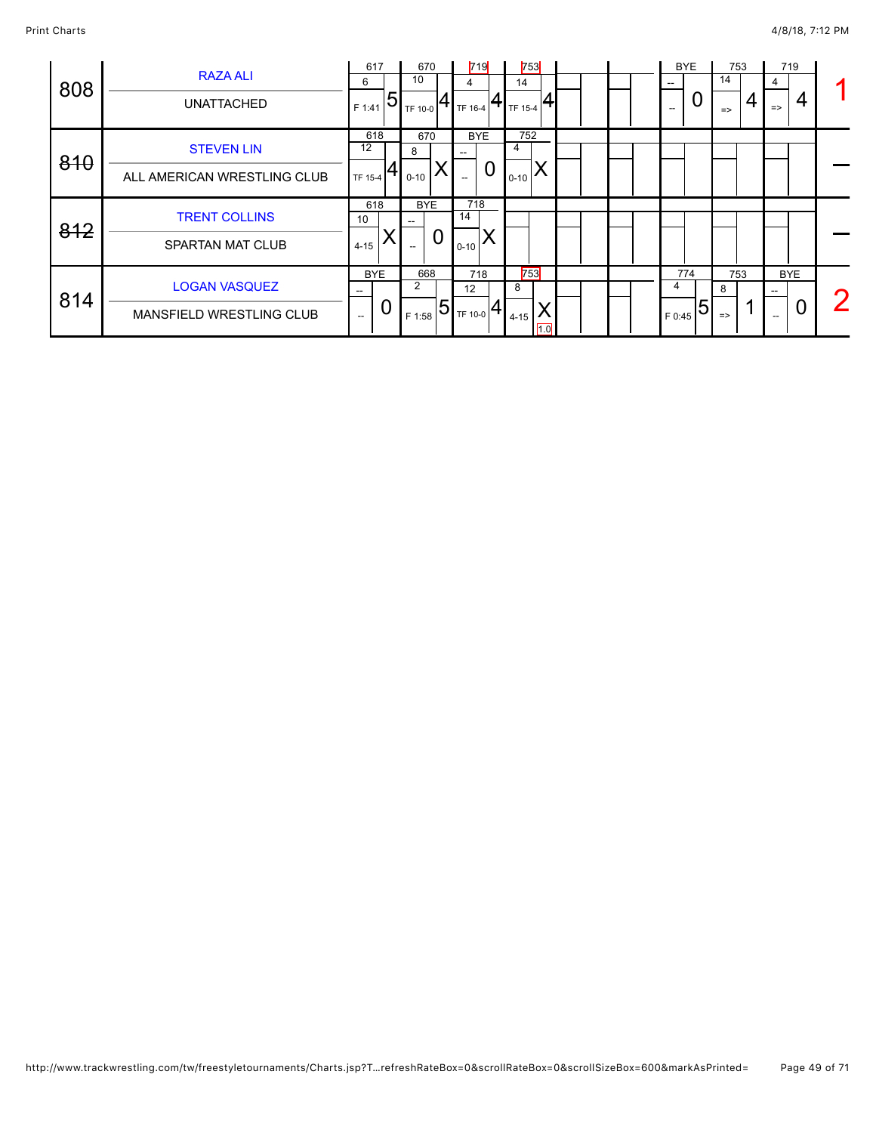| 808 | <b>RAZA ALI</b><br><b>UNATTACHED</b>             | 617<br>6<br>5<br>F 1:41 | 670<br>10<br>TF 10-0                                     | 719<br>4<br>TF 16-4          | 753<br>14<br>TF 15-4 | <b>BYE</b><br>--<br>U<br>$\hspace{0.05cm}$ – $\hspace{0.05cm}$ | 753<br>14<br>$\Rightarrow$ | 719<br>4<br>4<br>$\Rightarrow$ |  |
|-----|--------------------------------------------------|-------------------------|----------------------------------------------------------|------------------------------|----------------------|----------------------------------------------------------------|----------------------------|--------------------------------|--|
| 810 | <b>STEVEN LIN</b><br>ALL AMERICAN WRESTLING CLUB | 618<br>12<br>TF 15-4    | 670<br>8<br>$0 - 10$                                     | <b>BYE</b><br>$\overline{0}$ | 752<br>4<br>$0 - 10$ |                                                                |                            |                                |  |
| 812 | <b>TRENT COLLINS</b><br><b>SPARTAN MAT CLUB</b>  | 618<br>10<br>$4 - 15$   | <b>BYE</b><br>$\overline{0}$<br>$\hspace{0.05cm} \ldots$ | 718<br>14<br>$0 - 10$        |                      |                                                                |                            |                                |  |
|     |                                                  | <b>BYE</b>              | 668                                                      | 718                          | 753                  | 774                                                            | 753                        | <b>BYE</b>                     |  |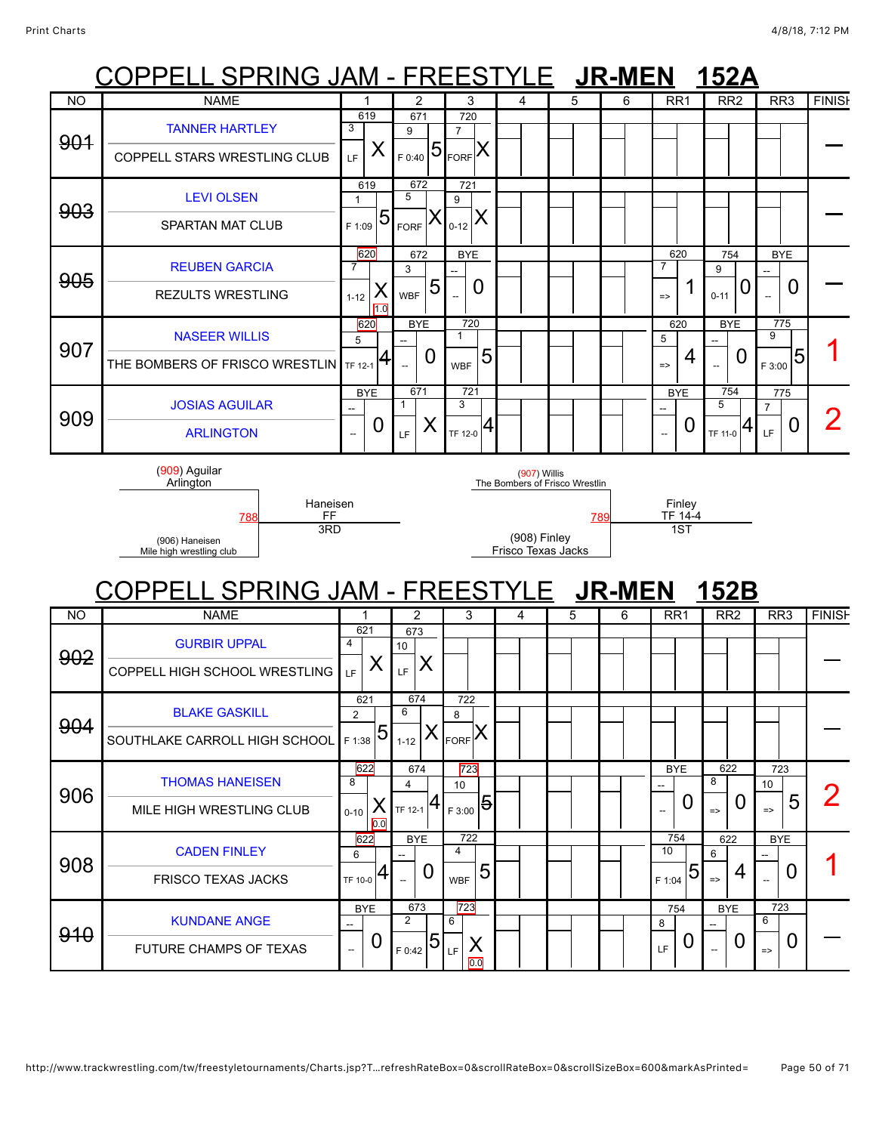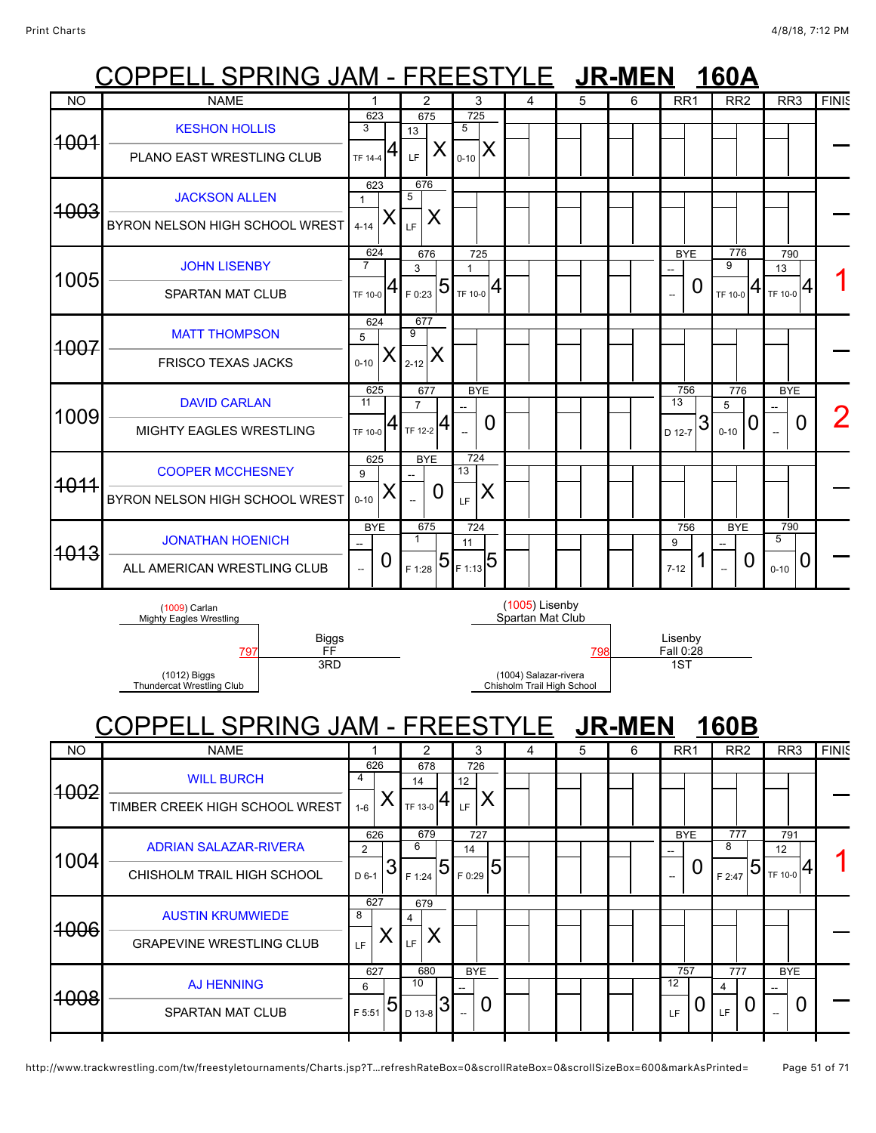# COPPELL SPRING JAM - FREESTYLE **JR-MEN 160A**

| <b>NO</b>       | <b>NAME</b>                                               | 1                                |   | 2                                      |                |                                   | 3               | 4              | 5 | 6 | RR <sub>1</sub>                  |   | RR <sub>2</sub>      |   | RR <sub>3</sub>      |   | <b>FINIS</b> |
|-----------------|-----------------------------------------------------------|----------------------------------|---|----------------------------------------|----------------|-----------------------------------|-----------------|----------------|---|---|----------------------------------|---|----------------------|---|----------------------|---|--------------|
| <del>1001</del> | <b>KESHON HOLLIS</b><br>PLANO EAST WRESTLING CLUB         | 623<br>3<br>TF 14-4              | 4 | 675<br>13<br>LF                        | X              | $\overline{725}$<br>5<br>$0 - 10$ | X               |                |   |   |                                  |   |                      |   |                      |   |              |
| 4003            | <b>JACKSON ALLEN</b><br>BYRON NELSON HIGH SCHOOL WREST    | 623<br>$4 - 14$                  | X | 676<br>5<br>LF                         | X              |                                   |                 |                |   |   |                                  |   |                      |   |                      |   |              |
| 1005            | <b>JOHN LISENBY</b><br><b>SPARTAN MAT CLUB</b>            | 624<br>$\overline{7}$<br>TF 10-0 |   | 676<br>3<br>F 0:23                     | $\overline{5}$ | 725<br>1<br>TF 10-0               |                 |                |   |   | <b>BYE</b><br>$\overline{a}$     | 0 | 776<br>9<br>TF 10-0  | 4 | 790<br>13<br>TF 10-0 | 4 |              |
| <del>1007</del> | <b>MATT THOMPSON</b><br><b>FRISCO TEXAS JACKS</b>         | 624<br>5<br>$0 - 10$             | Х | 677<br>9<br>$2 - 12$                   | X              |                                   |                 |                |   |   |                                  |   |                      |   |                      |   |              |
| 1009            | <b>DAVID CARLAN</b><br>MIGHTY EAGLES WRESTLING            | 625<br>11<br>TF 10-0             | 4 | 677<br>$\overline{7}$<br>$T_{F12-2}$ 4 |                | $\sim$                            | <b>BYE</b><br>0 |                |   |   | 756<br>$\overline{13}$<br>D 12-7 | 3 | 776<br>5<br>$0 - 10$ | U | <b>BYE</b>           | 0 |              |
| <u> 1011</u>    | <b>COOPER MCCHESNEY</b><br>BYRON NELSON HIGH SCHOOL WREST | 625<br>9<br>$0 - 10$             | Х | <b>BYE</b>                             | 0              | 724<br>13<br>LF                   | Χ               |                |   |   |                                  |   |                      |   |                      |   |              |
| <del>1013</del> | <b>JONATHAN HOENICH</b><br>ALL AMERICAN WRESTLING CLUB    | <b>BYE</b><br>--                 | 0 | 675<br>$\mathbf 1$<br>F 1:28           |                | 724<br>11<br>$5 5 F1:13}$         |                 |                |   |   | 756<br>9<br>$7 - 12$             |   | <b>BYE</b><br>--     | 0 | 790<br>5<br>$0 - 10$ | O |              |
|                 | (1009) Carlan<br>$\cdots$                                 |                                  |   |                                        |                |                                   |                 | (1005) Lisenby |   |   |                                  |   |                      |   |                      |   |              |

Mighty Eagles Wrestling

(1012) Biggs Thundercat Wrestling Club

# Spartan Mat Club [797](javascript:openBoutSheet(6261)) [798](javascript:openBoutSheet(6251)) Fall 0:28

(1004) Salazar-rivera Chisholm Trail High School Lisenby<br>Fall 0:28 1ST

COPPELL SPRING JAM - FREESTYLE **JR-MEN 160B**

Biggs FF

3RD

|           | CUPPELL SPRING JAM - FREES I I LE                          |                         |                         |                          |   |    | <b>JK-IVIEN</b> |                       | TOUD                    |                      |              |
|-----------|------------------------------------------------------------|-------------------------|-------------------------|--------------------------|---|----|-----------------|-----------------------|-------------------------|----------------------|--------------|
| <b>NO</b> | <b>NAME</b>                                                |                         | 2                       | 3                        | 4 | 5. | 6               | RR <sub>1</sub>       | RR <sub>2</sub>         | RR <sub>3</sub>      | <b>FINIS</b> |
| 1002      | <b>WILL BURCH</b><br>TIMBER CREEK HIGH SCHOOL WREST        | 626<br>4<br>$1 - 6$     | 678<br>14<br>TF 13-0    | 726<br>12<br><b>IF</b>   |   |    |                 |                       |                         |                      |              |
| 1004      | <b>ADRIAN SALAZAR-RIVERA</b><br>CHISHOLM TRAIL HIGH SCHOOL | 626<br>2<br>ລ<br>D 6-1  | 679<br>6<br>5<br>F 1:24 | 727<br>14<br>5<br>F 0:29 |   |    |                 | <b>BYE</b><br>O<br>-- | 777<br>8<br>5<br>F 2:47 | 791<br>12<br>TF 10-0 |              |
| 1006      | <b>AUSTIN KRUMWIEDE</b><br><b>GRAPEVINE WRESTLING CLUB</b> | 627<br>8<br>LF          | 679<br>4<br>Χ<br>LF     |                          |   |    |                 |                       |                         |                      |              |
| 1008      | <b>AJ HENNING</b><br><b>SPARTAN MAT CLUB</b>               | 627<br>6<br>5<br>F 5:51 | 680<br>10<br>D 13-8     | <b>BYE</b><br>0          |   |    |                 | 757<br>12<br>LF       | 777<br>4<br>LF          | <b>BYE</b><br>O      |              |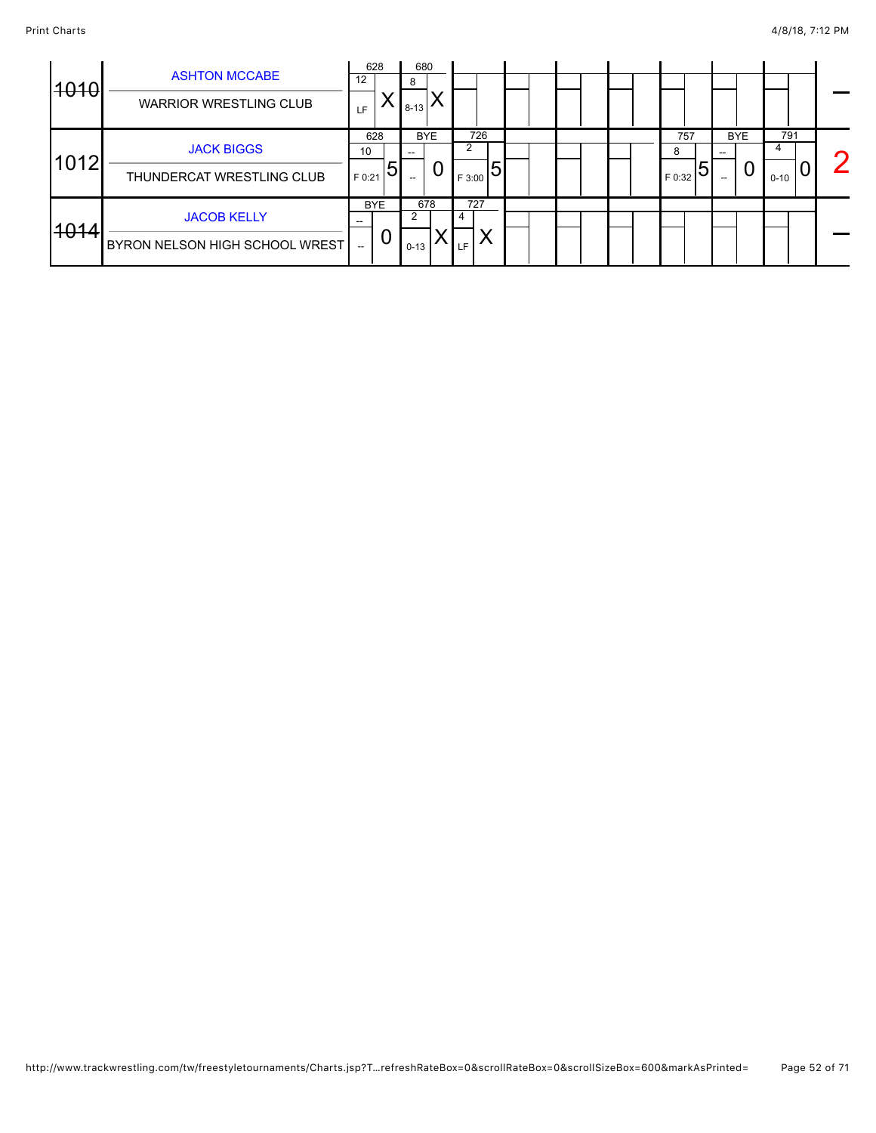|      |                                | 628       |            | 680      |            |        |  |  |             |            |          |                   |
|------|--------------------------------|-----------|------------|----------|------------|--------|--|--|-------------|------------|----------|-------------------|
| 4040 | <b>ASHTON MCCABE</b>           | 12        |            | 8        |            |        |  |  |             |            |          |                   |
|      | <b>WARRIOR WRESTLING CLUB</b>  | <b>LF</b> |            | $8 - 13$ |            |        |  |  |             |            |          |                   |
|      |                                | 628       |            |          | <b>BYE</b> | 726    |  |  | 757         | <b>BYE</b> | 791      |                   |
|      | <b>JACK BIGGS</b>              | 10        |            |          |            |        |  |  | 8           |            |          | $\mathbf{\Omega}$ |
| 1012 | THUNDERCAT WRESTLING CLUB      | F 0:21    | 5          | $- -$    | 0          | F 3:00 |  |  | 5<br>F 0:32 | υ          | $0 - 10$ |                   |
|      |                                |           | <b>BYE</b> |          | 678        | 727    |  |  |             |            |          |                   |
|      | <b>JACOB KELLY</b>             |           |            |          |            |        |  |  |             |            |          |                   |
| 4014 | BYRON NELSON HIGH SCHOOL WREST |           | U          | $0 - 13$ |            |        |  |  |             |            |          |                   |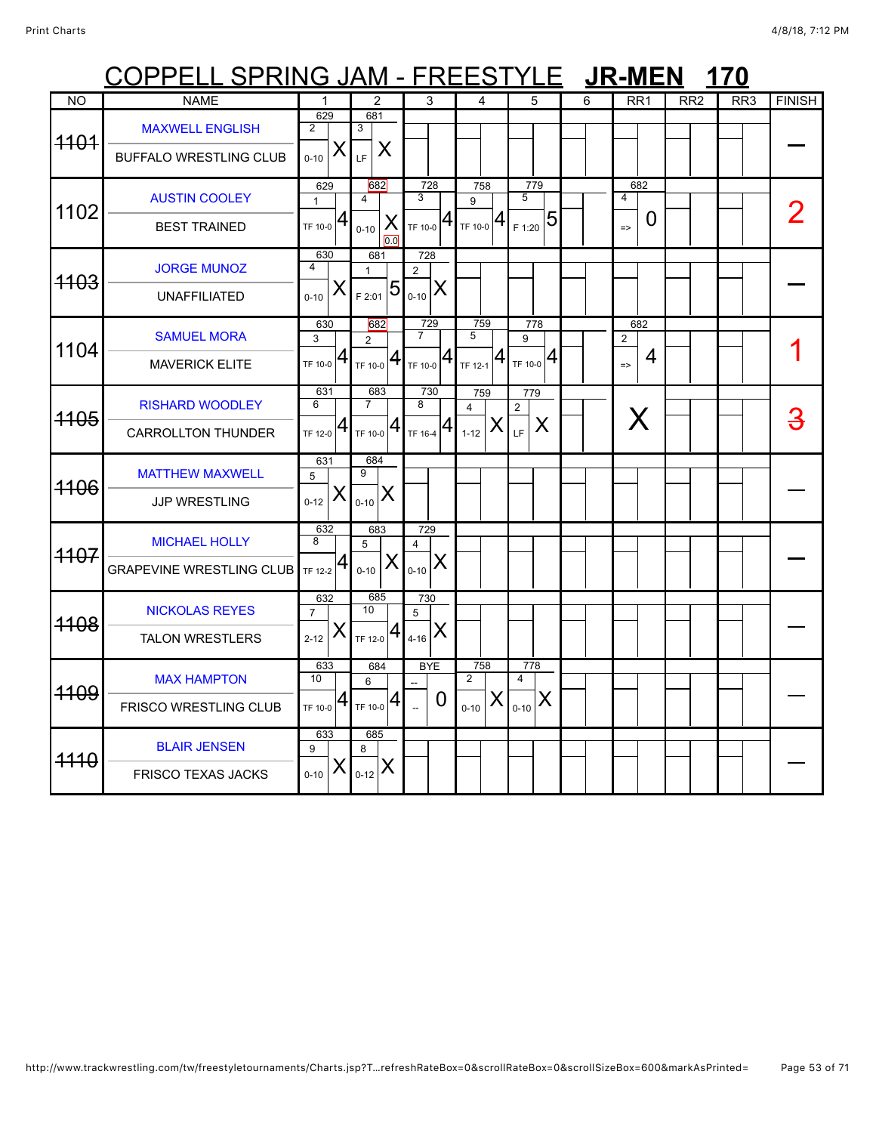# COPPELL SPRING JAM - FREESTYLE JR-MEN 170

| N <sub>O</sub> | <b>NAME</b>                                             | $\mathbf{1}$                           | $\overline{2}$                                  | 3                                                                                                   | $\overline{4}$                                                  | 5                                                      | 6 | RR <sub>1</sub>                             | RR2 | RR3 | <b>FINISH</b> |
|----------------|---------------------------------------------------------|----------------------------------------|-------------------------------------------------|-----------------------------------------------------------------------------------------------------|-----------------------------------------------------------------|--------------------------------------------------------|---|---------------------------------------------|-----|-----|---------------|
| 4404           | <b>MAXWELL ENGLISH</b><br><b>BUFFALO WRESTLING CLUB</b> | 629<br>2<br>X<br>$0 - 10$              | 681<br>3<br>X<br>LF                             |                                                                                                     |                                                                 |                                                        |   |                                             |     |     |               |
| 1102           | <b>AUSTIN COOLEY</b><br><b>BEST TRAINED</b>             | 629<br>$\mathbf{1}$<br>$T$ F 10-0 $ 4$ | 682<br>$\overline{4}$<br>X<br>$0 - 10$<br>0.0   | 728<br>3<br>41<br>TF 10-0                                                                           | 758<br>9<br>$T_{\text{TF 10-0}} 4$                              | 779<br>5<br>$\frac{1}{2}$ $\frac{1}{20}$ $\frac{1}{5}$ |   | 682<br>$\overline{4}$<br>0<br>$\Rightarrow$ |     |     |               |
| 4103           | <b>JORGE MUNOZ</b><br><b>UNAFFILIATED</b>               | 630<br>4<br>X<br>$0 - 10$              | 681<br>$\mathbf{1}$<br>$\overline{5}$<br>F 2:01 | 728<br>2<br>X<br>$0 - 10$                                                                           |                                                                 |                                                        |   |                                             |     |     |               |
| 1104           | <b>SAMUEL MORA</b><br><b>MAVERICK ELITE</b>             | 630<br>3<br>$T$ F 10-0 $ 4$            | 682<br>$\overline{2}$<br>$T_F$ 10-0 $ 4 $       | 729<br>$\overline{7}$<br>$\mathbf{1}_{\mathsf{TF} \, \mathsf{10}\text{-}\mathsf{0}}   \mathsf{4}  $ | 759<br>5<br>$\mathbf{1}_{\mathsf{TF}\,12\text{-}1} \mathbf{4} $ | 778<br>9<br>$T_{\text{TF 10-0}} 4$                     |   | 682<br>$\overline{2}$<br>4<br>$\Rightarrow$ |     |     |               |
| 4105           | <b>RISHARD WOODLEY</b><br><b>CARROLLTON THUNDER</b>     | 631<br>6<br>$\overline{a}$<br>TF 12-0  | 683<br>$\overline{7}$<br>TF 10-0 $ 4$           | 730<br>8<br>TF 16-4 $ 4 $                                                                           | 759<br>4<br>X<br>$1 - 12$                                       | 779<br>$\mathbf{2}$<br>X<br>LF                         |   | X                                           |     |     | <u>3</u>      |
| 4106           | <b>MATTHEW MAXWELL</b><br>JJP WRESTLING                 | 631<br>5<br>X<br>$0 - 12$              | 684<br>9<br>X<br>$0 - 10$                       |                                                                                                     |                                                                 |                                                        |   |                                             |     |     |               |
| 4107           | <b>MICHAEL HOLLY</b><br><b>GRAPEVINE WRESTLING CLUB</b> | 632<br>8<br><b>TF 12-2</b>             | 683<br>5<br>X<br>$0 - 10$                       | 729<br>$\overline{4}$<br>X<br>$0 - 10$                                                              |                                                                 |                                                        |   |                                             |     |     |               |
| 4108           | <b>NICKOLAS REYES</b><br><b>TALON WRESTLERS</b>         | 632<br>$\overline{7}$<br>X<br>$2 - 12$ | 685<br>10 <sup>1</sup><br>$T$ F 12-0 $ 4$       | 730<br>5<br>X<br>$4 - 16$                                                                           |                                                                 |                                                        |   |                                             |     |     |               |
| 4109           | <b>MAX HAMPTON</b><br><b>FRISCO WRESTLING CLUB</b>      | 633<br>10<br>4<br>TF 10-0              | 684<br>6<br>$TF$ 10-0 $ 4$                      | <b>BYE</b><br>0                                                                                     | 758<br>$\overline{2}$<br>X<br>$0 - 10$                          | 778<br>4<br>$\sum_{0-10} X$                            |   |                                             |     |     |               |
| 4440           | <b>BLAIR JENSEN</b><br><b>FRISCO TEXAS JACKS</b>        | 633<br>9<br>X<br>$0 - 10$              | 685<br>8<br>$_{0-12}$ $X$                       |                                                                                                     |                                                                 |                                                        |   |                                             |     |     |               |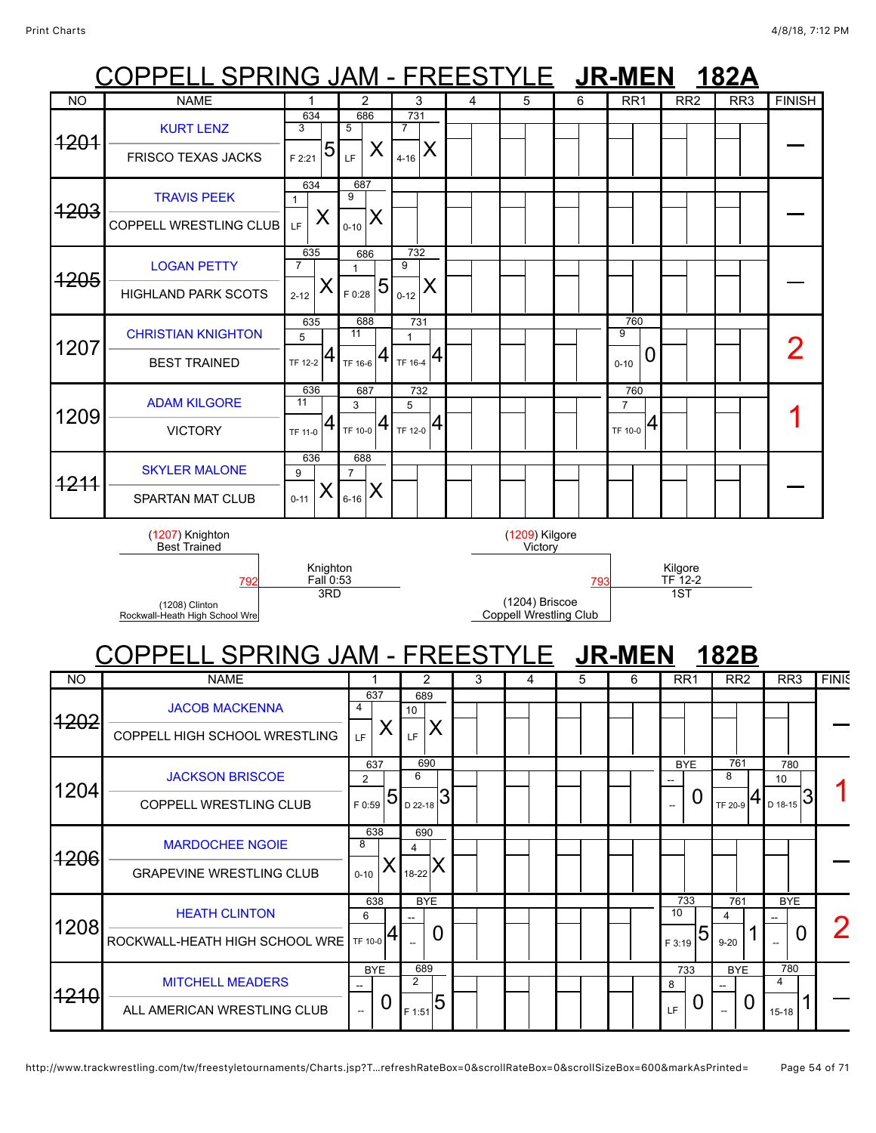### COPPELL SPRING JAM - FREESTYLE **JR-MEN 182A** COPPELL SPRING JAM - FREESTYLE **JR-MEN 182B** NO | NAME | 1 | 2 | 3 | 4 | 5 | 6 | RR1 | RR2 | RR3 |FINISH 1201 [KURT LENZ](javascript:viewProfile(777425096)) FRISCO TEXAS JACKS 634 3  $_{F\,2:21}$  5 686 5  $_{LF}$   $\mid$  X 731 7  $_{4-16}$   $\times$  $\overline{a}$ 1203 [TRAVIS PEEK](javascript:viewProfile(542352096)) COPPELL WRESTLING CLUB 634 1  $L_{\text{F}}$   $\vert$  X 687 9  $_{\scriptscriptstyle{0\text{-}10}}|\mathsf{X}|$  $\overline{a}$ 1205 [LOGAN PETTY](javascript:viewProfile(522357096)) HIGHLAND PARK SCOTS 635 7  $2 - 12$ 686 1 5|<sub>F 0:28</sub> 732 9  $_{0-12}$   $\vert$  X  $\overline{a}$ 1207 [CHRISTIAN KNIGHTON](javascript:viewProfile(256644132)) BEST TRAINED 635 5 TF 12-2 688 11 TF 16-6 731 1 TF 16-4 760 9  $_{0.10}$  0  $\overline{\phantom{a}}$   $\overline{\phantom{a}}$   $\overline{\phantom{a}}$   $\overline{\phantom{a}}$   $\overline{\phantom{a}}$   $\overline{\phantom{a}}$   $\overline{\phantom{a}}$   $\overline{\phantom{a}}$   $\overline{\phantom{a}}$   $\overline{\phantom{a}}$   $\overline{\phantom{a}}$   $\overline{\phantom{a}}$   $\overline{\phantom{a}}$   $\overline{\phantom{a}}$   $\overline{\phantom{a}}$   $\overline{\phantom{a}}$   $\overline{\phantom{a}}$   $\overline{\phantom{a}}$   $\overline{\$ 1209 [ADAM KILGORE](javascript:viewProfile(25026009)) VICTORY 636 11 TF 11-0 687 3  $_{\sf TF\ 10{\text -}0}$   $\bm{4}$ 732 5  $T_{\rm F\ 12-0}$  4 760 7  $_{\rm TF\ 10{\text -}0}$  4  $\begin{array}{c|c|c|c|c|c} \mathsf{1} & \mathsf{1} & \mathsf{1} & \mathsf{1} \end{array}$ 1211 [SKYLER MALONE](javascript:viewProfile(1580278009)) SPARTAN MAT CLUB 636 9  $0 - 11$ 688 7  $_{\rm 6\text{-}16}$   $\bm{\mathsf{X}}$  $\overline{a}$ (1207) Knighton Best Trained Knighton <u>Fall</u> 0:53<br>3RD (1209) Kilgore **Victory** Kilgore<br>TF 12-2 [792](javascript:openBoutSheet(5561)) [793](javascript:openBoutSheet(5551)) TF 12-2 (1208) Clinton Rockwall-Heath High School Wre (1204) Briscoe Coppell Wrestling Club 1ST NO | NAME | 1 | 2 | 3 | 4 | 5 | 6 | RR1 | RR2 | RR3 |FINIS 1202 [JACOB MACKENNA](javascript:viewProfile(918137096)) COPPELL HIGH SCHOOL WRESTLING 637 4  $_{LF}$   $\vert$  X 689 10  $_{\rm LF}$   $\mid$   $\sf X$  $\overline{a}$ 1204 [JACKSON BRISCOE](javascript:viewProfile(3955076)) COPPELL WRESTLING CLUB 637 2  $55^{15}$ 690 6  $_{\rm D\,22-18}$ 3 **BYE** --  $\Omega$ 761 8 TF 20-9 780 10  $_{D \ 18-15}$ 3 1206 [MARDOCHEE NGOIE](javascript:viewProfile(628789132)) GRAPEVINE WRESTLING CLUB 638 8  $0 - 10$ 690 4 18-22  $\overline{a}$ 1208 [HEATH CLINTON](javascript:viewProfile(628475132)) ROCKWALL-HEATH HIGH SCHOOL WRE 638 6 TF 10-0 BYE --  $\overline{0}$ 733 10  $_{F3:19}$  5 761 4  $9 - 20$ BYE --  $\overline{\phantom{a}}$  0 2 1210 [MITCHELL MEADERS](javascript:viewProfile(1098526096)) ALL AMERICAN WRESTLING CLUB BYE --  $\overline{0}$ 689 2 <sub>F 1:51</sub> 5 733 8  $_{LF}$  | 0 BYE -- 0 780 4  $15-18$  1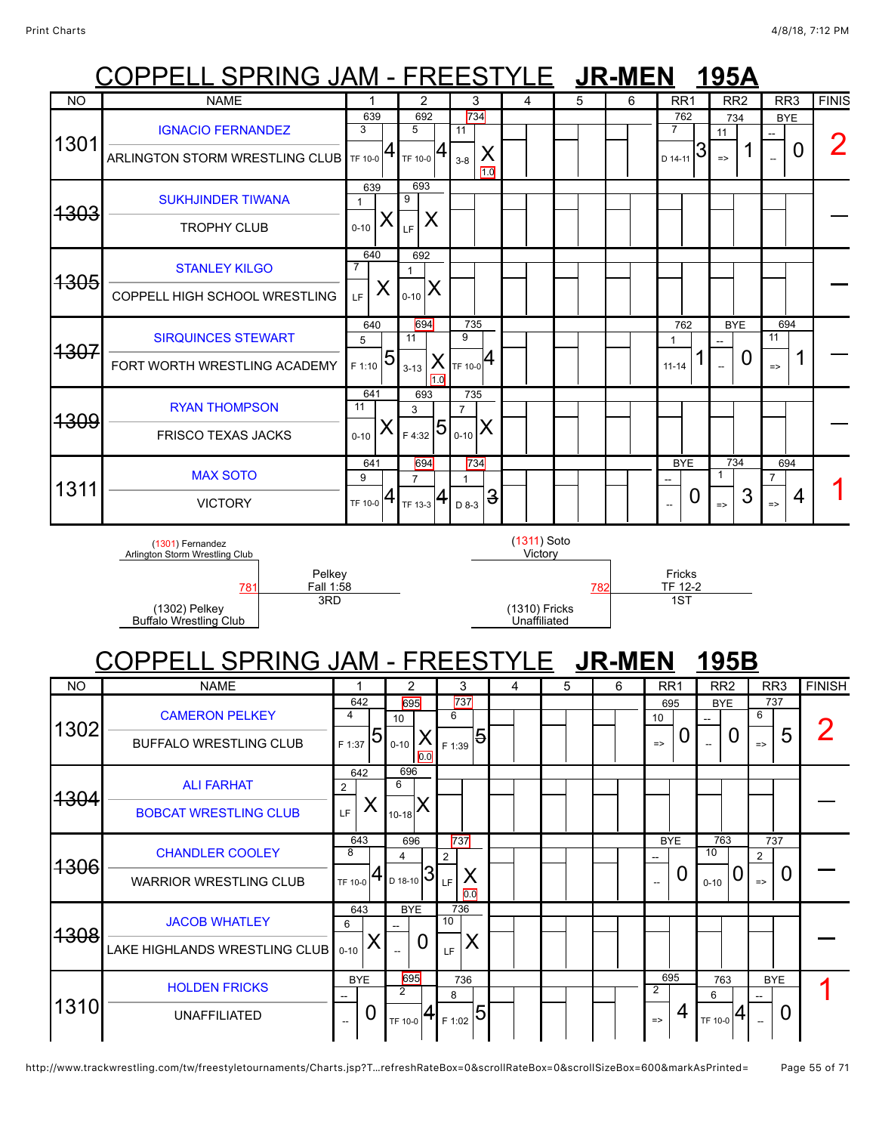### COPPELL SPRING JAM - FREESTYLE **JR-MEN 195A** COPPELL SPRING JAM - FREESTYLE **JR-MEN 195B** NO | NAME | 1 | 2 | 3 | 4 | 5 | 6 | RR1 | RR2 | RR3 |FINIS 1301 [IGNACIO FERNANDEZ](javascript:viewProfile(627956132)) ARLINGTON STORM WRESTLING CLUB 639 3 TF 10-0 692 5 TF 10-0 734 11 X  $10$ 3-8 762 7  $_{\circ}$  14-11  $|3$ 734 11 1 **BYE** --  $\frac{1}{2}$  0  $\frac{2}{2}$ 1303 [SUKHJINDER TIWANA](javascript:viewProfile(627417132)) TROPHY CLUB 639 1  $0 - 10$ 693 9  $\overline{\mathsf{L}}$   $\mathsf{K}$  $\overline{a}$ 1305 [STANLEY KILGO](javascript:viewProfile(615914132)) COPPELL HIGH SCHOOL WRESTLING 640 7  $_{LF}$   $\mid$  X 692 1  $_{0.10}$   $\rm X$  $\overline{a}$ 1307 [SIRQUINCES STEWART](javascript:viewProfile(615932132)) FORT WORTH WRESTLING ACADEMY 640 5  $F_{1:10}$  5 694 11 X  $10$ 3-13 735 9 TF 10-0 762 1  $11-14$  1 BYE -- 0 694 11  $\frac{1}{2}$  1 -1309 [RYAN THOMPSON](javascript:viewProfile(1098977096)) FRISCO TEXAS JACKS 641 11  $0 - 10$ 693 3  $F_{4:32}$  $5$ 735 7  $0 - 10$  $\overline{a}$ 1311 [MAX SOTO](javascript:viewProfile(628320132)) VICTORY 641 9  $TF 10-0$ 694 7 TF 13-3 734 1  $_{D\,8-3}$  3 BYE -- 0 734 1 => 3 694 7  $\frac{7}{3}$  4 | 1 (1301) Fernandez Arlington Storm Wrestling Club Pelkey Fall 1:58 (1311) Soto Victory Fricks<br>TF 12-2 [781](javascript:openBoutSheet(6791)) [782](javascript:openBoutSheet(6781)) TF 12-2 (1302) Pelkey Buffalo Wrestling Club 3RD (1310) Fricks Unaffiliated 1ST NO NAME 1 2 3 4 5 6 RR1 RR2 RR3 FINISH 1302 [CAMERON PELKEY](javascript:viewProfile(616733132)) BUFFALO WRESTLING CLUB 642 4  $F_{1:37}$  5 695 10 X  $0.0$ 0-10 737 6 <sub>F 1:39</sub> 5 695 10 => 0 BYE --  $\Omega$ 737 6  $\frac{1}{2}$  5 2 1304 [ALI FARHAT](javascript:viewProfile(1515986009)) [BOBCAT WRESTLING CLUB](javascript:viewClub(162317009)) 642 2  $L_{\rm F}$   $\vert$  X 696 6  $_{10-18}$  $\rm X$  $\overline{a}$ 1306 [CHANDLER COOLEY](javascript:viewProfile(1535932096)) WARRIOR WRESTLING CLUB 643 8 TF 10-0 696 4  $_{\circ}$ <sub>D 18-10</sub> 3 737 2 X 0.0 LF BYE --  $\overline{0}$ 763 10  $_{0.10}$  0 737 2  $\frac{2}{\pi}$  0  $\Big|$  -1308 [JACOB WHATLEY](javascript:viewProfile(627345132)) LAKE HIGHLANDS WRESTLING CLUB 643 6  $0 - 10$ **BYF** --  $\overline{0}$ 736 10  $_{\shortparallel_{\rm F}}$   $\mid$   $\sf X$  $\overline{a}$ 1310 [HOLDEN FRICKS](javascript:viewProfile(430895132)) UNAFFILIATED **BYF** -- 0 695 2 736 8 <sub>F 1:02</sub> 5 695 2 4 763 6 BYE -- 0 1

TF 10-0

TF 10-0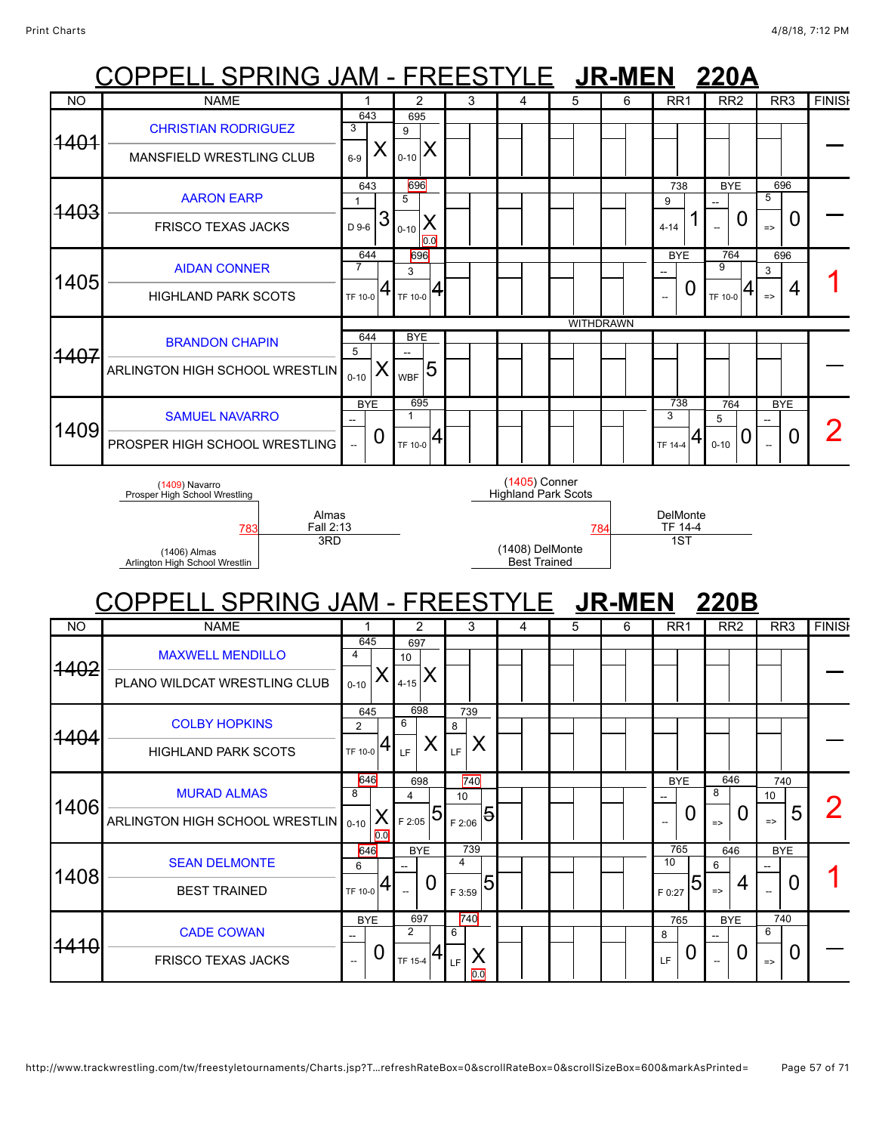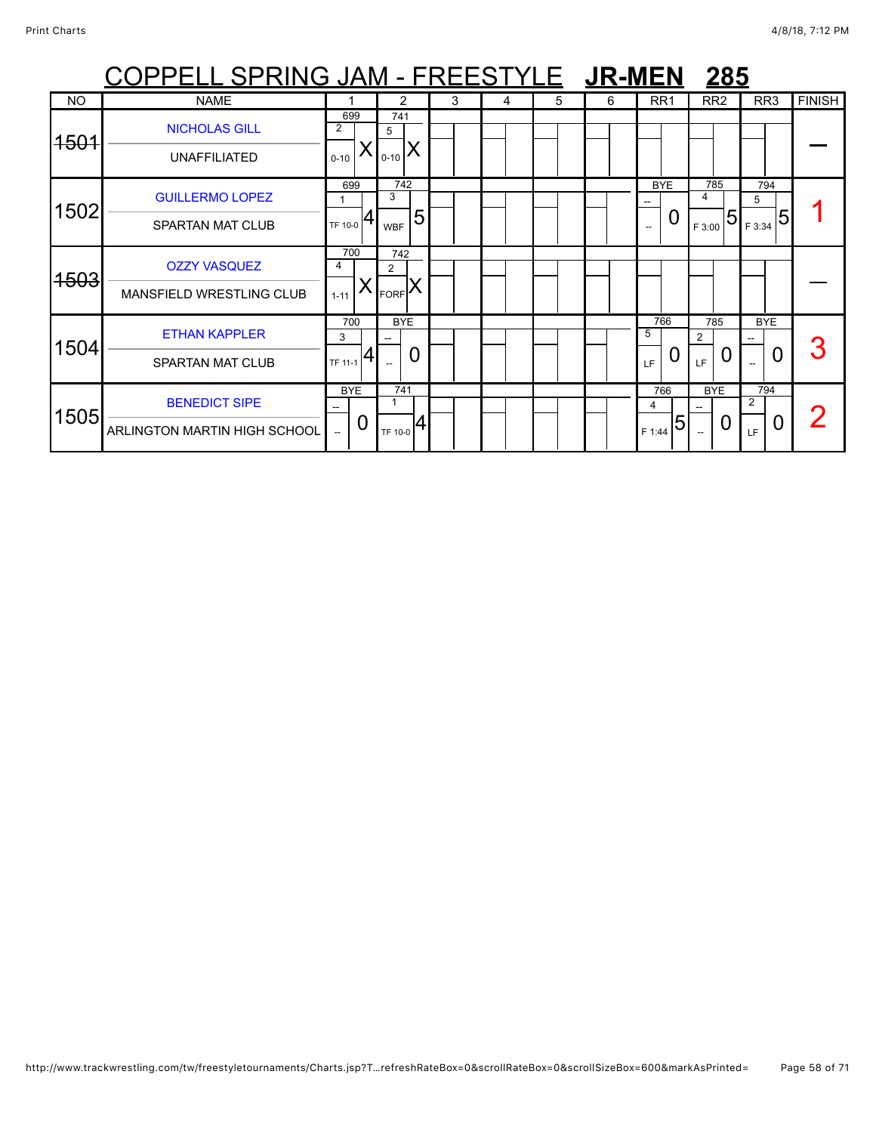|                 | <u> OPPELL SPRING JAM - FREESTYLE 【JR-MEN</u>        |                                              |   |                                 |                |   |   |   |   |                                                                                                    | 285                                         |                              |               |
|-----------------|------------------------------------------------------|----------------------------------------------|---|---------------------------------|----------------|---|---|---|---|----------------------------------------------------------------------------------------------------|---------------------------------------------|------------------------------|---------------|
| <b>NO</b>       | <b>NAME</b>                                          |                                              |   | 2                               |                | 3 | 4 | 5 | 6 | RR <sub>1</sub>                                                                                    | RR <sub>2</sub>                             | RR <sub>3</sub>              | <b>FINISH</b> |
| <del>1501</del> | <b>NICHOLAS GILL</b><br><b>UNAFFILIATED</b>          | 699<br>2<br>$0 - 10$                         |   | 741<br>5<br>$0 - 10$            | ΙX             |   |   |   |   |                                                                                                    |                                             |                              |               |
| 1502            | <b>GUILLERMO LOPEZ</b><br><b>SPARTAN MAT CLUB</b>    | 699<br>TF 10-0                               |   | 742<br>3<br><b>WBF</b>          | 5              |   |   |   |   | <b>BYE</b><br>$\overline{\phantom{a}}$<br>0<br>$\hspace{0.05cm} -\hspace{0.05cm} -\hspace{0.05cm}$ | 785<br>4<br>$\overline{5}$<br>F 3:00        | 794<br>5<br>F 3:34           |               |
| 4503            | <b>OZZY VASQUEZ</b><br>MANSFIELD WRESTLING CLUB      | 700<br>4<br>$1 - 11$                         |   | 742<br>2<br>$_{FORF}$ $\lambda$ |                |   |   |   |   |                                                                                                    |                                             |                              |               |
| 1504            | <b>ETHAN KAPPLER</b><br><b>SPARTAN MAT CLUB</b>      | 700<br>3<br>TF 11-1                          | 4 | <b>BYE</b>                      | $\overline{0}$ |   |   |   |   | 766<br>5<br>LF                                                                                     | 785<br>$\overline{2}$<br>0<br>LF.           | <b>BYE</b><br>$\overline{0}$ |               |
| 1505            | <b>BENEDICT SIPE</b><br>ARLINGTON MARTIN HIGH SCHOOL | <b>BYE</b><br>--<br>$\overline{\phantom{a}}$ | U | 741<br>TF 10-0                  | 14             |   |   |   |   | 766<br>4<br>5<br>F 1:44                                                                            | <b>BYE</b><br>U<br>$\overline{\phantom{a}}$ | 794<br>2<br>O<br>LF          |               |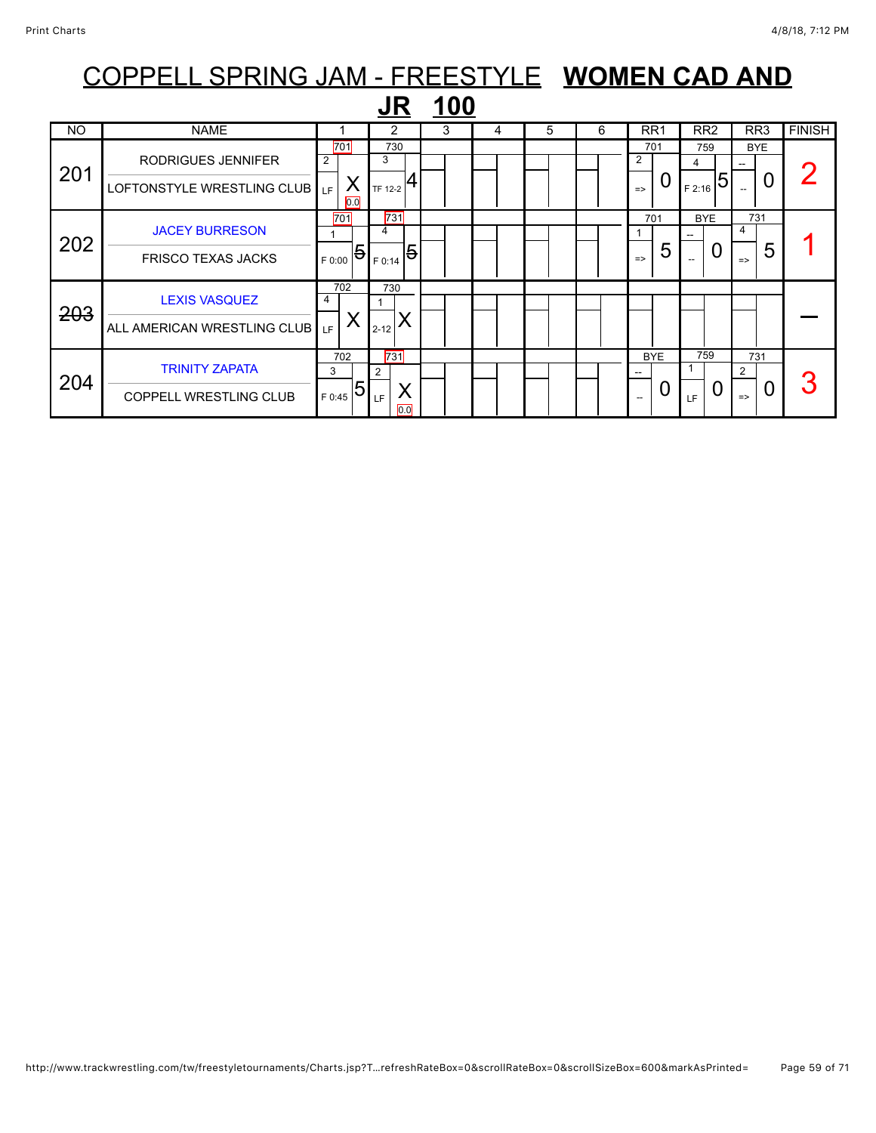### COPPELL SPRING JAM - FREESTYLE **WOMEN CAD AND JR 100**<br>NO I NAME 1 2 3 4 5 6 RR1 RR2 RR3 FINISH 201 RODRIGUES JENNIFER LOFTONSTYLE WRESTLING CLUB 701 2 X 0.0 LF 730 3  $T_F$  12-2  $4$ 701 2  $\overline{\phantom{a}}$  0 759 4  $F_{2:16}$  5 BYE --  $0<sup>2</sup>$ 202 [JACEY BURRESON](javascript:viewProfile(628610132)) FRISCO TEXAS JACKS 701 1  $F_{ 0:00}$   $\Theta$ 731 4  $F_{ 0:14}$  5 701 1  $\vert$  5 **BYE** --  $\overline{0}$ 731 4  $\frac{1}{5}$  1 203 [LEXIS VASQUEZ](javascript:viewProfile(628570132)) ALL AMERICAN WRESTLING CLUB 702 4  $L_{\rm F}$   $\vert$  X 730 1  $_{_{2\text{-}12}}$   $\times$ —<br>— 204 [TRINITY ZAPATA](javascript:viewProfile(1536701096)) COPPELL WRESTLING CLUB 702 3  $_{F~0:45}$  5 731 2 X  $\overline{0.0}$ LF BYE --  $\overline{0}$ 759 1  $L_{\rm F}$  0 731 2  $\frac{2}{3}$  0 3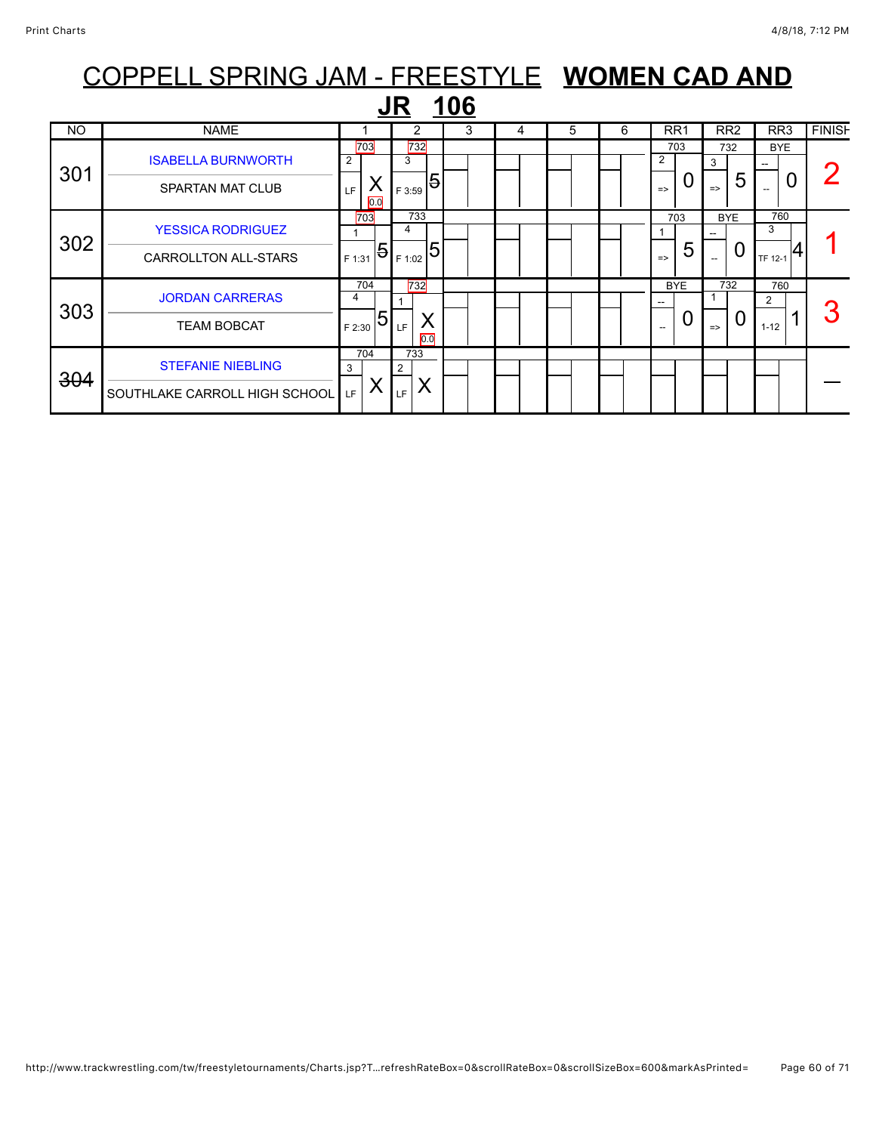|     | COPPELL SPRING JAM - FREESTYLE WOMEN CAD AND |        |          |          |          |             |   |    |   |               |                 |               |                 |                 |   |               |
|-----|----------------------------------------------|--------|----------|----------|----------|-------------|---|----|---|---------------|-----------------|---------------|-----------------|-----------------|---|---------------|
|     |                                              |        |          |          |          | <u> 106</u> |   |    |   |               |                 |               |                 |                 |   |               |
| NO  | <b>NAME</b>                                  |        |          |          | 2        | 3           | 4 | 5. | 6 |               | RR <sub>1</sub> |               | RR <sub>2</sub> | RR <sub>3</sub> |   | <b>FINISH</b> |
|     | <b>ISABELLA BURNWORTH</b>                    | 2      | 703      | 3        | 732      |             |   |    |   | 2             | 703             | 3             | 732             | <b>BYE</b>      |   |               |
| 301 | SPARTAN MAT CLUB                             | LF     | X<br>0.0 | F 3:59   | 5        |             |   |    |   | $\Rightarrow$ | 0               | $\Rightarrow$ | 5               |                 | U |               |
| 302 | <b>YESSICA RODRIGUEZ</b>                     |        | 703      | 4        | 733      |             |   |    |   |               | 703             |               | <b>BYE</b>      | 760<br>3        |   |               |
|     | <b>CARROLLTON ALL-STARS</b>                  | F 1:31 | 5        | F 1:02   | 5        |             |   |    |   | $\Rightarrow$ | 5               |               | 0               | TF 12-1         | 4 |               |
| 303 | <b>JORDAN CARRERAS</b>                       | 4      | 704      |          | 732      |             |   |    |   |               | <b>BYE</b>      |               | 732             | 760<br>2        |   |               |
|     | <b>TEAM BOBCAT</b>                           | F 2:30 | 5        | LF.      | X<br>0.0 |             |   |    |   | --            | 0               | $\Rightarrow$ | $\overline{0}$  | $1 - 12$        |   |               |
| 304 | <b>STEFANIE NIEBLING</b>                     | 3      | 704      | 733<br>2 |          |             |   |    |   |               |                 |               |                 |                 |   |               |
|     | SOUTHLAKE CARROLL HIGH SCHOOL                | LF     | Χ        | LF.      | Χ        |             |   |    |   |               |                 |               |                 |                 |   |               |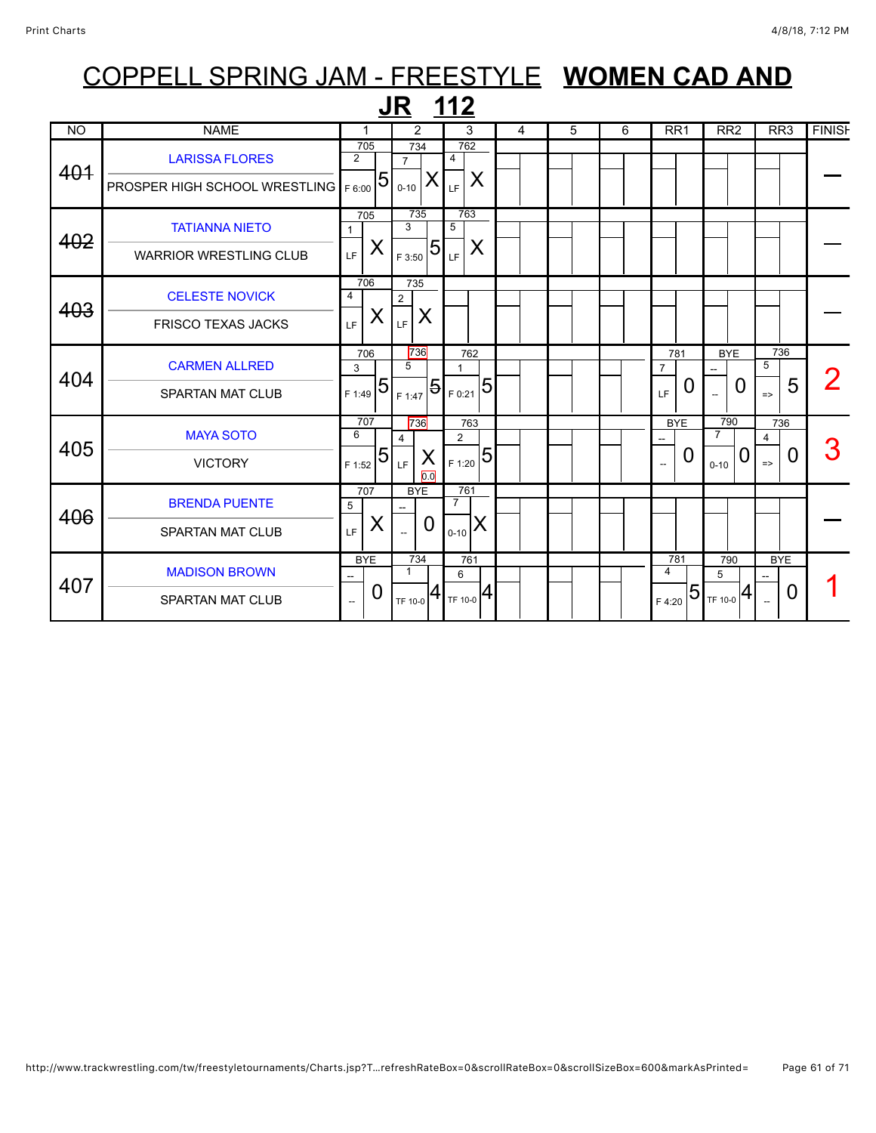|                |                                                               |                                                               | <b>JR 112</b>                           |                                                                                                                                                             |                |   |   |                                             |                                                                |                                |               |
|----------------|---------------------------------------------------------------|---------------------------------------------------------------|-----------------------------------------|-------------------------------------------------------------------------------------------------------------------------------------------------------------|----------------|---|---|---------------------------------------------|----------------------------------------------------------------|--------------------------------|---------------|
| N <sub>O</sub> | <b>NAME</b>                                                   | 1                                                             | 2                                       | 3                                                                                                                                                           | $\overline{4}$ | 5 | 6 | RR1                                         | RR2                                                            | RR3                            | <b>FINISH</b> |
| 401            | <b>LARISSA FLORES</b><br><b>PROSPER HIGH SCHOOL WRESTLING</b> | 705<br>$\overline{2}$<br>$\overline{5}$<br>F 6:00             | 734<br>$\overline{7}$<br>X<br>$0 - 10$  | 762<br>4<br>X<br>LF                                                                                                                                         |                |   |   |                                             |                                                                |                                |               |
| 402            | <b>TATIANNA NIETO</b><br><b>WARRIOR WRESTLING CLUB</b>        | 705<br>$\mathbf{1}$<br>X<br>LF                                | 735<br>3<br>5<br>F 3:50                 | 763<br>5<br>X<br>LF                                                                                                                                         |                |   |   |                                             |                                                                |                                |               |
| 403            | <b>CELESTE NOVICK</b><br><b>FRISCO TEXAS JACKS</b>            | 706<br>$\overline{4}$<br>X<br>LF                              | 735<br>$\overline{2}$<br>X<br>LF.       |                                                                                                                                                             |                |   |   |                                             |                                                                |                                |               |
| 404            | <b>CARMEN ALLRED</b><br><b>SPARTAN MAT CLUB</b>               | 706<br>3<br>$\overline{5}$<br>F 1:49                          | 736<br>5                                | 762<br>$\mathbf 1$<br>$\bm{\mathsf{P}}_{\bm{\mathsf{F}}\,1:47} \bm{\mathsf{\mathsf{B}}}_{\bm{\mathsf{F}}\,0:21} \bm{\mathsf{\mathsf{B}}}_{\bm{\mathsf{F}}}$ |                |   |   | 781<br>7<br>O<br>LF                         | <b>BYE</b><br>0                                                | 736<br>5<br>5<br>$\Rightarrow$ |               |
| 405            | <b>MAYA SOTO</b><br><b>VICTORY</b>                            | 707<br>6<br>$\overline{5}$<br>F 1:52                          | 736<br>4<br>X<br>LF<br>$\overline{0.0}$ | 763<br>$\overline{2}$<br>5<br>F 1:20                                                                                                                        |                |   |   | <b>BYE</b><br>0<br>$\overline{\phantom{a}}$ | 790<br>$\overline{7}$<br>U<br>$0 - 10$                         | 736<br>4<br>0<br>$\Rightarrow$ | 3             |
| 406            | <b>BRENDA PUENTE</b><br><b>SPARTAN MAT CLUB</b>               | 707<br>5<br>X<br>LF                                           | <b>BYE</b><br>0                         | 761<br>$\overline{7}$<br>IX<br>$0 - 10$                                                                                                                     |                |   |   |                                             |                                                                |                                |               |
| 407            | <b>MADISON BROWN</b><br><b>SPARTAN MAT CLUB</b>               | <b>BYE</b><br>$\overline{\phantom{a}}$<br>0<br>$\overline{a}$ | 734<br>1                                | 761<br>6<br>$\mathbf{T}_{\mathsf{TF}\;10\text{-}0} \mathbf{4} _{\mathsf{TF}\;10\text{-}0} \mathbf{4} $                                                      |                |   |   | 781<br>4<br>F 4:20                          | 790<br>5<br>$ 5 _{\scriptscriptstyle \sf TF\,10\text{-}0} $ 4) | <b>BYE</b><br>O                |               |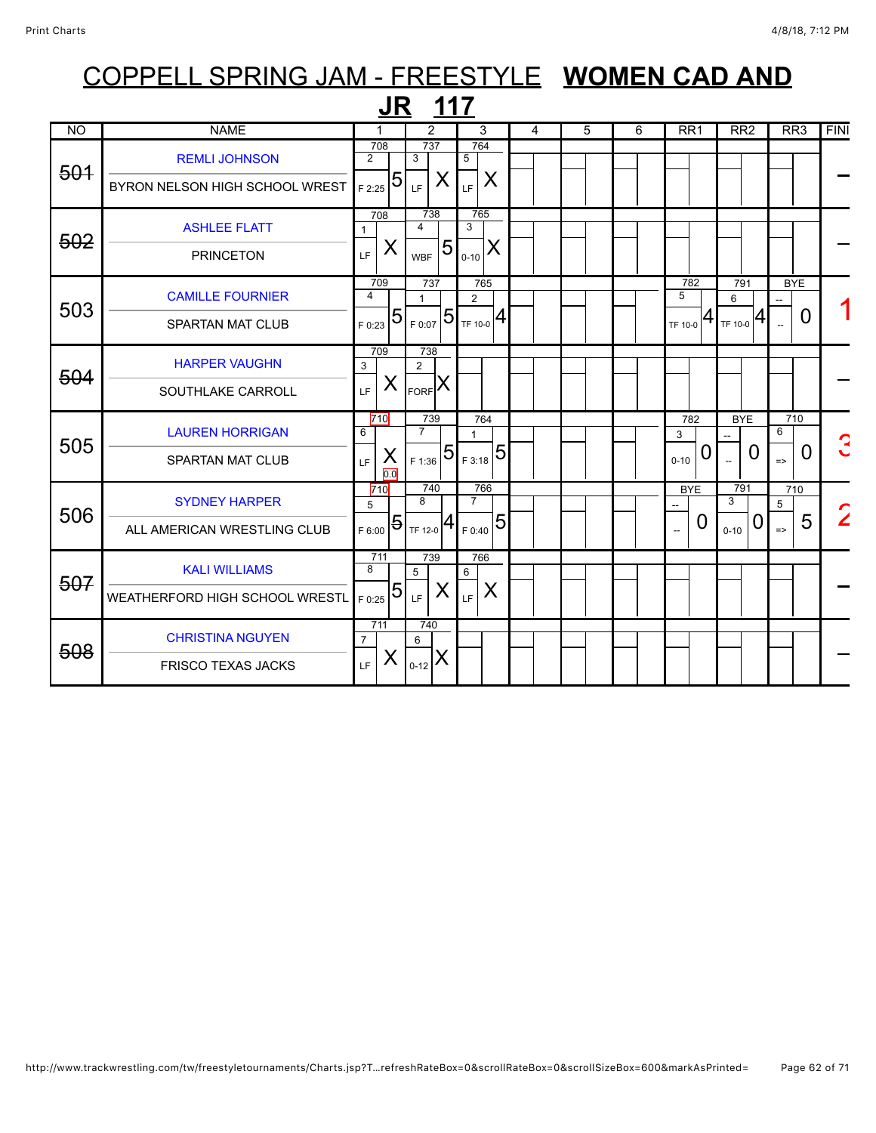|           |                                                        | JR                                   | 117                                           |                                                                      |   |   |   |                           |                                             |                                |             |
|-----------|--------------------------------------------------------|--------------------------------------|-----------------------------------------------|----------------------------------------------------------------------|---|---|---|---------------------------|---------------------------------------------|--------------------------------|-------------|
| <b>NO</b> | <b>NAME</b>                                            | 1                                    | 2                                             | 3                                                                    | 4 | 5 | 6 | RR <sub>1</sub>           | RR <sub>2</sub>                             | RR <sub>3</sub>                | <b>FINI</b> |
| 501       | <b>REMLI JOHNSON</b><br>BYRON NELSON HIGH SCHOOL WREST | 708<br>$\overline{2}$<br>5<br>F 2:25 | 737<br>3<br>X<br>LF                           | 764<br>$5\overline{)}$<br>X<br>LF                                    |   |   |   |                           |                                             |                                |             |
| 502       | <b>ASHLEE FLATT</b><br><b>PRINCETON</b>                | 708<br>$\mathbf{1}$<br>X<br>LF       | 738<br>$\overline{4}$<br>5<br><b>WBF</b>      | 765<br>3<br>$ S_{0-10} X$                                            |   |   |   |                           |                                             |                                |             |
| 503       | <b>CAMILLE FOURNIER</b><br><b>SPARTAN MAT CLUB</b>     | 709<br>4<br>5<br>F 0:23              | 737<br>$\mathbf{1}$<br>$T_{F,0:07}$ 5         | 765<br>$\overline{2}$<br>$\mathbf{1}_{\mathsf{TF}\,10\text{-}0}   4$ |   |   |   | 782<br>5<br>TF 10-0       | 791<br>6<br>$1_{TF\ 10-0}$ $ 4$             | <b>BYE</b><br>0                |             |
| 504       | <b>HARPER VAUGHN</b><br>SOUTHLAKE CARROLL              | 709<br>3<br>X<br>LF.                 | 738<br>$\overline{2}$<br>$F_{\text{ORF}}$ $X$ |                                                                      |   |   |   |                           |                                             |                                |             |
| 505       | <b>LAUREN HORRIGAN</b><br><b>SPARTAN MAT CLUB</b>      | 710<br>6<br>X<br>LF.<br>0.0          | 739<br>$\overline{7}$<br>$T_{F1:36}$ 5        | 764<br>1<br>5<br>F 3:18                                              |   |   |   | 782<br>3<br>0<br>$0 - 10$ | <b>BYE</b><br>0<br>$\overline{\phantom{a}}$ | 710<br>6<br>0<br>$\Rightarrow$ |             |
| 506       | <b>SYDNEY HARPER</b><br>ALL AMERICAN WRESTLING CLUB    | 710<br>5<br>5<br>F 6:00              | 740<br>8<br>↤<br>TF 12-0                      | 766<br>$\overline{7}$<br>5<br>F 0:40                                 |   |   |   | <b>BYE</b><br>0           | 791<br>3<br>0<br>$0 - 10$                   | 710<br>5<br>5<br>$\Rightarrow$ |             |
| 507       | <b>KALI WILLIAMS</b><br>WEATHERFORD HIGH SCHOOL WRESTL | 711<br>$\overline{8}$<br>5<br>F 0:25 | 739<br>5<br>X<br>LF.                          | 766<br>6<br>X<br>LF                                                  |   |   |   |                           |                                             |                                |             |
| 508       | <b>CHRISTINA NGUYEN</b><br><b>FRISCO TEXAS JACKS</b>   | 711<br>$\overline{7}$<br>X<br>LF.    | 740<br>6<br>$I_{0-12}$ $X$                    |                                                                      |   |   |   |                           |                                             |                                |             |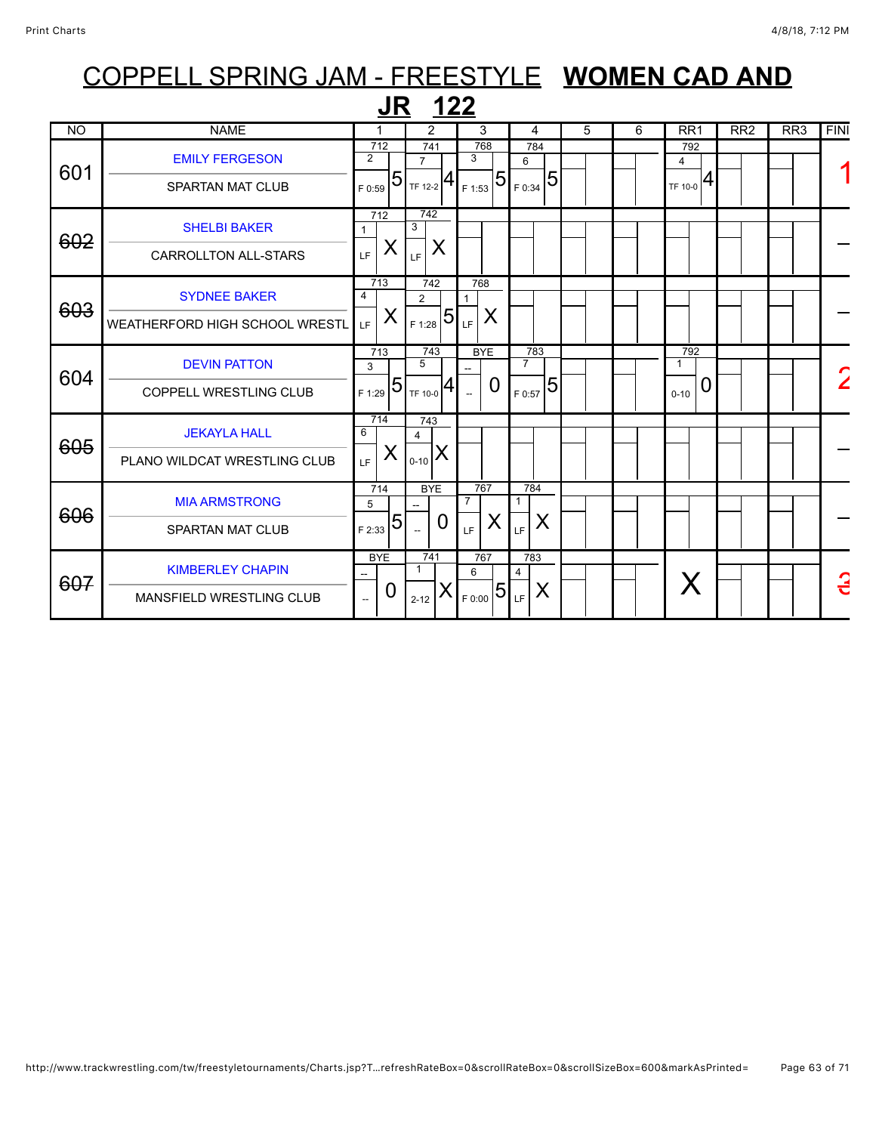### COPPELL SPRING JAM - FREESTYLE **WOMEN CAD AND JR 122**<br>
NO NAME 1 2 3 4 5 6 RR1 RR2 RR3 FINI 712 741 768 784 792

|     |                                 | $\overline{712}$             |                |                          | 741                         | 768                      |                | 784                   |                 |  |  | 792      |   |  |  |                |
|-----|---------------------------------|------------------------------|----------------|--------------------------|-----------------------------|--------------------------|----------------|-----------------------|-----------------|--|--|----------|---|--|--|----------------|
| 601 | <b>EMILY FERGESON</b>           | $\overline{2}$               | 5              | $\overline{7}$           |                             | 3                        | $\overline{5}$ | 6                     |                 |  |  | 4        |   |  |  |                |
|     | SPARTAN MAT CLUB                | F 0:59                       |                |                          | $\frac{1}{1}$ TF 12-2 $ 4 $ | F 1:53                   |                | $T_{F,0:34}$ 51       |                 |  |  | TF 10-0  | 4 |  |  |                |
|     | <b>SHELBI BAKER</b>             | 712<br>1                     |                | 742<br>3                 |                             |                          |                |                       |                 |  |  |          |   |  |  |                |
| 602 | <b>CARROLLTON ALL-STARS</b>     | LF                           | X              | LF.                      | X                           |                          |                |                       |                 |  |  |          |   |  |  |                |
|     | <b>SYDNEE BAKER</b>             | 713<br>$\overline{4}$        |                | $\overline{2}$           | 742                         | 768<br>$\mathbf{1}$      |                |                       |                 |  |  |          |   |  |  |                |
| 603 | WEATHERFORD HIGH SCHOOL WRESTL  | LF                           | X              | F 1:28                   |                             | X<br>$ 5 _{LF} $         |                |                       |                 |  |  |          |   |  |  |                |
|     | <b>DEVIN PATTON</b>             | 713<br>3                     |                | 5                        | 743                         | <b>BYE</b>               |                | 783<br>$\overline{7}$ |                 |  |  | 792<br>1 |   |  |  | $\overline{2}$ |
| 604 | <b>COPPELL WRESTLING CLUB</b>   | F 1:29                       | $\overline{5}$ | TF 10-0                  | 4                           | $\overline{\phantom{a}}$ | 0              | F 0:57                | $5\overline{5}$ |  |  | $0 - 10$ |   |  |  |                |
|     | <b>JEKAYLA HALL</b>             | 714<br>6                     |                | 743<br>$\overline{4}$    |                             |                          |                |                       |                 |  |  |          |   |  |  |                |
| 605 | PLANO WILDCAT WRESTLING CLUB    | LF                           | X              | $0 - 10$                 | X                           |                          |                |                       |                 |  |  |          |   |  |  |                |
|     | <b>MIA ARMSTRONG</b>            | 714<br>5                     |                |                          | <b>BYE</b>                  | 767<br>$\overline{7}$    |                | 784<br>$\mathbf 1$    |                 |  |  |          |   |  |  |                |
| 606 | <b>SPARTAN MAT CLUB</b>         | F 2:33                       | 5              | $\overline{\phantom{a}}$ | 0                           | LF.                      | Χ              | LF                    | X               |  |  |          |   |  |  |                |
|     | <b>KIMBERLEY CHAPIN</b>         | <b>BYE</b><br>$\overline{a}$ |                | 1                        | 741                         | 767<br>6                 |                | 783<br>4              |                 |  |  |          | X |  |  | G              |
| 607 | <b>MANSFIELD WRESTLING CLUB</b> | $\overline{\phantom{a}}$     | 0              | $2 - 12$                 |                             | $F_{0:00}$ 5 LF          |                |                       | X               |  |  |          |   |  |  |                |
|     |                                 |                              |                |                          |                             |                          |                |                       |                 |  |  |          |   |  |  |                |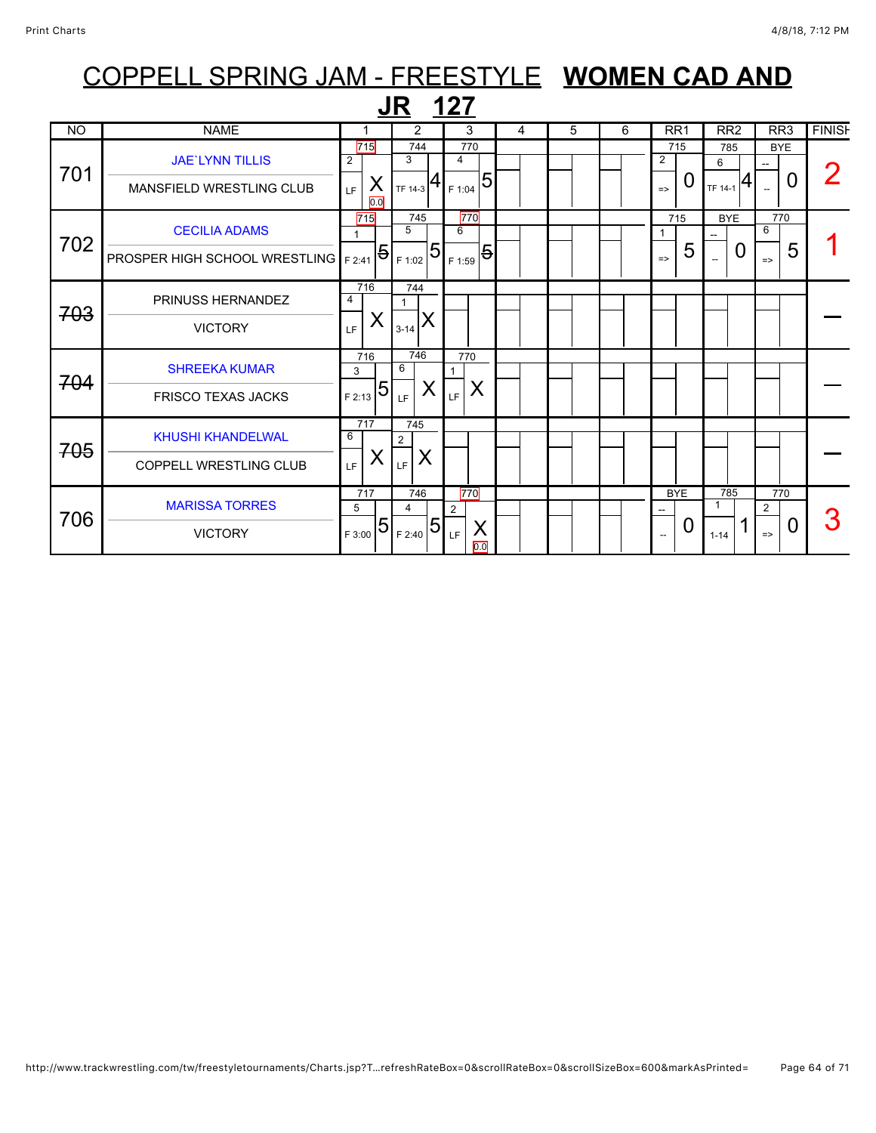|           |                                                              |                                           | <b>JR 127</b>                                      |                                         |   |   |   |                                          |                                      |                                             |               |
|-----------|--------------------------------------------------------------|-------------------------------------------|----------------------------------------------------|-----------------------------------------|---|---|---|------------------------------------------|--------------------------------------|---------------------------------------------|---------------|
| <b>NO</b> | <b>NAME</b>                                                  | 1                                         | 2                                                  | 3                                       | 4 | 5 | 6 | RR <sub>1</sub>                          | RR <sub>2</sub>                      | RR3                                         | <b>FINISH</b> |
| 701       | <b>JAE'LYNN TILLIS</b><br><b>MANSFIELD WRESTLING CLUB</b>    | 715<br>$\overline{2}$<br>X<br>LF          | 744<br>3<br>$\vert$ TF 14-3 $\vert 4 \vert$ F 1:04 | 770<br>$\overline{4}$<br>$\overline{5}$ |   |   |   | 715<br>2<br>O<br>$\Rightarrow$           | 785<br>6<br>$T_{F14-1}$ <sup>4</sup> | <b>BYE</b><br>O<br>$\overline{a}$           |               |
| 702       | <b>CECILIA ADAMS</b><br><b>PROSPER HIGH SCHOOL WRESTLING</b> | 0.0<br>715<br>$\mathbf{1}$<br>5<br>F 2:41 | 745<br>5<br>5<br>F 1:02                            | 770<br>6<br>5<br>F 1:59                 |   |   |   | 715<br>$\mathbf 1$<br>5<br>$\Rightarrow$ | <b>BYE</b><br>0                      | 770<br>6<br>5<br>$\Rightarrow$              |               |
| 703       | PRINUSS HERNANDEZ<br><b>VICTORY</b>                          | 716<br>$\overline{4}$<br>X<br>LF          | 744<br>1<br>$3-14$ $\lambda$                       |                                         |   |   |   |                                          |                                      |                                             |               |
| 704       | <b>SHREEKA KUMAR</b><br><b>FRISCO TEXAS JACKS</b>            | 716<br>3<br>$5\overline{)}$<br>F 2:13     | 746<br>6<br>X<br>LF                                | 770<br>X<br>LF                          |   |   |   |                                          |                                      |                                             |               |
| 705       | <b>KHUSHI KHANDELWAL</b><br><b>COPPELL WRESTLING CLUB</b>    | 717<br>6<br>X<br>LF.                      | 745<br>$\overline{2}$<br>X<br>LF.                  |                                         |   |   |   |                                          |                                      |                                             |               |
| 706       | <b>MARISSA TORRES</b><br><b>VICTORY</b>                      | 717<br>5<br>5<br>F 3:00                   | 746<br>4<br>5 <sup>1</sup><br>F 2:40               | 770<br>2<br>X<br>LF<br>0.0              |   |   |   | <b>BYE</b><br>0                          | 785<br>1<br>$1 - 14$                 | 770<br>$\overline{2}$<br>0<br>$\Rightarrow$ | 3             |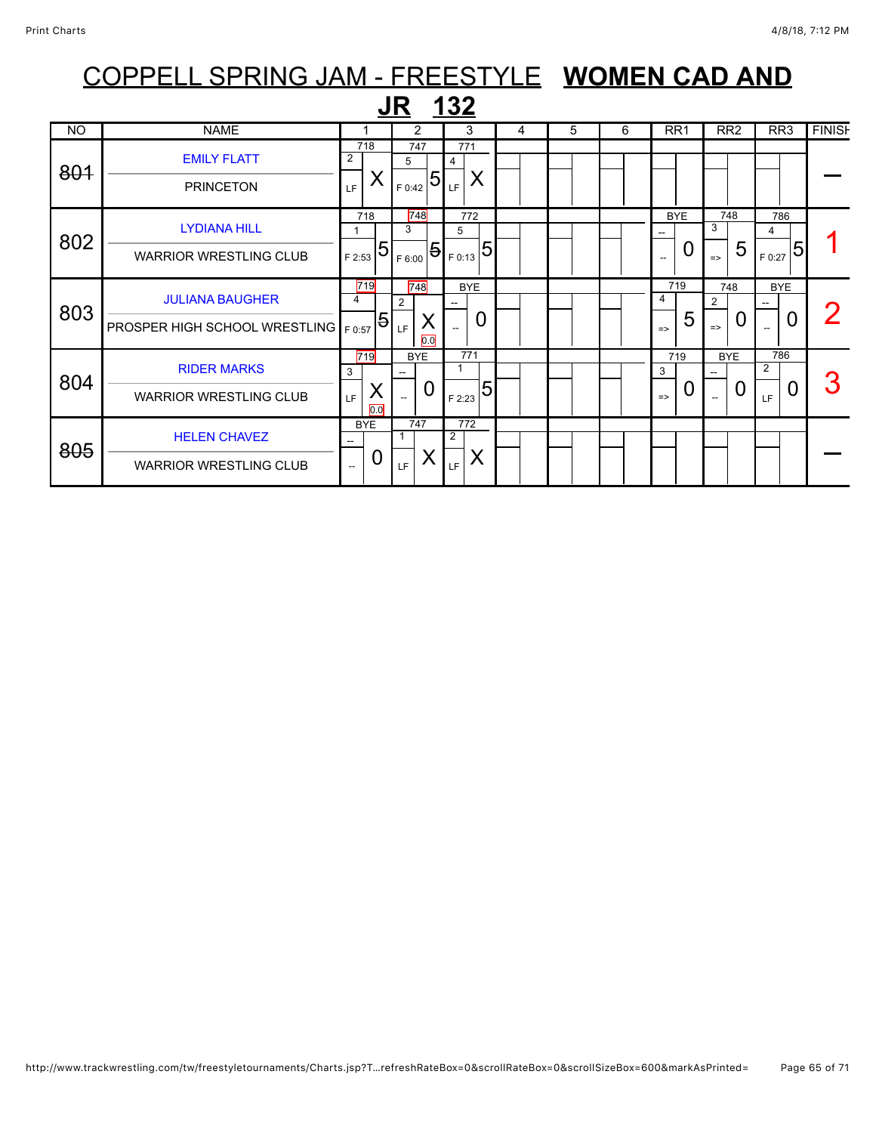|                | COPPELL SPRING JAM - FREESTYLE WOMEN CAD AND |                |                |            |          |                            |   |   |   |                 |            |                 |   |                 |   |               |
|----------------|----------------------------------------------|----------------|----------------|------------|----------|----------------------------|---|---|---|-----------------|------------|-----------------|---|-----------------|---|---------------|
|                |                                              |                |                | JR         |          | <u> 132</u>                |   |   |   |                 |            |                 |   |                 |   |               |
| N <sub>O</sub> | <b>NAME</b>                                  |                |                | 2          |          | 3                          | 4 | 5 | 6 | RR <sub>1</sub> |            | RR <sub>2</sub> |   | RR <sub>3</sub> |   | <b>FINISH</b> |
| 801            | <b>EMILY FLATT</b>                           | $\overline{2}$ | 718            | 747<br>5   |          | 771<br>4                   |   |   |   |                 |            |                 |   |                 |   |               |
|                | <b>PRINCETON</b>                             | LF             | Χ              | F 0:42     |          | X<br>$ 5 _{LF} $           |   |   |   |                 |            |                 |   |                 |   |               |
| 802            | <b>LYDIANA HILL</b>                          |                | 718            | 748<br>3   |          | 772<br>5                   |   |   |   |                 | <b>BYE</b> | 748<br>3        |   | 786<br>4        |   |               |
|                | <b>WARRIOR WRESTLING CLUB</b>                | F 2:53         | 5              | F 6:00     |          | 5<br>$\mathbf{15}_{F0:13}$ |   |   |   |                 | 0          | $\Rightarrow$   | 5 | F 0:27          | 5 |               |
| 803            | <b>JULIANA BAUGHER</b>                       | 4              | 719            | 748<br>2   |          | <b>BYE</b>                 |   |   |   | 4               | 719        | 748<br>2        |   | <b>BYE</b>      |   |               |
|                | PROSPER HIGH SCHOOL WRESTLING   F0:57        |                | $\overline{5}$ | LF         | Χ<br>0.0 | 0                          |   |   |   | $\Rightarrow$   | 5          | $\Rightarrow$   | 0 |                 | O |               |
| 804            | <b>RIDER MARKS</b>                           | 3              | 719            | <b>BYE</b> |          | 771<br>1                   |   |   |   | 3               | 719        | <b>BYE</b>      |   | 786<br>2        |   |               |
|                | <b>WARRIOR WRESTLING CLUB</b>                | LF             | Χ<br>0.0       |            | 0        | 5<br>F 2:23                |   |   |   | $\Rightarrow$   | O          |                 | 0 | LF              | 0 |               |
| 805            | <b>HELEN CHAVEZ</b>                          |                | <b>BYE</b>     | 747        |          | 772<br>$\overline{2}$      |   |   |   |                 |            |                 |   |                 |   |               |
|                | <b>WARRIOR WRESTLING CLUB</b>                | Ξ.             | 0              | LE.        | Х        | X<br>LF                    |   |   |   |                 |            |                 |   |                 |   |               |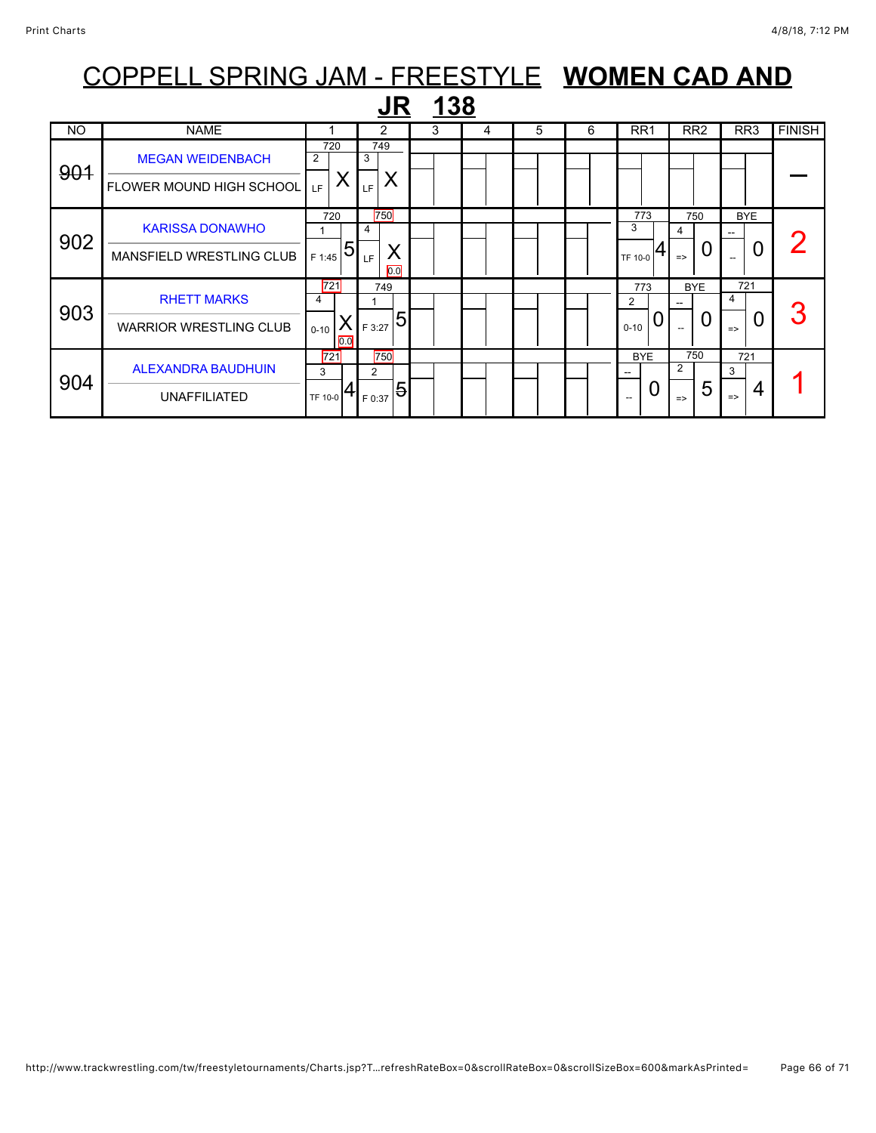| COPPELL SPRING JAM - FREESTYLE WOMEN CAD AND |                                 |                      |                |   |   |   |   |                               |                       |                               |               |  |  |
|----------------------------------------------|---------------------------------|----------------------|----------------|---|---|---|---|-------------------------------|-----------------------|-------------------------------|---------------|--|--|
|                                              |                                 |                      |                |   |   |   |   |                               |                       |                               |               |  |  |
| <b>NO</b>                                    | <b>NAME</b>                     |                      | 2              | 3 | 4 | 5 | 6 | RR <sub>1</sub>               | RR <sub>2</sub>       | RR <sub>3</sub>               | <b>FINISH</b> |  |  |
| 901                                          | <b>MEGAN WEIDENBACH</b>         | 720<br>2             | 749<br>3       |   |   |   |   |                               |                       |                               |               |  |  |
|                                              | <b>FLOWER MOUND HIGH SCHOOL</b> | Χ<br>LE.             | X<br>LF        |   |   |   |   |                               |                       |                               |               |  |  |
| 902                                          | <b>KARISSA DONAWHO</b>          | 720                  | 750<br>4       |   |   |   |   | 773<br>3                      | 750<br>4              | <b>BYE</b>                    |               |  |  |
|                                              | <b>MANSFIELD WRESTLING CLUB</b> | 5<br>F 1:45          | Χ<br>LF<br>0.0 |   |   |   |   | TF 10-0                       | O<br>$\Rightarrow$    | 0<br>$\overline{\phantom{a}}$ |               |  |  |
| 903                                          | <b>RHETT MARKS</b>              | 721<br>4             | 749            |   |   |   |   | 773<br>$\overline{2}$         | <b>BYE</b><br>--      | 721<br>4                      | 3             |  |  |
|                                              | <b>WARRIOR WRESTLING CLUB</b>   | X<br>$0 - 10$<br>0.0 | 5<br>F 3:27    |   |   |   |   | 0<br>$0 - 10$                 | 0                     | 0<br>$\Rightarrow$            |               |  |  |
| 904                                          | <b>ALEXANDRA BAUDHUIN</b>       | 721<br>3             | 750<br>2       |   |   |   |   | <b>BYE</b>                    | 750<br>$\overline{2}$ | 721<br>3                      |               |  |  |
|                                              | <b>UNAFFILIATED</b>             | TF 10-0              | 5<br>F 0:37    |   |   |   |   | 0<br>$\overline{\phantom{a}}$ | 5<br>$\Rightarrow$    | 4<br>$\Rightarrow$            |               |  |  |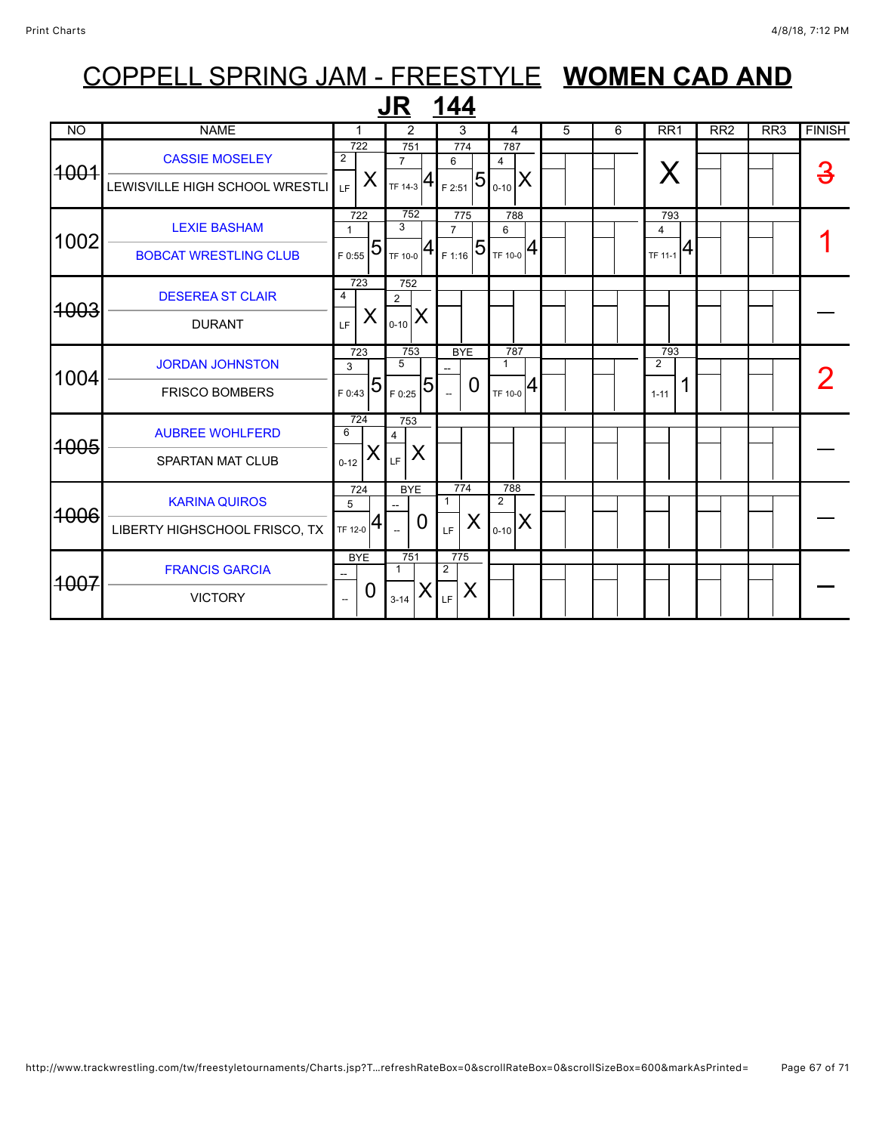| <b>JR 144</b>   |                                                         |                                        |   |                                              |          |                           |                |                                                                 |   |  |   |                                          |                 |                  |               |
|-----------------|---------------------------------------------------------|----------------------------------------|---|----------------------------------------------|----------|---------------------------|----------------|-----------------------------------------------------------------|---|--|---|------------------------------------------|-----------------|------------------|---------------|
| <b>NO</b>       | <b>NAME</b>                                             | 1                                      |   | 2                                            |          |                           | 3              | 4                                                               | 5 |  | 6 | RR <sub>1</sub>                          | RR <sub>2</sub> | $\overline{RR3}$ | <b>FINISH</b> |
| <del>1001</del> | <b>CASSIE MOSELEY</b><br>LEWISVILLE HIGH SCHOOL WRESTLI | 722<br>$\overline{2}$<br>LF.           | X | 751<br>$\overline{7}$<br>$TF$ 14-3 $ 4$      |          | 774<br>6<br>F 2:51        | $\overline{5}$ | 787<br>4<br>$ _{0.10} X $                                       |   |  |   | X                                        |                 |                  |               |
| 1002            | <b>LEXIE BASHAM</b><br><b>BOBCAT WRESTLING CLUB</b>     | 722<br>$\mathbf{1}$<br>F 0:55          | 5 | 752<br>3<br>$T_{TF 10-0}$ 4                  |          | 775<br>$\overline{7}$     |                | 788<br>6<br>$\left  \frac{1}{25} \right  5 \sqrt{1 + 10^{-10}}$ |   |  |   | 793<br>$\overline{4}$<br>$T$ F 11-1 $ 4$ |                 |                  |               |
| <del>1003</del> | <b>DESEREA ST CLAIR</b><br><b>DURANT</b>                | 723<br>$\overline{4}$<br>LF.           | X | 752<br>$\overline{2}$<br>$0 - 10$            | X        |                           |                |                                                                 |   |  |   |                                          |                 |                  |               |
| 1004            | <b>JORDAN JOHNSTON</b><br><b>FRISCO BOMBERS</b>         | 723<br>3<br>F 0:43                     | 5 | 753<br>$\overline{5}$<br>F 0:25              | 5        | <b>BYE</b>                | 0              | 787<br>$\mathbf{1}$<br>4<br>TF 10-0                             |   |  |   | 793<br>$\overline{2}$<br>$1 - 11$        |                 |                  |               |
| <del>1005</del> | <b>AUBREE WOHLFERD</b><br><b>SPARTAN MAT CLUB</b>       | 724<br>6<br>$0 - 12$                   | ⋏ | 753<br>$\overline{4}$<br>LF                  | X        |                           |                |                                                                 |   |  |   |                                          |                 |                  |               |
| <del>1006</del> | <b>KARINA QUIROS</b><br>LIBERTY HIGHSCHOOL FRISCO, TX   | 724<br>5<br>TF 12-0                    | 4 | <b>BYE</b><br>--<br>$\overline{\phantom{a}}$ | $\Omega$ | 774<br>$\mathbf{1}$<br>LF | X              | 788<br>$\overline{2}$<br>X<br>$0 - 10$                          |   |  |   |                                          |                 |                  |               |
| <del>1007</del> | <b>FRANCIS GARCIA</b><br><b>VICTORY</b>                 | <b>BYE</b><br>$\overline{\phantom{a}}$ | 0 | 751<br>1<br>$3 - 14$                         |          | 775<br>2<br>LF            | X              |                                                                 |   |  |   |                                          |                 |                  |               |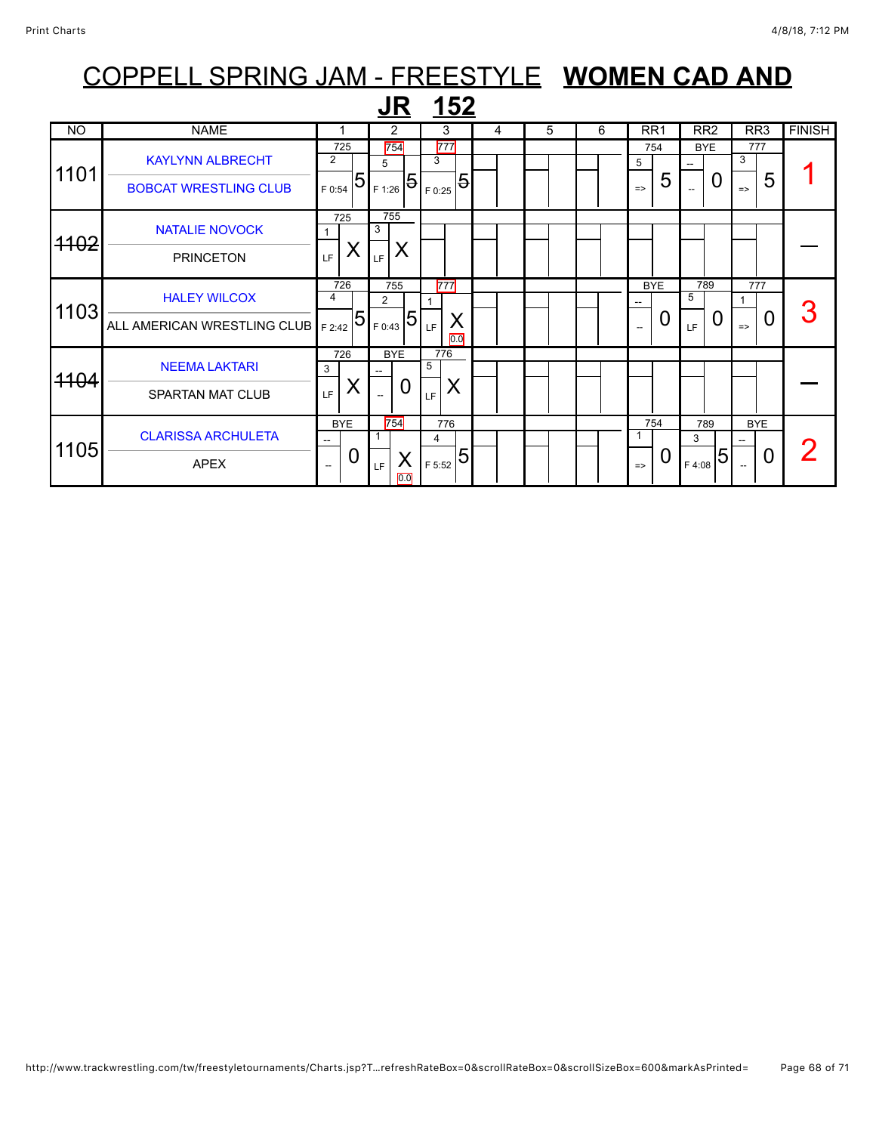|           |                              |                               | <b>JR</b>                     | <u>152</u>            |   |   |   |                     |                          |                      |               |
|-----------|------------------------------|-------------------------------|-------------------------------|-----------------------|---|---|---|---------------------|--------------------------|----------------------|---------------|
| <b>NO</b> | <b>NAME</b>                  |                               | 2                             | 3                     | 4 | 5 | 6 | RR <sub>1</sub>     | RR <sub>2</sub>          | RR3                  | <b>FINISH</b> |
| 1101      | <b>KAYLYNN ALBRECHT</b>      | 725<br>$\overline{2}$         | 754<br>5                      | 777<br>3              |   |   |   | 754<br>5            | <b>BYE</b>               | 777<br>3             |               |
|           | <b>BOBCAT WRESTLING CLUB</b> | 5<br>F 0:54                   | $1_{F1:26}$ 51.               | 5<br>F 0:25           |   |   |   | 5<br>$\Rightarrow$  | 0                        | 5<br>$\Rightarrow$   |               |
| 4102      | <b>NATALIE NOVOCK</b>        | 725                           | 755<br>3                      |                       |   |   |   |                     |                          |                      |               |
|           | <b>PRINCETON</b>             | X<br>LF                       | X<br>LF                       |                       |   |   |   |                     |                          |                      |               |
| 1103      | <b>HALEY WILCOX</b>          | 726<br>4                      | 755<br>$\overline{2}$         | 777                   |   |   |   | <b>BYE</b>          | 789<br>5                 | 777                  | 3             |
|           | ALL AMERICAN WRESTLING CLUB  | 5<br>F 2:42                   | 5 <br>F 0:43                  | X<br>LF<br>0.0        |   |   |   | 0<br>$\overline{a}$ | 0<br>LF                  | 0<br>$\Rightarrow$   |               |
| 4104      | <b>NEEMA LAKTARI</b>         | 726<br>3                      | <b>BYE</b>                    | 776<br>5              |   |   |   |                     |                          |                      |               |
|           | <b>SPARTAN MAT CLUB</b>      | ⋏<br>LF.                      | 0<br>$\overline{\phantom{a}}$ | X<br>LF               |   |   |   |                     |                          |                      |               |
|           | <b>CLARISSA ARCHULETA</b>    | <b>BYE</b><br>$- -$           | 754<br>1                      | 776<br>$\overline{4}$ |   |   |   | 754<br>1            | 789<br>3                 | <b>BYE</b>           |               |
| 1105      | <b>APEX</b>                  | O<br>$\overline{\phantom{a}}$ | X<br>LF.<br>$\overline{0.0}$  | 5<br>F 5:52           |   |   |   | O<br>$\Rightarrow$  | $\overline{5}$<br>F 4:08 | $\overline{0}$<br>-- |               |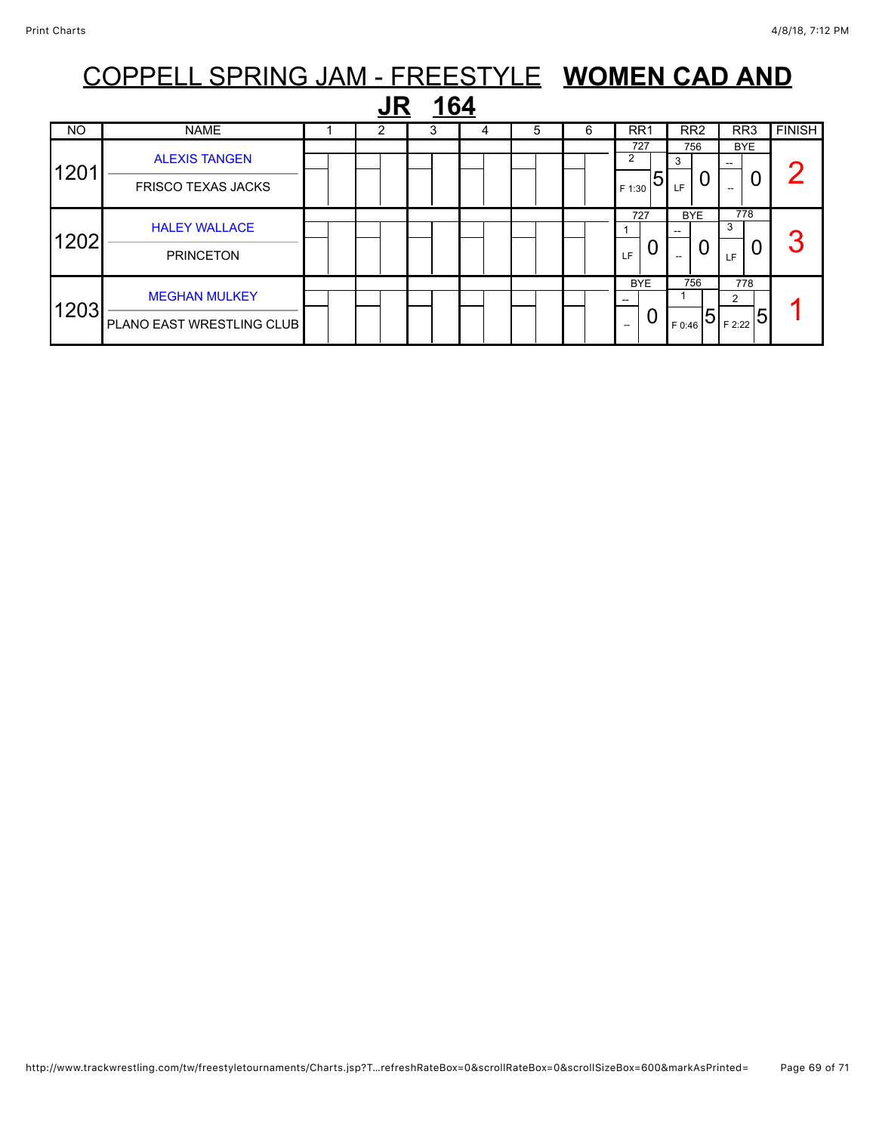| COPPELL SPRING JAM - FREESTYLE WOMEN CAD AND |                                                   |  |  |   |   |   |   |                        |                        |                                      |               |  |  |  |
|----------------------------------------------|---------------------------------------------------|--|--|---|---|---|---|------------------------|------------------------|--------------------------------------|---------------|--|--|--|
| 164                                          |                                                   |  |  |   |   |   |   |                        |                        |                                      |               |  |  |  |
| NO                                           | <b>NAME</b>                                       |  |  | 3 | 4 | 5 | 6 | RR <sub>1</sub>        | RR <sub>2</sub>        | RR <sub>3</sub>                      | <b>FINISH</b> |  |  |  |
| 1201                                         | <b>ALEXIS TANGEN</b><br><b>FRISCO TEXAS JACKS</b> |  |  |   |   |   |   | 727<br>5<br>F 1:30     | 756<br>3<br>LF         | <b>BYE</b><br>0                      |               |  |  |  |
| 1202                                         | <b>HALEY WALLACE</b><br><b>PRINCETON</b>          |  |  |   |   |   |   | 727<br>O<br>LF.        | <b>BYE</b><br>U<br>$-$ | 778<br>3<br>0<br>LF                  |               |  |  |  |
| 1203                                         | <b>MEGHAN MULKEY</b><br>PLANO EAST WRESTLING CLUB |  |  |   |   |   |   | <b>BYE</b><br>0<br>$-$ | 756<br>5<br>F 0:46     | 778<br>2<br>$\overline{5}$<br>F 2:22 |               |  |  |  |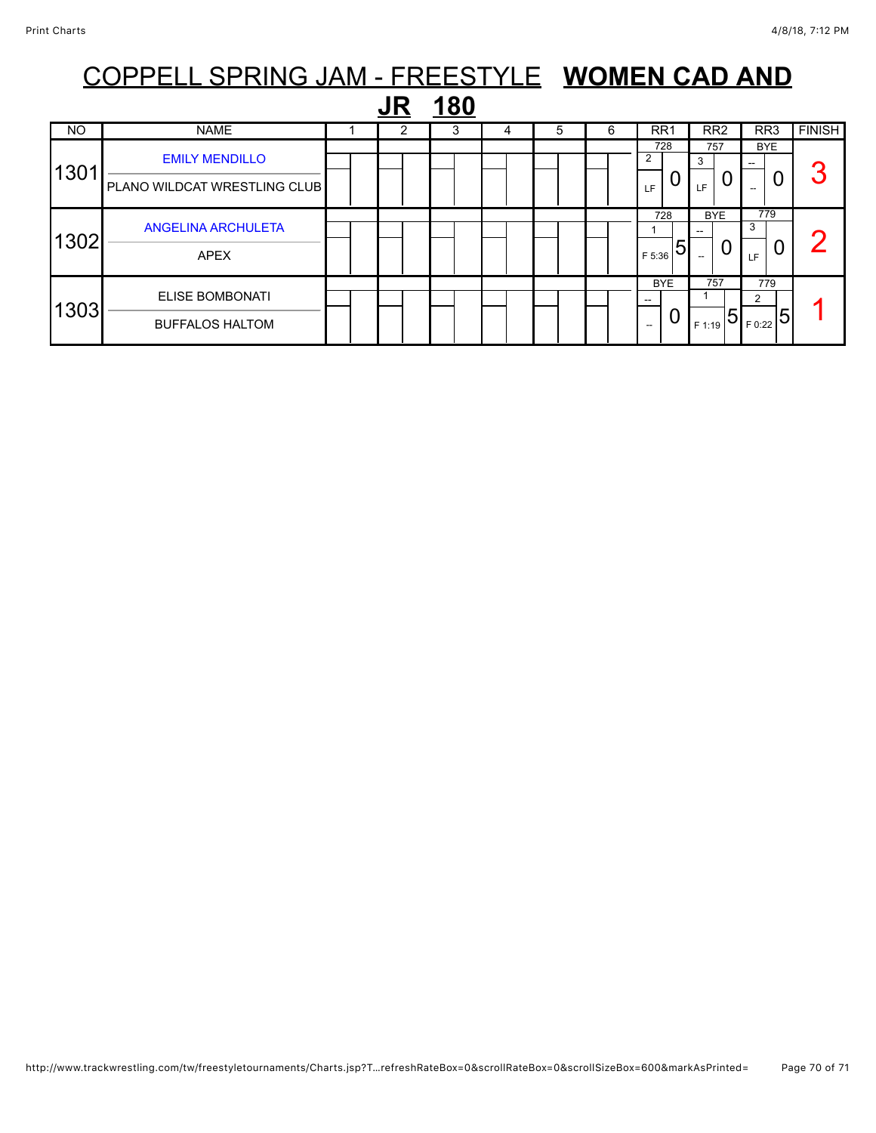|                  | COPPELL SPRING JAM - FREESTYLE WOMEN CAD AND     |  |  |   |   |   |   |                                      |                                 |                                                     |               |
|------------------|--------------------------------------------------|--|--|---|---|---|---|--------------------------------------|---------------------------------|-----------------------------------------------------|---------------|
| <u>180</u><br>JR |                                                  |  |  |   |   |   |   |                                      |                                 |                                                     |               |
| <b>NO</b>        | <b>NAME</b>                                      |  |  | 3 | 4 | 5 | 6 | RR <sub>1</sub>                      | RR <sub>2</sub>                 | RR <sub>3</sub>                                     | <b>FINISH</b> |
| 1301             | <b>EMILY MENDILLO</b>                            |  |  |   |   |   |   | 728<br>2                             | 757<br>3                        | BYE.<br>0                                           | 3             |
|                  | PLANO WILDCAT WRESTLING CLUB                     |  |  |   |   |   |   | LF<br>728                            | LE.<br><b>BYE</b>               | 779                                                 |               |
| 1302             | <b>ANGELINA ARCHULETA</b><br><b>APEX</b>         |  |  |   |   |   |   | 5<br>F 5:36                          | U                               | 3<br>LF.                                            |               |
| 1303             | <b>ELISE BOMBONATI</b><br><b>BUFFALOS HALTOM</b> |  |  |   |   |   |   | <b>BYE</b><br>0<br>$\hspace{0.05cm}$ | 757<br>$\overline{5}$<br>F 1:19 | 779<br>2<br>$\frac{1}{\sqrt{1-\frac{1}{2}}\log(2)}$ |               |